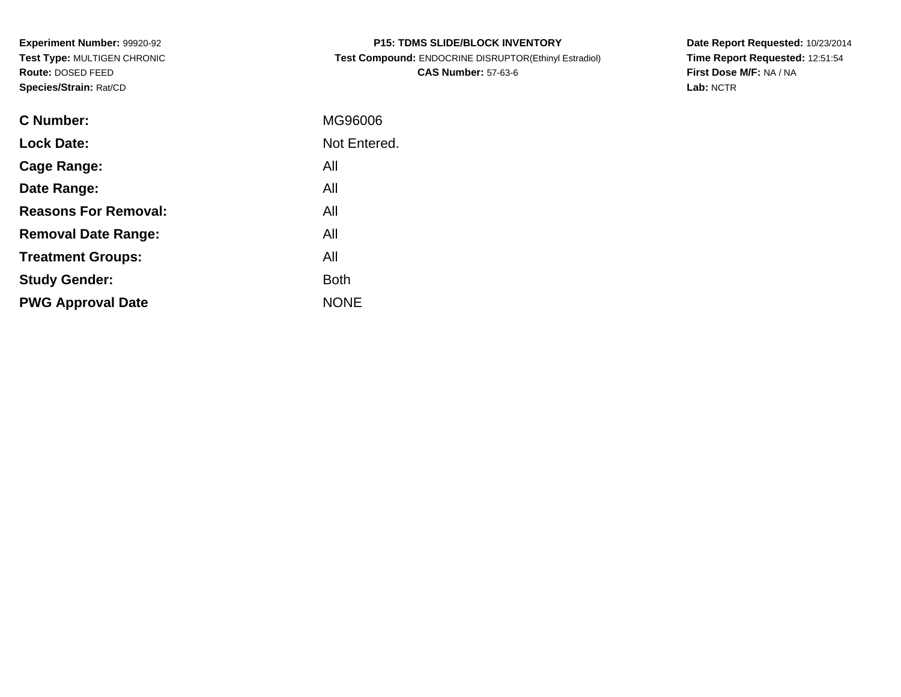**Experiment Number:** 99920-92 **Test Type:** MULTIGEN CHRONIC**Route:** DOSED FEED**Species/Strain:** Rat/CD

| <b>P15: TDMS SLIDE/BLOCK INVENTORY</b>                |
|-------------------------------------------------------|
| Test Compound: ENDOCRINE DISRUPTOR(Ethinyl Estradiol) |
| <b>CAS Number: 57-63-6</b>                            |

**Date Report Requested:** 10/23/2014 **Time Report Requested:** 12:51:54**First Dose M/F:** NA / NA**Lab:** NCTR

| C Number:                   | MG96006      |
|-----------------------------|--------------|
| <b>Lock Date:</b>           | Not Entered. |
| Cage Range:                 | All          |
| Date Range:                 | All          |
| <b>Reasons For Removal:</b> | All          |
| <b>Removal Date Range:</b>  | All          |
| <b>Treatment Groups:</b>    | All          |
| <b>Study Gender:</b>        | <b>Both</b>  |
| <b>PWG Approval Date</b>    | <b>NONE</b>  |
|                             |              |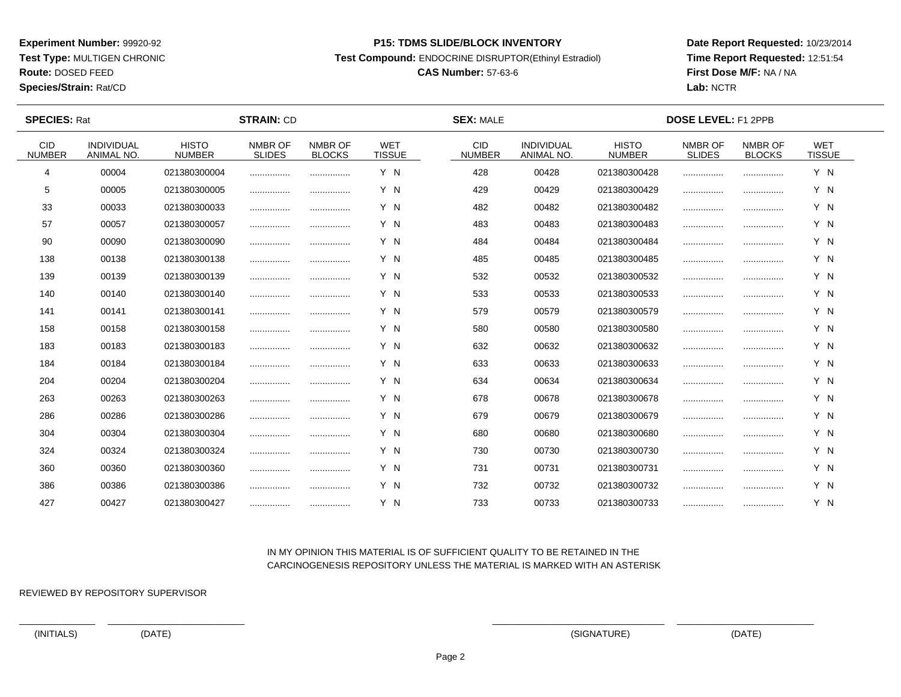**Test Type:** MULTIGEN CHRONIC

# **Route:** DOSED FEED

**Species/Strain:** Rat/CD

#### **P15: TDMS SLIDE/BLOCK INVENTORY**

**Test Compound:** ENDOCRINE DISRUPTOR(Ethinyl Estradiol)

## **CAS Number:** 57-63-6

**Date Report Requested:** 10/23/2014**Time Report Requested:** 12:51:54**First Dose M/F:** NA / NA**Lab:** NCTR

 $\overline{\phantom{a}}$ 

| <b>SPECIES: Rat</b>         |                                        |                               | <b>STRAIN: CD</b>        |                          |                             | <b>SEX: MALE</b>            |                                 |                               | <b>DOSE LEVEL: F1 2PPB</b> |                          |                             |  |
|-----------------------------|----------------------------------------|-------------------------------|--------------------------|--------------------------|-----------------------------|-----------------------------|---------------------------------|-------------------------------|----------------------------|--------------------------|-----------------------------|--|
| <b>CID</b><br><b>NUMBER</b> | <b>INDIVIDUAL</b><br><b>ANIMAL NO.</b> | <b>HISTO</b><br><b>NUMBER</b> | NMBR OF<br><b>SLIDES</b> | NMBR OF<br><b>BLOCKS</b> | <b>WET</b><br><b>TISSUE</b> | <b>CID</b><br><b>NUMBER</b> | <b>INDIVIDUAL</b><br>ANIMAL NO. | <b>HISTO</b><br><b>NUMBER</b> | NMBR OF<br><b>SLIDES</b>   | NMBR OF<br><b>BLOCKS</b> | <b>WET</b><br><b>TISSUE</b> |  |
| 4                           | 00004                                  | 021380300004                  |                          |                          | Y N                         | 428                         | 00428                           | 021380300428                  |                            |                          | Y N                         |  |
| 5                           | 00005                                  | 021380300005                  |                          |                          | Y N                         | 429                         | 00429                           | 021380300429                  |                            |                          | Y N                         |  |
| 33                          | 00033                                  | 021380300033                  |                          |                          | Y N                         | 482                         | 00482                           | 021380300482                  |                            |                          | Y N                         |  |
| 57                          | 00057                                  | 021380300057                  |                          |                          | Y N                         | 483                         | 00483                           | 021380300483                  |                            |                          | Y N                         |  |
| 90                          | 00090                                  | 021380300090                  |                          |                          | Y N                         | 484                         | 00484                           | 021380300484                  | .                          |                          | Y N                         |  |
| 138                         | 00138                                  | 021380300138                  |                          | .                        | Y N                         | 485                         | 00485                           | 021380300485                  |                            |                          | Y N                         |  |
| 139                         | 00139                                  | 021380300139                  |                          |                          | Y N                         | 532                         | 00532                           | 021380300532                  |                            |                          | Y N                         |  |
| 140                         | 00140                                  | 021380300140                  |                          | .                        | Y N                         | 533                         | 00533                           | 021380300533                  |                            |                          | Y N                         |  |
| 141                         | 00141                                  | 021380300141                  |                          |                          | Y N                         | 579                         | 00579                           | 021380300579                  |                            |                          | Y N                         |  |
| 158                         | 00158                                  | 021380300158                  |                          |                          | Y N                         | 580                         | 00580                           | 021380300580                  |                            |                          | Y N                         |  |
| 183                         | 00183                                  | 021380300183                  | .                        |                          | Y N                         | 632                         | 00632                           | 021380300632                  |                            |                          | Y N                         |  |
| 184                         | 00184                                  | 021380300184                  |                          |                          | Y N                         | 633                         | 00633                           | 021380300633                  |                            |                          | Y N                         |  |
| 204                         | 00204                                  | 021380300204                  |                          |                          | Y N                         | 634                         | 00634                           | 021380300634                  |                            |                          | Y N                         |  |
| 263                         | 00263                                  | 021380300263                  |                          |                          | Y N                         | 678                         | 00678                           | 021380300678                  |                            |                          | Y N                         |  |
| 286                         | 00286                                  | 021380300286                  |                          |                          | Y N                         | 679                         | 00679                           | 021380300679                  |                            |                          | Y N                         |  |
| 304                         | 00304                                  | 021380300304                  |                          |                          | Y N                         | 680                         | 00680                           | 021380300680                  |                            |                          | Y N                         |  |
| 324                         | 00324                                  | 021380300324                  |                          | .                        | Y N                         | 730                         | 00730                           | 021380300730                  |                            |                          | Y N                         |  |
| 360                         | 00360                                  | 021380300360                  |                          | .                        | Y N                         | 731                         | 00731                           | 021380300731                  |                            |                          | Y N                         |  |
| 386                         | 00386                                  | 021380300386                  |                          | .                        | Y N                         | 732                         | 00732                           | 021380300732                  |                            |                          | Y N                         |  |
| 427                         | 00427                                  | 021380300427                  |                          |                          | Y N                         | 733                         | 00733                           | 021380300733                  |                            |                          | Y N                         |  |

### IN MY OPINION THIS MATERIAL IS OF SUFFICIENT QUALITY TO BE RETAINED IN THECARCINOGENESIS REPOSITORY UNLESS THE MATERIAL IS MARKED WITH AN ASTERISK

REVIEWED BY REPOSITORY SUPERVISOR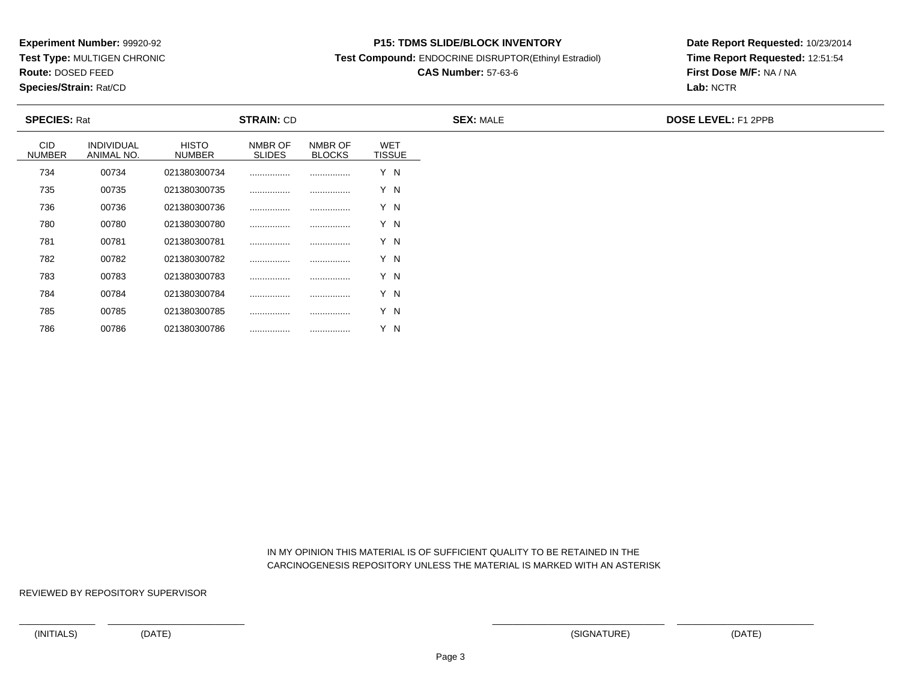**Test Type:** MULTIGEN CHRONIC

**Route:** DOSED FEED

**Species/Strain:** Rat/CD

#### **P15: TDMS SLIDE/BLOCK INVENTORY**

**Test Compound:** ENDOCRINE DISRUPTOR(Ethinyl Estradiol)

# **CAS Number:** 57-63-6

**Date Report Requested:** 10/23/2014**Time Report Requested:** 12:51:54**First Dose M/F:** NA / NA**Lab:** NCTR

|                      | <b>SPECIES: Rat</b>      |                               | <b>STRAIN: CD</b>        |                          |                             | <b>SEX: MALE</b> | <b>DOSE LEVEL: F1 2PPB</b> |  |  |
|----------------------|--------------------------|-------------------------------|--------------------------|--------------------------|-----------------------------|------------------|----------------------------|--|--|
| CID<br><b>NUMBER</b> | INDIVIDUAL<br>ANIMAL NO. | <b>HISTO</b><br><b>NUMBER</b> | NMBR OF<br><b>SLIDES</b> | NMBR OF<br><b>BLOCKS</b> | <b>WET</b><br><b>TISSUE</b> |                  |                            |  |  |
| 734                  | 00734                    | 021380300734                  |                          |                          | Y N                         |                  |                            |  |  |
| 735                  | 00735                    | 021380300735                  |                          |                          | Y N                         |                  |                            |  |  |
| 736                  | 00736                    | 021380300736                  |                          |                          | Y N                         |                  |                            |  |  |
| 780                  | 00780                    | 021380300780                  |                          |                          | Y N                         |                  |                            |  |  |
| 781                  | 00781                    | 021380300781                  |                          |                          | Y N                         |                  |                            |  |  |
| 782                  | 00782                    | 021380300782                  |                          |                          | Y N                         |                  |                            |  |  |
| 783                  | 00783                    | 021380300783                  |                          |                          | Y N                         |                  |                            |  |  |
| 784                  | 00784                    | 021380300784                  |                          |                          | Y N                         |                  |                            |  |  |
| 785                  | 00785                    | 021380300785                  |                          |                          | Y N                         |                  |                            |  |  |
| 786                  | 00786                    | 021380300786                  |                          |                          | Y N                         |                  |                            |  |  |

 IN MY OPINION THIS MATERIAL IS OF SUFFICIENT QUALITY TO BE RETAINED IN THECARCINOGENESIS REPOSITORY UNLESS THE MATERIAL IS MARKED WITH AN ASTERISK

REVIEWED BY REPOSITORY SUPERVISOR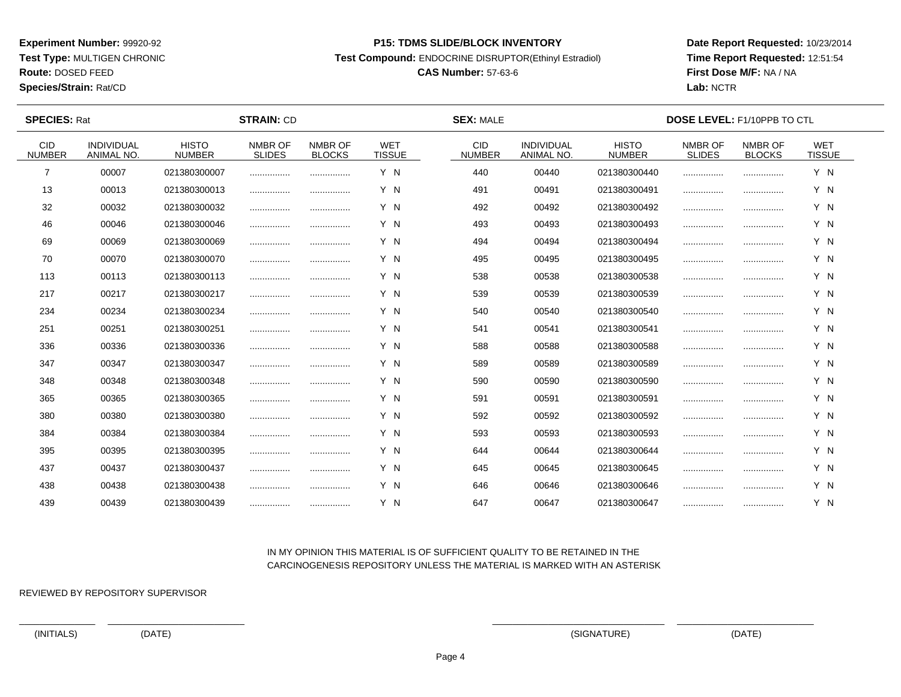**Test Type:** MULTIGEN CHRONIC

# **Route:** DOSED FEED

**Species/Strain:** Rat/CD

#### **P15: TDMS SLIDE/BLOCK INVENTORY**

**Test Compound:** ENDOCRINE DISRUPTOR(Ethinyl Estradiol)

## **CAS Number:** 57-63-6

**Date Report Requested:** 10/23/2014**Time Report Requested:** 12:51:54**First Dose M/F:** NA / NA**Lab:** NCTR

| <b>SPECIES: Rat</b>         |                                        |                               | <b>STRAIN: CD</b>        |                          |                             | <b>SEX: MALE</b>            |                                 |                               | <b>DOSE LEVEL: F1/10PPB TO CTL</b> |                          |                             |  |
|-----------------------------|----------------------------------------|-------------------------------|--------------------------|--------------------------|-----------------------------|-----------------------------|---------------------------------|-------------------------------|------------------------------------|--------------------------|-----------------------------|--|
| <b>CID</b><br><b>NUMBER</b> | <b>INDIVIDUAL</b><br><b>ANIMAL NO.</b> | <b>HISTO</b><br><b>NUMBER</b> | NMBR OF<br><b>SLIDES</b> | NMBR OF<br><b>BLOCKS</b> | <b>WET</b><br><b>TISSUE</b> | <b>CID</b><br><b>NUMBER</b> | <b>INDIVIDUAL</b><br>ANIMAL NO. | <b>HISTO</b><br><b>NUMBER</b> | NMBR OF<br><b>SLIDES</b>           | NMBR OF<br><b>BLOCKS</b> | <b>WET</b><br><b>TISSUE</b> |  |
| 7                           | 00007                                  | 021380300007                  |                          |                          | Y N                         | 440                         | 00440                           | 021380300440                  |                                    |                          | Y N                         |  |
| 13                          | 00013                                  | 021380300013                  |                          |                          | Y N                         | 491                         | 00491                           | 021380300491                  |                                    |                          | Y N                         |  |
| 32                          | 00032                                  | 021380300032                  |                          |                          | Y N                         | 492                         | 00492                           | 021380300492                  |                                    |                          | Y N                         |  |
| 46                          | 00046                                  | 021380300046                  |                          |                          | Y N                         | 493                         | 00493                           | 021380300493                  |                                    |                          | Y N                         |  |
| 69                          | 00069                                  | 021380300069                  |                          |                          | Y N                         | 494                         | 00494                           | 021380300494                  |                                    |                          | Y N                         |  |
| 70                          | 00070                                  | 021380300070                  |                          |                          | Y N                         | 495                         | 00495                           | 021380300495                  |                                    |                          | Y N                         |  |
| 113                         | 00113                                  | 021380300113                  |                          |                          | Y N                         | 538                         | 00538                           | 021380300538                  |                                    |                          | Y N                         |  |
| 217                         | 00217                                  | 021380300217                  | .                        |                          | Y N                         | 539                         | 00539                           | 021380300539                  |                                    |                          | Y N                         |  |
| 234                         | 00234                                  | 021380300234                  |                          |                          | Y N                         | 540                         | 00540                           | 021380300540                  |                                    |                          | Y N                         |  |
| 251                         | 00251                                  | 021380300251                  |                          |                          | Y N                         | 541                         | 00541                           | 021380300541                  |                                    |                          | Y N                         |  |
| 336                         | 00336                                  | 021380300336                  |                          |                          | Y N                         | 588                         | 00588                           | 021380300588                  |                                    |                          | Y N                         |  |
| 347                         | 00347                                  | 021380300347                  |                          |                          | Y N                         | 589                         | 00589                           | 021380300589                  |                                    |                          | Y N                         |  |
| 348                         | 00348                                  | 021380300348                  |                          |                          | Y N                         | 590                         | 00590                           | 021380300590                  |                                    |                          | Y N                         |  |
| 365                         | 00365                                  | 021380300365                  |                          | .                        | Y N                         | 591                         | 00591                           | 021380300591                  |                                    |                          | Y N                         |  |
| 380                         | 00380                                  | 021380300380                  |                          |                          | Y N                         | 592                         | 00592                           | 021380300592                  |                                    |                          | Y N                         |  |
| 384                         | 00384                                  | 021380300384                  |                          |                          | Y N                         | 593                         | 00593                           | 021380300593                  |                                    |                          | Y N                         |  |
| 395                         | 00395                                  | 021380300395                  |                          |                          | Y N                         | 644                         | 00644                           | 021380300644                  |                                    |                          | Y N                         |  |
| 437                         | 00437                                  | 021380300437                  |                          |                          | Y N                         | 645                         | 00645                           | 021380300645                  |                                    |                          | Y N                         |  |
| 438                         | 00438                                  | 021380300438                  |                          |                          | Y N                         | 646                         | 00646                           | 021380300646                  |                                    |                          | Y N                         |  |
| 439                         | 00439                                  | 021380300439                  |                          |                          | Y N                         | 647                         | 00647                           | 021380300647                  |                                    |                          | Y N                         |  |

## IN MY OPINION THIS MATERIAL IS OF SUFFICIENT QUALITY TO BE RETAINED IN THECARCINOGENESIS REPOSITORY UNLESS THE MATERIAL IS MARKED WITH AN ASTERISK

REVIEWED BY REPOSITORY SUPERVISOR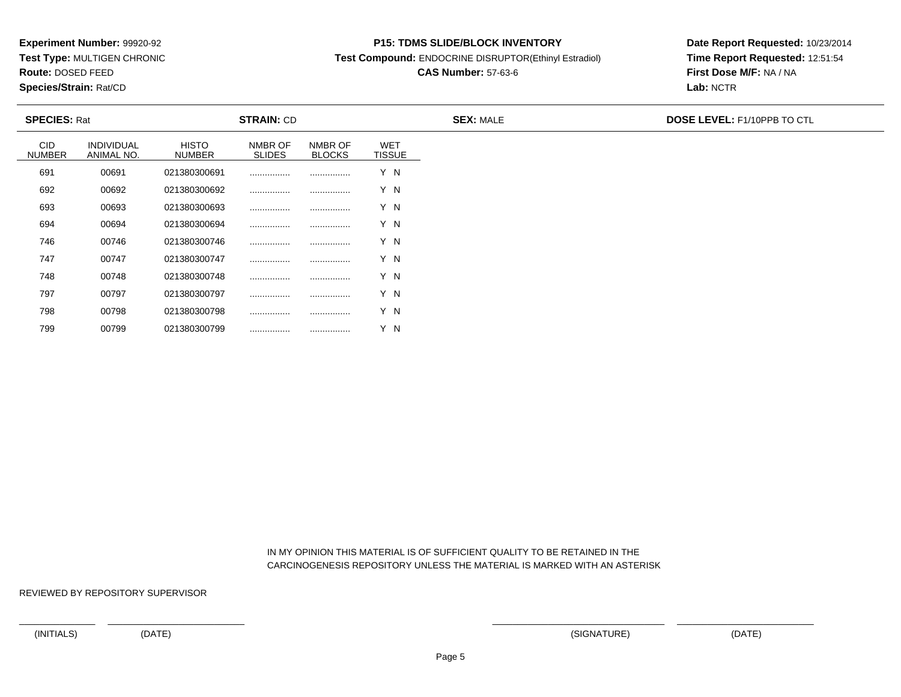**Test Type:** MULTIGEN CHRONIC

**Route:** DOSED FEED

799

**Species/Strain:** Rat/CD

#### **P15: TDMS SLIDE/BLOCK INVENTORY**

**Test Compound:** ENDOCRINE DISRUPTOR(Ethinyl Estradiol)

# **CAS Number:** 57-63-6

**Date Report Requested:** 10/23/2014**Time Report Requested:** 12:51:54**First Dose M/F:** NA / NA**Lab:** NCTR

| <b>SPECIES: Rat</b>         |                          |                               | <b>STRAIN: CD</b>        |                          |                             | <b>SEX: MALE</b> | <b>DOSE LEVEL: F1/10PPB TO CTL</b> |
|-----------------------------|--------------------------|-------------------------------|--------------------------|--------------------------|-----------------------------|------------------|------------------------------------|
| <b>CID</b><br><b>NUMBER</b> | INDIVIDUAL<br>ANIMAL NO. | <b>HISTO</b><br><b>NUMBER</b> | NMBR OF<br><b>SLIDES</b> | NMBR OF<br><b>BLOCKS</b> | <b>WET</b><br><b>TISSUE</b> |                  |                                    |
| 691                         | 00691                    | 021380300691                  |                          |                          | Y N                         |                  |                                    |
| 692                         | 00692                    | 021380300692                  |                          |                          | Y N                         |                  |                                    |
| 693                         | 00693                    | 021380300693                  |                          |                          | Y N                         |                  |                                    |
| 694                         | 00694                    | 021380300694                  |                          |                          | Y N                         |                  |                                    |
| 746                         | 00746                    | 021380300746                  |                          |                          | Y N                         |                  |                                    |
| 747                         | 00747                    | 021380300747                  |                          |                          | Y N                         |                  |                                    |
| 748                         | 00748                    | 021380300748                  |                          |                          | Y N                         |                  |                                    |
| 797                         | 00797                    | 021380300797                  |                          |                          | Y N                         |                  |                                    |
| 798                         | 00798                    | 021380300798                  |                          |                          | Y N                         |                  |                                    |

 IN MY OPINION THIS MATERIAL IS OF SUFFICIENT QUALITY TO BE RETAINED IN THECARCINOGENESIS REPOSITORY UNLESS THE MATERIAL IS MARKED WITH AN ASTERISK

REVIEWED BY REPOSITORY SUPERVISOR

<sup>00799</sup> <sup>021380300799</sup> ................ ................ Y N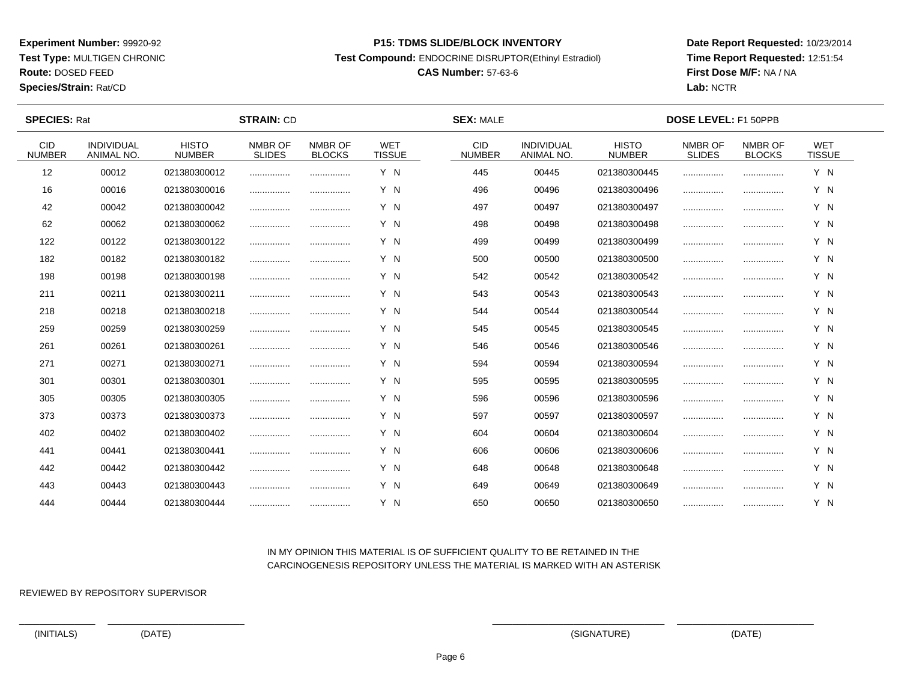**Test Type:** MULTIGEN CHRONIC

**Route:** DOSED FEED

**Species/Strain:** Rat/CD

#### **P15: TDMS SLIDE/BLOCK INVENTORY**

**Test Compound:** ENDOCRINE DISRUPTOR(Ethinyl Estradiol)

# **CAS Number:** 57-63-6

**Date Report Requested:** 10/23/2014**Time Report Requested:** 12:51:54**First Dose M/F:** NA / NA**Lab:** NCTR

 $\overline{\phantom{a}}$ 

| <b>SPECIES: Rat</b>         |                                 |                               | <b>STRAIN: CD</b>        |                          |                             | <b>SEX: MALE</b>            |                                 |                               | <b>DOSE LEVEL: F1 50PPB</b> |                          |                             |  |
|-----------------------------|---------------------------------|-------------------------------|--------------------------|--------------------------|-----------------------------|-----------------------------|---------------------------------|-------------------------------|-----------------------------|--------------------------|-----------------------------|--|
| <b>CID</b><br><b>NUMBER</b> | <b>INDIVIDUAL</b><br>ANIMAL NO. | <b>HISTO</b><br><b>NUMBER</b> | NMBR OF<br><b>SLIDES</b> | NMBR OF<br><b>BLOCKS</b> | <b>WET</b><br><b>TISSUE</b> | <b>CID</b><br><b>NUMBER</b> | <b>INDIVIDUAL</b><br>ANIMAL NO. | <b>HISTO</b><br><b>NUMBER</b> | NMBR OF<br><b>SLIDES</b>    | NMBR OF<br><b>BLOCKS</b> | <b>WET</b><br><b>TISSUE</b> |  |
| 12                          | 00012                           | 021380300012                  |                          |                          | Y N                         | 445                         | 00445                           | 021380300445                  |                             |                          | Y N                         |  |
| 16                          | 00016                           | 021380300016                  | .                        |                          | Y N                         | 496                         | 00496                           | 021380300496                  |                             |                          | Y N                         |  |
| 42                          | 00042                           | 021380300042                  |                          |                          | Y N                         | 497                         | 00497                           | 021380300497                  |                             |                          | Y N                         |  |
| 62                          | 00062                           | 021380300062                  |                          |                          | Y N                         | 498                         | 00498                           | 021380300498                  |                             |                          | Y N                         |  |
| 122                         | 00122                           | 021380300122                  |                          |                          | Y N                         | 499                         | 00499                           | 021380300499                  |                             |                          | Y N                         |  |
| 182                         | 00182                           | 021380300182                  |                          | .                        | Y N                         | 500                         | 00500                           | 021380300500                  |                             |                          | Y N                         |  |
| 198                         | 00198                           | 021380300198                  |                          |                          | Y N                         | 542                         | 00542                           | 021380300542                  |                             |                          | Y N                         |  |
| 211                         | 00211                           | 021380300211                  |                          | .                        | Y N                         | 543                         | 00543                           | 021380300543                  |                             |                          | Y N                         |  |
| 218                         | 00218                           | 021380300218                  |                          |                          | Y N                         | 544                         | 00544                           | 021380300544                  |                             |                          | Y N                         |  |
| 259                         | 00259                           | 021380300259                  |                          |                          | Y N                         | 545                         | 00545                           | 021380300545                  |                             |                          | Y N                         |  |
| 261                         | 00261                           | 021380300261                  |                          |                          | Y N                         | 546                         | 00546                           | 021380300546                  |                             |                          | Y N                         |  |
| 271                         | 00271                           | 021380300271                  |                          |                          | Y N                         | 594                         | 00594                           | 021380300594                  |                             |                          | Y N                         |  |
| 301                         | 00301                           | 021380300301                  |                          |                          | Y N                         | 595                         | 00595                           | 021380300595                  |                             |                          | Y N                         |  |
| 305                         | 00305                           | 021380300305                  |                          |                          | Y N                         | 596                         | 00596                           | 021380300596                  |                             |                          | Y N                         |  |
| 373                         | 00373                           | 021380300373                  |                          |                          | Y N                         | 597                         | 00597                           | 021380300597                  |                             |                          | Y N                         |  |
| 402                         | 00402                           | 021380300402                  |                          |                          | Y N                         | 604                         | 00604                           | 021380300604                  |                             |                          | Y N                         |  |
| 441                         | 00441                           | 021380300441                  | .                        | .                        | Y N                         | 606                         | 00606                           | 021380300606                  |                             |                          | Y N                         |  |
| 442                         | 00442                           | 021380300442                  |                          | .                        | Y N                         | 648                         | 00648                           | 021380300648                  |                             |                          | Y N                         |  |
| 443                         | 00443                           | 021380300443                  |                          |                          | Y N                         | 649                         | 00649                           | 021380300649                  |                             |                          | Y N                         |  |
| 444                         | 00444                           | 021380300444                  |                          |                          | Y N                         | 650                         | 00650                           | 021380300650                  |                             |                          | Y N                         |  |

### IN MY OPINION THIS MATERIAL IS OF SUFFICIENT QUALITY TO BE RETAINED IN THECARCINOGENESIS REPOSITORY UNLESS THE MATERIAL IS MARKED WITH AN ASTERISK

REVIEWED BY REPOSITORY SUPERVISOR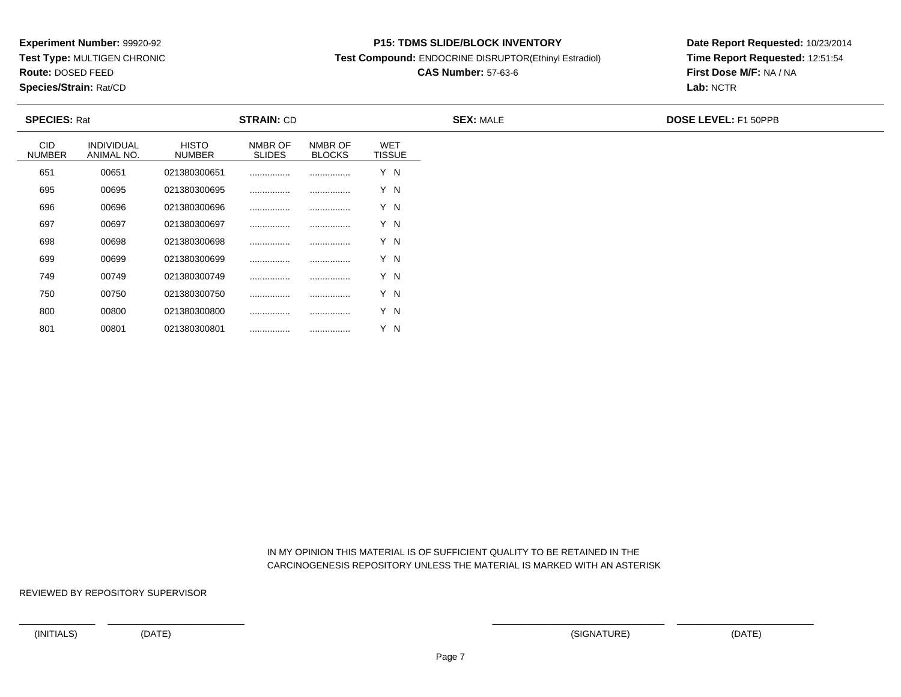**Test Type:** MULTIGEN CHRONIC

**Route:** DOSED FEED

801

**Species/Strain:** Rat/CD

#### **P15: TDMS SLIDE/BLOCK INVENTORY**

**Test Compound:** ENDOCRINE DISRUPTOR(Ethinyl Estradiol)

# **CAS Number:** 57-63-6

**Date Report Requested:** 10/23/2014**Time Report Requested:** 12:51:54**First Dose M/F:** NA / NA**Lab:** NCTR

| <b>SPECIES: Rat</b>  | <b>STRAIN: CD</b>               |                               |                          | <b>SEX: MALE</b>         | <b>DOSE LEVEL: F1 50PPB</b> |  |  |
|----------------------|---------------------------------|-------------------------------|--------------------------|--------------------------|-----------------------------|--|--|
| CID<br><b>NUMBER</b> | <b>INDIVIDUAL</b><br>ANIMAL NO. | <b>HISTO</b><br><b>NUMBER</b> | NMBR OF<br><b>SLIDES</b> | NMBR OF<br><b>BLOCKS</b> | <b>WET</b><br><b>TISSUE</b> |  |  |
| 651                  | 00651                           | 021380300651                  |                          |                          | Y N                         |  |  |
| 695                  | 00695                           | 021380300695                  |                          |                          | Y N                         |  |  |
| 696                  | 00696                           | 021380300696                  |                          |                          | Y N                         |  |  |
| 697                  | 00697                           | 021380300697                  |                          |                          | Y N                         |  |  |
| 698                  | 00698                           | 021380300698                  |                          |                          | Y N                         |  |  |
| 699                  | 00699                           | 021380300699                  |                          |                          | Y N                         |  |  |
| 749                  | 00749                           | 021380300749                  |                          |                          | Y N                         |  |  |
| 750                  | 00750                           | 021380300750                  |                          |                          | Y N                         |  |  |
| 800                  | 00800                           | 021380300800                  |                          |                          | Y N                         |  |  |

 IN MY OPINION THIS MATERIAL IS OF SUFFICIENT QUALITY TO BE RETAINED IN THECARCINOGENESIS REPOSITORY UNLESS THE MATERIAL IS MARKED WITH AN ASTERISK

REVIEWED BY REPOSITORY SUPERVISOR

<sup>00801</sup> <sup>021380300801</sup> ................ ................ Y N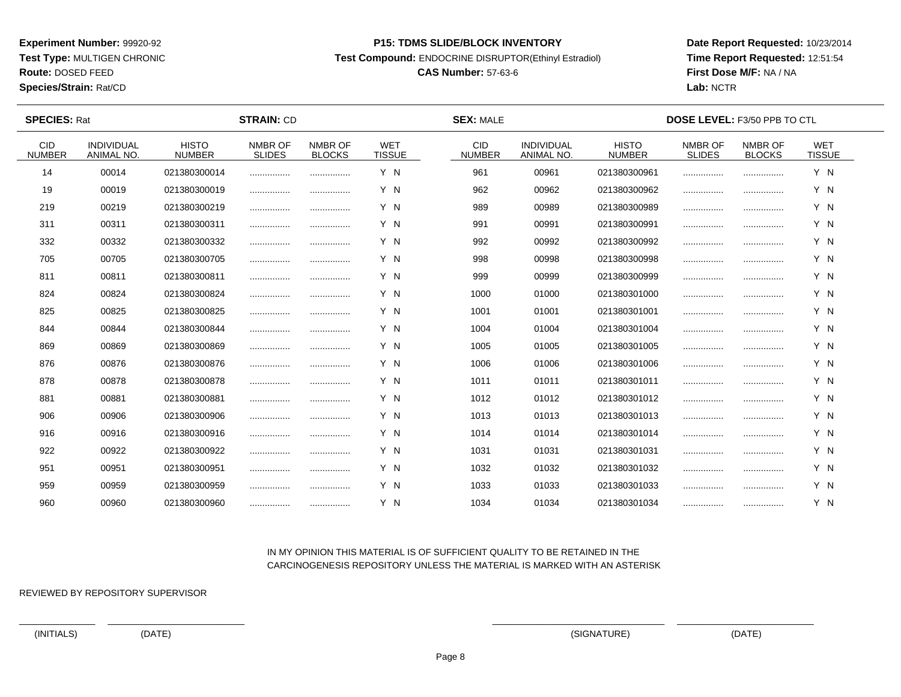**Test Type:** MULTIGEN CHRONIC

**Route:** DOSED FEED

**Species/Strain:** Rat/CD

#### **P15: TDMS SLIDE/BLOCK INVENTORY**

**Test Compound:** ENDOCRINE DISRUPTOR(Ethinyl Estradiol)

# **CAS Number:** 57-63-6

**Date Report Requested:** 10/23/2014**Time Report Requested:** 12:51:54**First Dose M/F:** NA / NA**Lab:** NCTR

| <b>SPECIES: Rat</b>         |                                 |                               | <b>STRAIN: CD</b>        |                          |                             | <b>SEX: MALE</b>            |                                        |                               | <b>DOSE LEVEL: F3/50 PPB TO CTL</b> |                          |                             |  |
|-----------------------------|---------------------------------|-------------------------------|--------------------------|--------------------------|-----------------------------|-----------------------------|----------------------------------------|-------------------------------|-------------------------------------|--------------------------|-----------------------------|--|
| <b>CID</b><br><b>NUMBER</b> | <b>INDIVIDUAL</b><br>ANIMAL NO. | <b>HISTO</b><br><b>NUMBER</b> | NMBR OF<br><b>SLIDES</b> | NMBR OF<br><b>BLOCKS</b> | <b>WET</b><br><b>TISSUE</b> | <b>CID</b><br><b>NUMBER</b> | <b>INDIVIDUAL</b><br><b>ANIMAL NO.</b> | <b>HISTO</b><br><b>NUMBER</b> | NMBR OF<br><b>SLIDES</b>            | NMBR OF<br><b>BLOCKS</b> | <b>WET</b><br><b>TISSUE</b> |  |
| 14                          | 00014                           | 021380300014                  |                          |                          | Y N                         | 961                         | 00961                                  | 021380300961                  |                                     |                          | Y N                         |  |
| 19                          | 00019                           | 021380300019                  |                          |                          | Y N                         | 962                         | 00962                                  | 021380300962                  |                                     |                          | Y N                         |  |
| 219                         | 00219                           | 021380300219                  |                          |                          | Y N                         | 989                         | 00989                                  | 021380300989                  |                                     |                          | Y N                         |  |
| 311                         | 00311                           | 021380300311                  |                          |                          | Y N                         | 991                         | 00991                                  | 021380300991                  |                                     |                          | Y N                         |  |
| 332                         | 00332                           | 021380300332                  | .                        |                          | Y N                         | 992                         | 00992                                  | 021380300992                  |                                     |                          | Y N                         |  |
| 705                         | 00705                           | 021380300705                  |                          |                          | Y N                         | 998                         | 00998                                  | 021380300998                  |                                     |                          | Y N                         |  |
| 811                         | 00811                           | 021380300811                  |                          |                          | Y N                         | 999                         | 00999                                  | 021380300999                  |                                     |                          | Y N                         |  |
| 824                         | 00824                           | 021380300824                  |                          |                          | Y N                         | 1000                        | 01000                                  | 021380301000                  |                                     |                          | Y N                         |  |
| 825                         | 00825                           | 021380300825                  |                          |                          | Y N                         | 1001                        | 01001                                  | 021380301001                  |                                     |                          | Y N                         |  |
| 844                         | 00844                           | 021380300844                  |                          |                          | Y N                         | 1004                        | 01004                                  | 021380301004                  |                                     |                          | Y N                         |  |
| 869                         | 00869                           | 021380300869                  |                          |                          | Y N                         | 1005                        | 01005                                  | 021380301005                  |                                     |                          | Y N                         |  |
| 876                         | 00876                           | 021380300876                  | .                        |                          | Y N                         | 1006                        | 01006                                  | 021380301006                  |                                     |                          | Y N                         |  |
| 878                         | 00878                           | 021380300878                  |                          |                          | Y N                         | 1011                        | 01011                                  | 021380301011                  |                                     |                          | Y N                         |  |
| 881                         | 00881                           | 021380300881                  |                          |                          | Y N                         | 1012                        | 01012                                  | 021380301012                  |                                     |                          | Y N                         |  |
| 906                         | 00906                           | 021380300906                  |                          |                          | Y N                         | 1013                        | 01013                                  | 021380301013                  |                                     |                          | Y N                         |  |
| 916                         | 00916                           | 021380300916                  |                          |                          | Y N                         | 1014                        | 01014                                  | 021380301014                  |                                     |                          | Y N                         |  |
| 922                         | 00922                           | 021380300922                  |                          | .                        | Y N                         | 1031                        | 01031                                  | 021380301031                  |                                     |                          | Y N                         |  |
| 951                         | 00951                           | 021380300951                  |                          |                          | Y N                         | 1032                        | 01032                                  | 021380301032                  |                                     |                          | Y N                         |  |
| 959                         | 00959                           | 021380300959                  |                          |                          | Y N                         | 1033                        | 01033                                  | 021380301033                  |                                     |                          | Y N                         |  |
| 960                         | 00960                           | 021380300960                  |                          |                          | Y N                         | 1034                        | 01034                                  | 021380301034                  |                                     |                          | Y N                         |  |

## IN MY OPINION THIS MATERIAL IS OF SUFFICIENT QUALITY TO BE RETAINED IN THECARCINOGENESIS REPOSITORY UNLESS THE MATERIAL IS MARKED WITH AN ASTERISK

REVIEWED BY REPOSITORY SUPERVISOR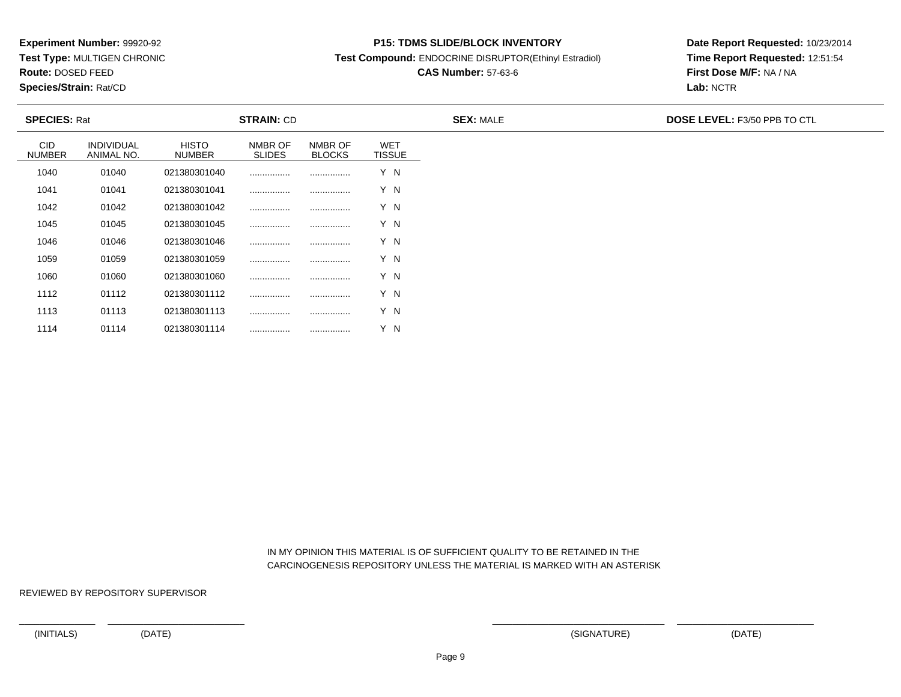**Test Type:** MULTIGEN CHRONIC

**Route:** DOSED FEED

1114

**Species/Strain:** Rat/CD

#### **P15: TDMS SLIDE/BLOCK INVENTORY**

**Test Compound:** ENDOCRINE DISRUPTOR(Ethinyl Estradiol)

# **CAS Number:** 57-63-6

**Date Report Requested:** 10/23/2014**Time Report Requested:** 12:51:54**First Dose M/F:** NA / NA**Lab:** NCTR

|                             | <b>SPECIES: Rat</b>             |                               | <b>STRAIN: CD</b>        |                          |                             | <b>SEX: MALE</b> | <b>DOSE LEVEL: F3/50 PPB TO CTL</b> |
|-----------------------------|---------------------------------|-------------------------------|--------------------------|--------------------------|-----------------------------|------------------|-------------------------------------|
| <b>CID</b><br><b>NUMBER</b> | <b>INDIVIDUAL</b><br>ANIMAL NO. | <b>HISTO</b><br><b>NUMBER</b> | NMBR OF<br><b>SLIDES</b> | NMBR OF<br><b>BLOCKS</b> | <b>WET</b><br><b>TISSUE</b> |                  |                                     |
| 1040                        | 01040                           | 021380301040                  | .                        |                          | Y N                         |                  |                                     |
| 1041                        | 01041                           | 021380301041                  |                          |                          | Y N                         |                  |                                     |
| 1042                        | 01042                           | 021380301042                  | .                        |                          | Y N                         |                  |                                     |
| 1045                        | 01045                           | 021380301045                  |                          |                          | Y N                         |                  |                                     |
| 1046                        | 01046                           | 021380301046                  | .                        |                          | Y N                         |                  |                                     |
| 1059                        | 01059                           | 021380301059                  |                          |                          | Y N                         |                  |                                     |
| 1060                        | 01060                           | 021380301060                  |                          |                          | Y N                         |                  |                                     |
| 1112                        | 01112                           | 021380301112                  |                          |                          | Y N                         |                  |                                     |
| 1113                        | 01113                           | 021380301113                  |                          |                          | Y N                         |                  |                                     |

 IN MY OPINION THIS MATERIAL IS OF SUFFICIENT QUALITY TO BE RETAINED IN THECARCINOGENESIS REPOSITORY UNLESS THE MATERIAL IS MARKED WITH AN ASTERISK

REVIEWED BY REPOSITORY SUPERVISOR

<sup>01114</sup> <sup>021380301114</sup> ................ ................ Y N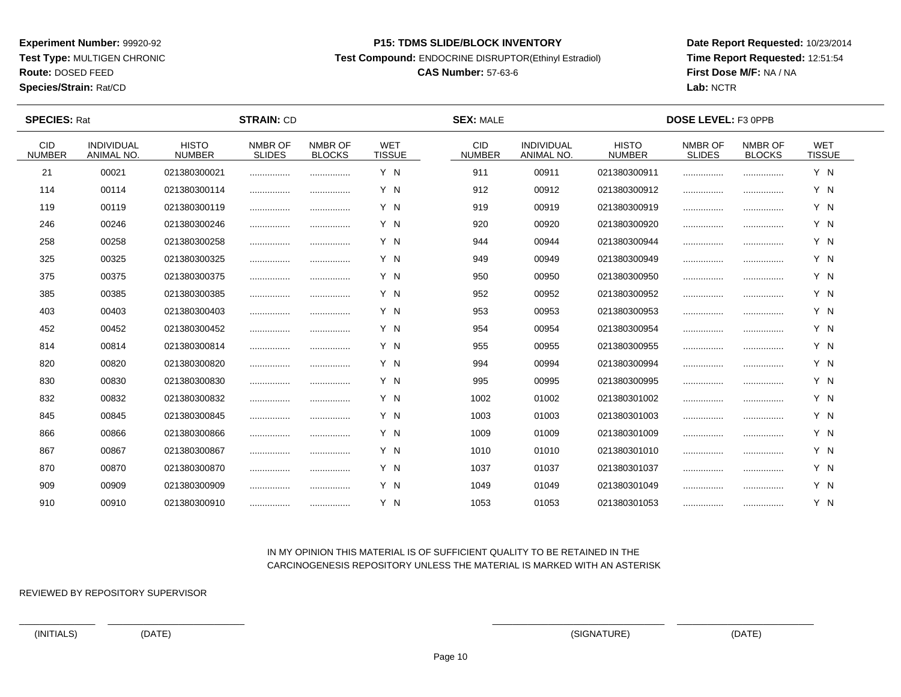**Test Type:** MULTIGEN CHRONIC

# **Route:** DOSED FEED

**Species/Strain:** Rat/CD

#### **P15: TDMS SLIDE/BLOCK INVENTORY**

**Test Compound:** ENDOCRINE DISRUPTOR(Ethinyl Estradiol)

# **CAS Number:** 57-63-6

**Date Report Requested:** 10/23/2014**Time Report Requested:** 12:51:54**First Dose M/F:** NA / NA**Lab:** NCTR

 $\overline{\phantom{a}}$ 

| <b>SPECIES: Rat</b>         |                                        |                               | <b>STRAIN: CD</b>        |                          |                             | <b>SEX: MALE</b>            |                                        |                               | DOSE LEVEL: F3 0PPB      |                          |                             |  |
|-----------------------------|----------------------------------------|-------------------------------|--------------------------|--------------------------|-----------------------------|-----------------------------|----------------------------------------|-------------------------------|--------------------------|--------------------------|-----------------------------|--|
| <b>CID</b><br><b>NUMBER</b> | <b>INDIVIDUAL</b><br><b>ANIMAL NO.</b> | <b>HISTO</b><br><b>NUMBER</b> | NMBR OF<br><b>SLIDES</b> | NMBR OF<br><b>BLOCKS</b> | <b>WET</b><br><b>TISSUE</b> | <b>CID</b><br><b>NUMBER</b> | <b>INDIVIDUAL</b><br><b>ANIMAL NO.</b> | <b>HISTO</b><br><b>NUMBER</b> | NMBR OF<br><b>SLIDES</b> | NMBR OF<br><b>BLOCKS</b> | <b>WET</b><br><b>TISSUE</b> |  |
| 21                          | 00021                                  | 021380300021                  |                          |                          | Y N                         | 911                         | 00911                                  | 021380300911                  |                          |                          | Y N                         |  |
| 114                         | 00114                                  | 021380300114                  |                          |                          | Y N                         | 912                         | 00912                                  | 021380300912                  |                          |                          | Y N                         |  |
| 119                         | 00119                                  | 021380300119                  |                          |                          | Y N                         | 919                         | 00919                                  | 021380300919                  |                          |                          | Y N                         |  |
| 246                         | 00246                                  | 021380300246                  |                          |                          | Y N                         | 920                         | 00920                                  | 021380300920                  |                          |                          | Y N                         |  |
| 258                         | 00258                                  | 021380300258                  | .                        |                          | Y N                         | 944                         | 00944                                  | 021380300944                  |                          |                          | Y N                         |  |
| 325                         | 00325                                  | 021380300325                  |                          | .                        | Y N                         | 949                         | 00949                                  | 021380300949                  |                          |                          | Y N                         |  |
| 375                         | 00375                                  | 021380300375                  |                          |                          | Y N                         | 950                         | 00950                                  | 021380300950                  |                          |                          | Y N                         |  |
| 385                         | 00385                                  | 021380300385                  |                          |                          | Y N                         | 952                         | 00952                                  | 021380300952                  |                          | .                        | Y N                         |  |
| 403                         | 00403                                  | 021380300403                  | .                        |                          | Y N                         | 953                         | 00953                                  | 021380300953                  |                          |                          | Y N                         |  |
| 452                         | 00452                                  | 021380300452                  |                          |                          | Y N                         | 954                         | 00954                                  | 021380300954                  |                          |                          | Y N                         |  |
| 814                         | 00814                                  | 021380300814                  |                          |                          | Y N                         | 955                         | 00955                                  | 021380300955                  |                          |                          | Y N                         |  |
| 820                         | 00820                                  | 021380300820                  |                          |                          | Y N                         | 994                         | 00994                                  | 021380300994                  |                          |                          | Y N                         |  |
| 830                         | 00830                                  | 021380300830                  |                          |                          | Y N                         | 995                         | 00995                                  | 021380300995                  |                          |                          | Y N                         |  |
| 832                         | 00832                                  | 021380300832                  |                          |                          | Y N                         | 1002                        | 01002                                  | 021380301002                  |                          |                          | Y N                         |  |
| 845                         | 00845                                  | 021380300845                  |                          |                          | Y N                         | 1003                        | 01003                                  | 021380301003                  |                          |                          | Y N                         |  |
| 866                         | 00866                                  | 021380300866                  |                          |                          | Y N                         | 1009                        | 01009                                  | 021380301009                  |                          |                          | Y N                         |  |
| 867                         | 00867                                  | 021380300867                  |                          |                          | Y N                         | 1010                        | 01010                                  | 021380301010                  |                          |                          | Y N                         |  |
| 870                         | 00870                                  | 021380300870                  |                          |                          | Y N                         | 1037                        | 01037                                  | 021380301037                  |                          |                          | Y N                         |  |
| 909                         | 00909                                  | 021380300909                  |                          |                          | Y N                         | 1049                        | 01049                                  | 021380301049                  |                          |                          | Y N                         |  |
| 910                         | 00910                                  | 021380300910                  |                          |                          | Y N                         | 1053                        | 01053                                  | 021380301053                  |                          |                          | Y N                         |  |

### IN MY OPINION THIS MATERIAL IS OF SUFFICIENT QUALITY TO BE RETAINED IN THECARCINOGENESIS REPOSITORY UNLESS THE MATERIAL IS MARKED WITH AN ASTERISK

REVIEWED BY REPOSITORY SUPERVISOR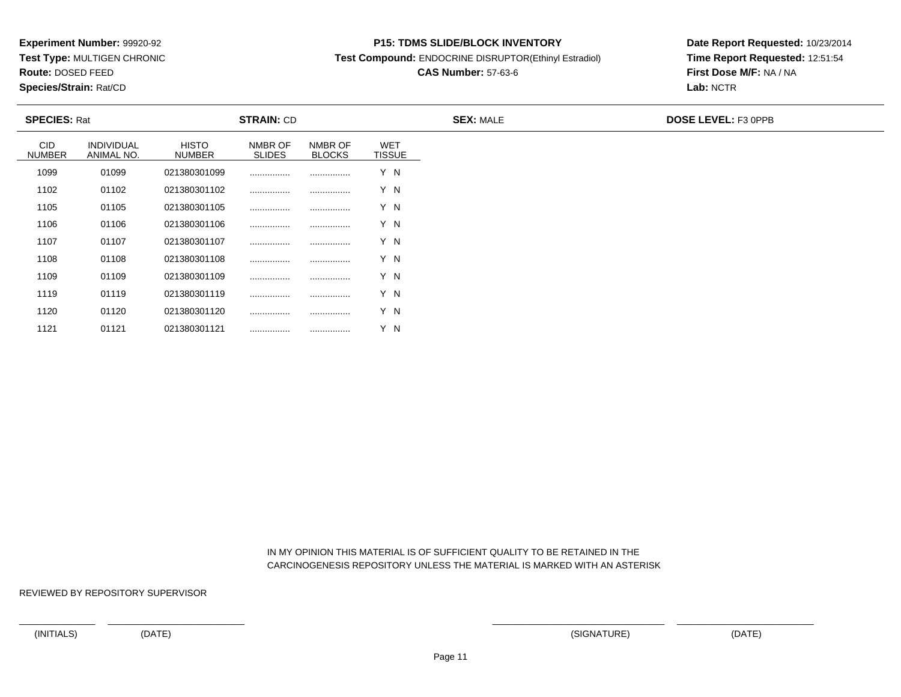**Test Type:** MULTIGEN CHRONIC

**Route:** DOSED FEED

1121

**Species/Strain:** Rat/CD

#### **P15: TDMS SLIDE/BLOCK INVENTORY**

**Test Compound:** ENDOCRINE DISRUPTOR(Ethinyl Estradiol)

# **CAS Number:** 57-63-6

**Date Report Requested:** 10/23/2014**Time Report Requested:** 12:51:54**First Dose M/F:** NA / NA**Lab:** NCTR

| <b>SPECIES: Rat</b>  |                                 |                        | <b>STRAIN: CD</b>        |                          |                             | <b>SEX: MALE</b> | <b>DOSE LEVEL: F3 OPPB</b> |
|----------------------|---------------------------------|------------------------|--------------------------|--------------------------|-----------------------------|------------------|----------------------------|
| CID<br><b>NUMBER</b> | <b>INDIVIDUAL</b><br>ANIMAL NO. | <b>HISTO</b><br>NUMBER | NMBR OF<br><b>SLIDES</b> | NMBR OF<br><b>BLOCKS</b> | <b>WET</b><br><b>TISSUE</b> |                  |                            |
| 1099                 | 01099                           | 021380301099           |                          |                          | Y N                         |                  |                            |
| 1102                 | 01102                           | 021380301102           |                          |                          | Y N                         |                  |                            |
| 1105                 | 01105                           | 021380301105           |                          |                          | Y N                         |                  |                            |
| 1106                 | 01106                           | 021380301106           |                          | .                        | Y N                         |                  |                            |
| 1107                 | 01107                           | 021380301107           |                          |                          | Y N                         |                  |                            |
| 1108                 | 01108                           | 021380301108           |                          |                          | Y N                         |                  |                            |
| 1109                 | 01109                           | 021380301109           |                          |                          | Y N                         |                  |                            |
| 1119                 | 01119                           | 021380301119           |                          |                          | Y N                         |                  |                            |
| 1120                 | 01120                           | 021380301120           |                          |                          | Y N                         |                  |                            |

 IN MY OPINION THIS MATERIAL IS OF SUFFICIENT QUALITY TO BE RETAINED IN THECARCINOGENESIS REPOSITORY UNLESS THE MATERIAL IS MARKED WITH AN ASTERISK

REVIEWED BY REPOSITORY SUPERVISOR

<sup>01121</sup> <sup>021380301121</sup> ................ ................ Y N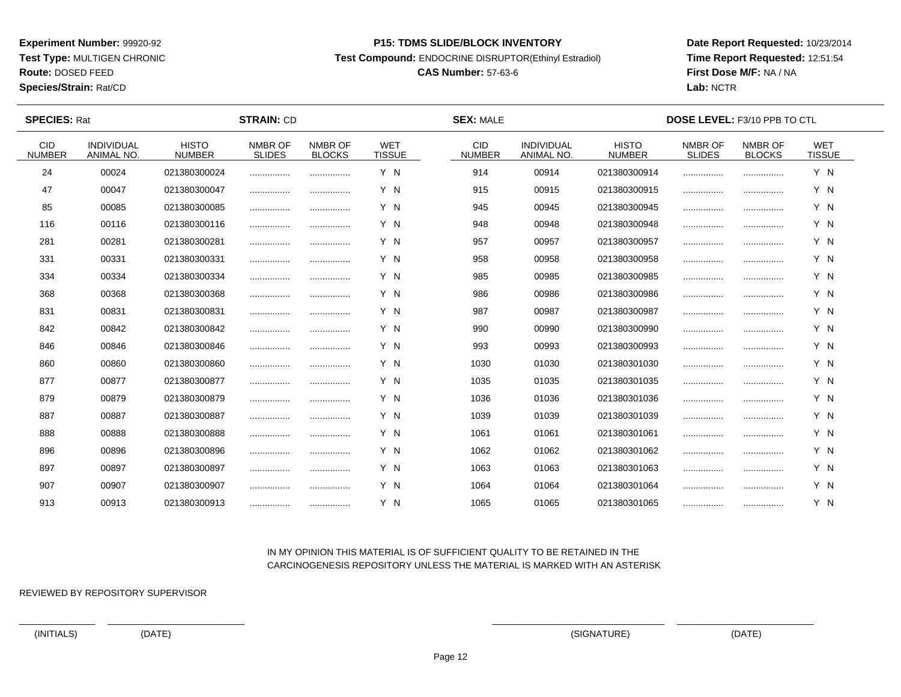**Test Type:** MULTIGEN CHRONIC

# **Route:** DOSED FEED

**Species/Strain:** Rat/CD

#### **P15: TDMS SLIDE/BLOCK INVENTORY**

**Test Compound:** ENDOCRINE DISRUPTOR(Ethinyl Estradiol)

# **CAS Number:** 57-63-6

**Date Report Requested:** 10/23/2014**Time Report Requested:** 12:51:54**First Dose M/F:** NA / NA**Lab:** NCTR

| <b>SPECIES: Rat</b>         |                                 |                               | <b>STRAIN: CD</b>        |                          |                             | <b>SEX: MALE</b>            |                                        |                               | <b>DOSE LEVEL: F3/10 PPB TO CTL</b> |                          |                             |  |
|-----------------------------|---------------------------------|-------------------------------|--------------------------|--------------------------|-----------------------------|-----------------------------|----------------------------------------|-------------------------------|-------------------------------------|--------------------------|-----------------------------|--|
| <b>CID</b><br><b>NUMBER</b> | <b>INDIVIDUAL</b><br>ANIMAL NO. | <b>HISTO</b><br><b>NUMBER</b> | NMBR OF<br><b>SLIDES</b> | NMBR OF<br><b>BLOCKS</b> | <b>WET</b><br><b>TISSUE</b> | <b>CID</b><br><b>NUMBER</b> | <b>INDIVIDUAL</b><br><b>ANIMAL NO.</b> | <b>HISTO</b><br><b>NUMBER</b> | NMBR OF<br><b>SLIDES</b>            | NMBR OF<br><b>BLOCKS</b> | <b>WET</b><br><b>TISSUE</b> |  |
| 24                          | 00024                           | 021380300024                  |                          |                          | Y N                         | 914                         | 00914                                  | 021380300914                  |                                     |                          | Y N                         |  |
| 47                          | 00047                           | 021380300047                  |                          |                          | Y N                         | 915                         | 00915                                  | 021380300915                  |                                     |                          | Y N                         |  |
| 85                          | 00085                           | 021380300085                  |                          |                          | Y N                         | 945                         | 00945                                  | 021380300945                  |                                     |                          | Y N                         |  |
| 116                         | 00116                           | 021380300116                  |                          |                          | Y N                         | 948                         | 00948                                  | 021380300948                  |                                     |                          | Y N                         |  |
| 281                         | 00281                           | 021380300281                  |                          |                          | Y N                         | 957                         | 00957                                  | 021380300957                  |                                     |                          | Y N                         |  |
| 331                         | 00331                           | 021380300331                  |                          |                          | Y N                         | 958                         | 00958                                  | 021380300958                  |                                     |                          | Y N                         |  |
| 334                         | 00334                           | 021380300334                  |                          |                          | Y N                         | 985                         | 00985                                  | 021380300985                  |                                     |                          | Y N                         |  |
| 368                         | 00368                           | 021380300368                  |                          |                          | Y N                         | 986                         | 00986                                  | 021380300986                  |                                     |                          | Y N                         |  |
| 831                         | 00831                           | 021380300831                  |                          | .                        | Y N                         | 987                         | 00987                                  | 021380300987                  |                                     |                          | Y N                         |  |
| 842                         | 00842                           | 021380300842                  |                          |                          | Y N                         | 990                         | 00990                                  | 021380300990                  |                                     |                          | Y N                         |  |
| 846                         | 00846                           | 021380300846                  |                          |                          | Y N                         | 993                         | 00993                                  | 021380300993                  |                                     |                          | Y N                         |  |
| 860                         | 00860                           | 021380300860                  |                          |                          | Y N                         | 1030                        | 01030                                  | 021380301030                  |                                     |                          | Y N                         |  |
| 877                         | 00877                           | 021380300877                  |                          |                          | Y N                         | 1035                        | 01035                                  | 021380301035                  |                                     |                          | Y N                         |  |
| 879                         | 00879                           | 021380300879                  |                          | .                        | Y N                         | 1036                        | 01036                                  | 021380301036                  |                                     |                          | Y N                         |  |
| 887                         | 00887                           | 021380300887                  |                          |                          | Y N                         | 1039                        | 01039                                  | 021380301039                  |                                     |                          | Y N                         |  |
| 888                         | 00888                           | 021380300888                  |                          |                          | Y N                         | 1061                        | 01061                                  | 021380301061                  |                                     |                          | Y N                         |  |
| 896                         | 00896                           | 021380300896                  |                          |                          | Y N                         | 1062                        | 01062                                  | 021380301062                  |                                     |                          | Y N                         |  |
| 897                         | 00897                           | 021380300897                  |                          |                          | Y N                         | 1063                        | 01063                                  | 021380301063                  |                                     |                          | Y N                         |  |
| 907                         | 00907                           | 021380300907                  |                          |                          | Y N                         | 1064                        | 01064                                  | 021380301064                  |                                     |                          | Y N                         |  |
| 913                         | 00913                           | 021380300913                  |                          |                          | Y N                         | 1065                        | 01065                                  | 021380301065                  |                                     |                          | Y N                         |  |

## IN MY OPINION THIS MATERIAL IS OF SUFFICIENT QUALITY TO BE RETAINED IN THECARCINOGENESIS REPOSITORY UNLESS THE MATERIAL IS MARKED WITH AN ASTERISK

REVIEWED BY REPOSITORY SUPERVISOR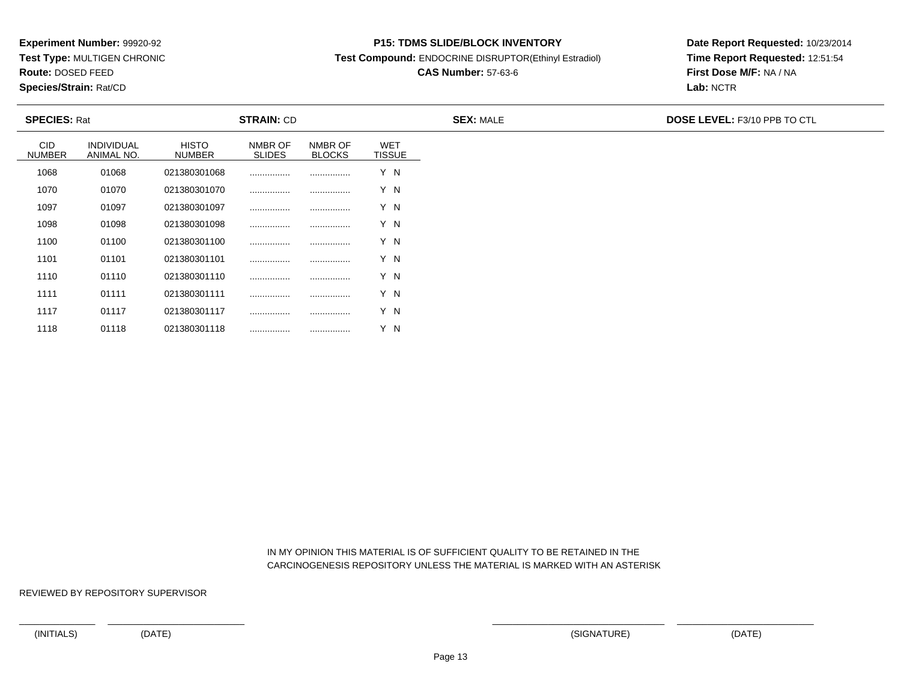**Test Type:** MULTIGEN CHRONIC

**Route:** DOSED FEED

1118

**Species/Strain:** Rat/CD

#### **P15: TDMS SLIDE/BLOCK INVENTORY**

**Test Compound:** ENDOCRINE DISRUPTOR(Ethinyl Estradiol)

# **CAS Number:** 57-63-6

**Date Report Requested:** 10/23/2014**Time Report Requested:** 12:51:54**First Dose M/F:** NA / NA**Lab:** NCTR

| <b>SPECIES: Rat</b>         |                                 |                               | <b>STRAIN: CD</b>        |                          |                             | <b>SEX: MALE</b> | <b>DOSE LEVEL: F3/10 PPB TO CTL</b> |
|-----------------------------|---------------------------------|-------------------------------|--------------------------|--------------------------|-----------------------------|------------------|-------------------------------------|
| <b>CID</b><br><b>NUMBER</b> | <b>INDIVIDUAL</b><br>ANIMAL NO. | <b>HISTO</b><br><b>NUMBER</b> | NMBR OF<br><b>SLIDES</b> | NMBR OF<br><b>BLOCKS</b> | <b>WET</b><br><b>TISSUE</b> |                  |                                     |
| 1068                        | 01068                           | 021380301068                  |                          |                          | Y N                         |                  |                                     |
| 1070                        | 01070                           | 021380301070                  |                          |                          | Y N                         |                  |                                     |
| 1097                        | 01097                           | 021380301097                  |                          |                          | Y N                         |                  |                                     |
| 1098                        | 01098                           | 021380301098                  |                          |                          | Y N                         |                  |                                     |
| 1100                        | 01100                           | 021380301100                  | .                        |                          | Y N                         |                  |                                     |
| 1101                        | 01101                           | 021380301101                  |                          |                          | Y N                         |                  |                                     |
| 1110                        | 01110                           | 021380301110                  |                          |                          | Y N                         |                  |                                     |
| 1111                        | 01111                           | 021380301111                  |                          |                          | Y N                         |                  |                                     |
| 1117                        | 01117                           | 021380301117                  |                          |                          | Y N                         |                  |                                     |

 IN MY OPINION THIS MATERIAL IS OF SUFFICIENT QUALITY TO BE RETAINED IN THECARCINOGENESIS REPOSITORY UNLESS THE MATERIAL IS MARKED WITH AN ASTERISK

REVIEWED BY REPOSITORY SUPERVISOR

<sup>01118</sup> <sup>021380301118</sup> ................ ................ Y N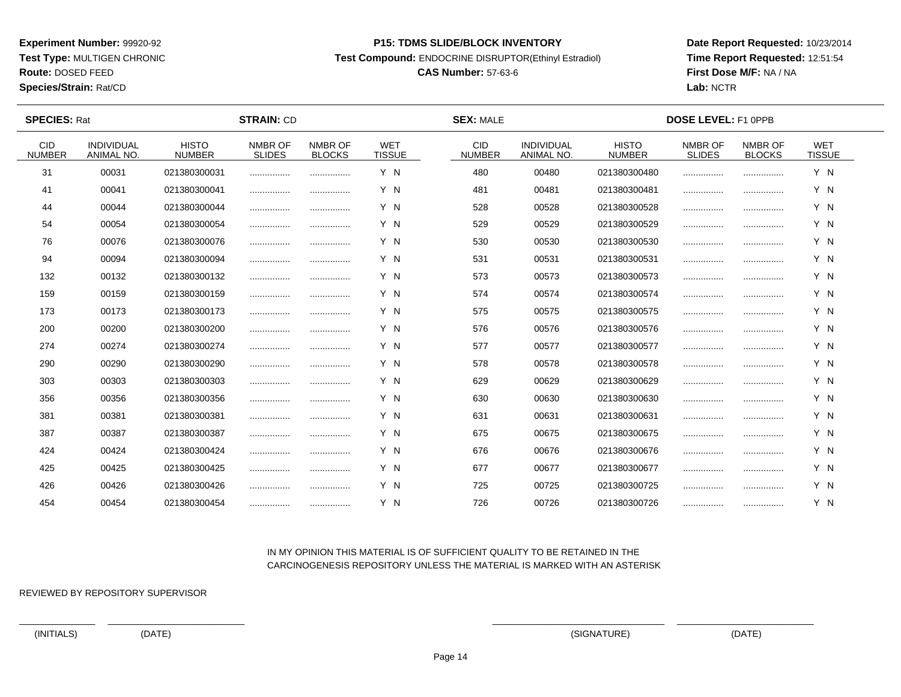**Test Type:** MULTIGEN CHRONIC

**Route:** DOSED FEED

**Species/Strain:** Rat/CD

#### **P15: TDMS SLIDE/BLOCK INVENTORY**

**Test Compound:** ENDOCRINE DISRUPTOR(Ethinyl Estradiol)

# **CAS Number:** 57-63-6

**Date Report Requested:** 10/23/2014**Time Report Requested:** 12:51:54**First Dose M/F:** NA / NA**Lab:** NCTR

 $\overline{\phantom{a}}$ 

| <b>SPECIES: Rat</b>         | <b>STRAIN: CD</b>                      |                               |                          |                          | <b>SEX: MALE</b>            |                             | DOSE LEVEL: F1 0PPB             |                               |                          |                          |                             |  |
|-----------------------------|----------------------------------------|-------------------------------|--------------------------|--------------------------|-----------------------------|-----------------------------|---------------------------------|-------------------------------|--------------------------|--------------------------|-----------------------------|--|
| <b>CID</b><br><b>NUMBER</b> | <b>INDIVIDUAL</b><br><b>ANIMAL NO.</b> | <b>HISTO</b><br><b>NUMBER</b> | NMBR OF<br><b>SLIDES</b> | NMBR OF<br><b>BLOCKS</b> | <b>WET</b><br><b>TISSUE</b> | <b>CID</b><br><b>NUMBER</b> | <b>INDIVIDUAL</b><br>ANIMAL NO. | <b>HISTO</b><br><b>NUMBER</b> | NMBR OF<br><b>SLIDES</b> | NMBR OF<br><b>BLOCKS</b> | <b>WET</b><br><b>TISSUE</b> |  |
| 31                          | 00031                                  | 021380300031                  |                          |                          | Y N                         | 480                         | 00480                           | 021380300480                  |                          |                          | Y N                         |  |
| 41                          | 00041                                  | 021380300041                  |                          |                          | Y N                         | 481                         | 00481                           | 021380300481                  |                          |                          | Y N                         |  |
| 44                          | 00044                                  | 021380300044                  |                          |                          | Y N                         | 528                         | 00528                           | 021380300528                  |                          |                          | Y N                         |  |
| 54                          | 00054                                  | 021380300054                  |                          |                          | Y N                         | 529                         | 00529                           | 021380300529                  |                          |                          | Y N                         |  |
| 76                          | 00076                                  | 021380300076                  |                          |                          | Y N                         | 530                         | 00530                           | 021380300530                  |                          |                          | Y N                         |  |
| 94                          | 00094                                  | 021380300094                  |                          |                          | Y N                         | 531                         | 00531                           | 021380300531                  |                          |                          | Y N                         |  |
| 132                         | 00132                                  | 021380300132                  |                          |                          | Y N                         | 573                         | 00573                           | 021380300573                  |                          |                          | Y N                         |  |
| 159                         | 00159                                  | 021380300159                  | .                        |                          | Y N                         | 574                         | 00574                           | 021380300574                  |                          |                          | Y N                         |  |
| 173                         | 00173                                  | 021380300173                  |                          |                          | Y N                         | 575                         | 00575                           | 021380300575                  |                          |                          | Y N                         |  |
| 200                         | 00200                                  | 021380300200                  |                          |                          | Y N                         | 576                         | 00576                           | 021380300576                  |                          |                          | Y N                         |  |
| 274                         | 00274                                  | 021380300274                  |                          |                          | Y N                         | 577                         | 00577                           | 021380300577                  |                          |                          | Y N                         |  |
| 290                         | 00290                                  | 021380300290                  |                          |                          | Y N                         | 578                         | 00578                           | 021380300578                  |                          |                          | Y N                         |  |
| 303                         | 00303                                  | 021380300303                  |                          |                          | Y N                         | 629                         | 00629                           | 021380300629                  |                          |                          | Y N                         |  |
| 356                         | 00356                                  | 021380300356                  |                          |                          | Y N                         | 630                         | 00630                           | 021380300630                  |                          |                          | Y N                         |  |
| 381                         | 00381                                  | 021380300381                  |                          |                          | Y N                         | 631                         | 00631                           | 021380300631                  |                          |                          | Y N                         |  |
| 387                         | 00387                                  | 021380300387                  |                          |                          | Y N                         | 675                         | 00675                           | 021380300675                  |                          |                          | Y N                         |  |
| 424                         | 00424                                  | 021380300424                  |                          | .                        | Y N                         | 676                         | 00676                           | 021380300676                  |                          |                          | Y N                         |  |
| 425                         | 00425                                  | 021380300425                  |                          | .                        | Y N                         | 677                         | 00677                           | 021380300677                  |                          |                          | Y N                         |  |
| 426                         | 00426                                  | 021380300426                  |                          | .                        | Y N                         | 725                         | 00725                           | 021380300725                  |                          |                          | Y N                         |  |
| 454                         | 00454                                  | 021380300454                  |                          |                          | Y N                         | 726                         | 00726                           | 021380300726                  |                          |                          | Y N                         |  |

## IN MY OPINION THIS MATERIAL IS OF SUFFICIENT QUALITY TO BE RETAINED IN THECARCINOGENESIS REPOSITORY UNLESS THE MATERIAL IS MARKED WITH AN ASTERISK

REVIEWED BY REPOSITORY SUPERVISOR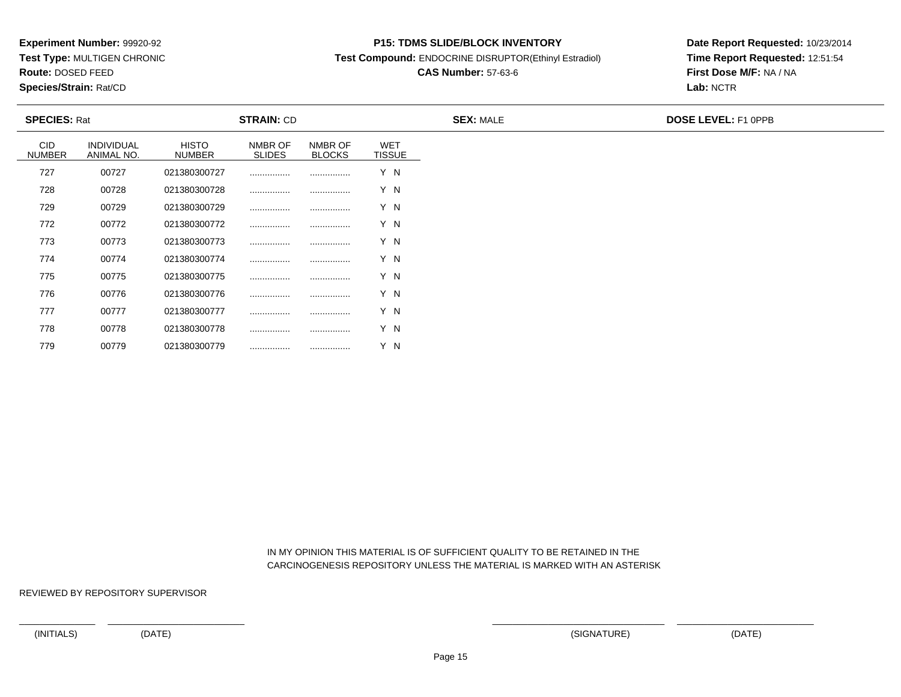**Test Type:** MULTIGEN CHRONIC

**Route:** DOSED FEED

**Species/Strain:** Rat/CD

#### **P15: TDMS SLIDE/BLOCK INVENTORY**

**Test Compound:** ENDOCRINE DISRUPTOR(Ethinyl Estradiol)

# **CAS Number:** 57-63-6

**Date Report Requested:** 10/23/2014**Time Report Requested:** 12:51:54**First Dose M/F:** NA / NA**Lab:** NCTR

| <b>SPECIES: Rat</b>         |                          |                               | <b>STRAIN: CD</b>        |                          |                             |
|-----------------------------|--------------------------|-------------------------------|--------------------------|--------------------------|-----------------------------|
| <b>CID</b><br><b>NUMBER</b> | INDIVIDUAL<br>ANIMAL NO. | <b>HISTO</b><br><b>NUMBER</b> | NMBR OF<br><b>SLIDES</b> | NMBR OF<br><b>BLOCKS</b> | <b>WET</b><br><b>TISSUE</b> |
| 727                         | 00727                    | 021380300727                  |                          |                          | Y N                         |
| 728                         | 00728                    | 021380300728                  |                          |                          | Y N                         |
| 729                         | 00729                    | 021380300729                  |                          |                          | Y N                         |
| 772                         | 00772                    | 021380300772                  |                          |                          | Y N                         |
| 773                         | 00773                    | 021380300773                  |                          |                          | Y N                         |
| 774                         | 00774                    | 021380300774                  |                          |                          | Y N                         |
| 775                         | 00775                    | 021380300775                  |                          |                          | Y N                         |
| 776                         | 00776                    | 021380300776                  |                          |                          | Y N                         |
| 777                         | 00777                    | 021380300777                  |                          |                          | Y N                         |
| 778                         | 00778                    | 021380300778                  |                          |                          | Y N                         |

 IN MY OPINION THIS MATERIAL IS OF SUFFICIENT QUALITY TO BE RETAINED IN THECARCINOGENESIS REPOSITORY UNLESS THE MATERIAL IS MARKED WITH AN ASTERISK

REVIEWED BY REPOSITORY SUPERVISOR

779

<sup>00779</sup> <sup>021380300779</sup> ................ ................ Y N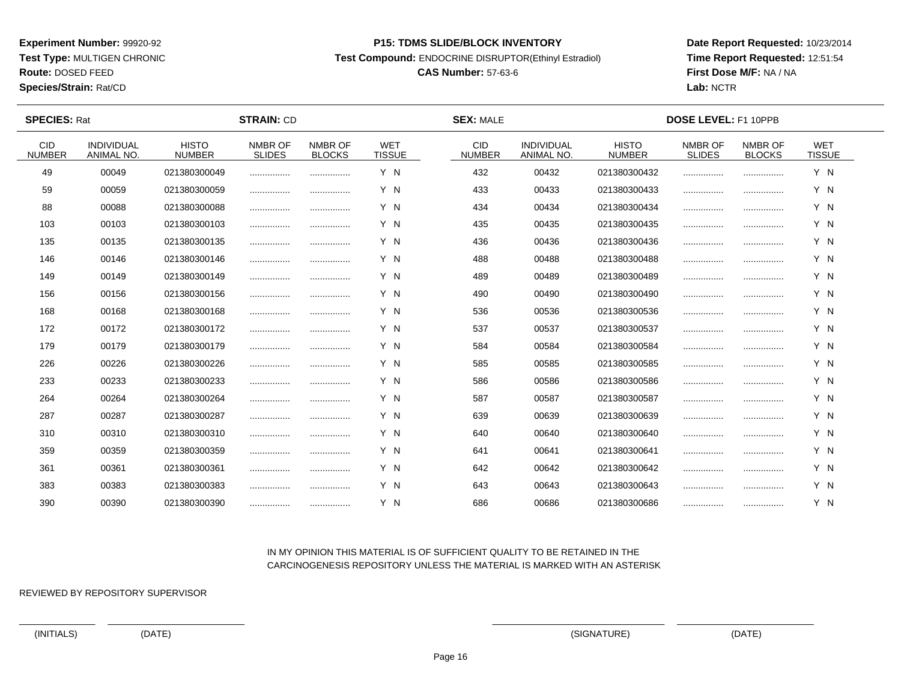**Test Type:** MULTIGEN CHRONIC

# **Route:** DOSED FEED

**Species/Strain:** Rat/CD

#### **P15: TDMS SLIDE/BLOCK INVENTORY**

**Test Compound:** ENDOCRINE DISRUPTOR(Ethinyl Estradiol)

# **CAS Number:** 57-63-6

**Date Report Requested:** 10/23/2014**Time Report Requested:** 12:51:54**First Dose M/F:** NA / NA**Lab:** NCTR

 $\overline{\phantom{a}}$ 

| <b>SPECIES: Rat</b>         |                                 |                               | <b>STRAIN: CD</b>        |                          |                             | <b>SEX: MALE</b>            |                                 |                               | <b>DOSE LEVEL: F1 10PPB</b> |                          |                             |  |
|-----------------------------|---------------------------------|-------------------------------|--------------------------|--------------------------|-----------------------------|-----------------------------|---------------------------------|-------------------------------|-----------------------------|--------------------------|-----------------------------|--|
| <b>CID</b><br><b>NUMBER</b> | <b>INDIVIDUAL</b><br>ANIMAL NO. | <b>HISTO</b><br><b>NUMBER</b> | NMBR OF<br><b>SLIDES</b> | NMBR OF<br><b>BLOCKS</b> | <b>WET</b><br><b>TISSUE</b> | <b>CID</b><br><b>NUMBER</b> | <b>INDIVIDUAL</b><br>ANIMAL NO. | <b>HISTO</b><br><b>NUMBER</b> | NMBR OF<br><b>SLIDES</b>    | NMBR OF<br><b>BLOCKS</b> | <b>WET</b><br><b>TISSUE</b> |  |
| 49                          | 00049                           | 021380300049                  |                          |                          | Y N                         | 432                         | 00432                           | 021380300432                  |                             |                          | Y N                         |  |
| 59                          | 00059                           | 021380300059                  | .                        |                          | Y N                         | 433                         | 00433                           | 021380300433                  |                             |                          | Y N                         |  |
| 88                          | 00088                           | 021380300088                  |                          |                          | Y N                         | 434                         | 00434                           | 021380300434                  |                             |                          | Y N                         |  |
| 103                         | 00103                           | 021380300103                  |                          |                          | Y N                         | 435                         | 00435                           | 021380300435                  |                             |                          | Y N                         |  |
| 135                         | 00135                           | 021380300135                  |                          |                          | Y N                         | 436                         | 00436                           | 021380300436                  | .                           |                          | Y N                         |  |
| 146                         | 00146                           | 021380300146                  |                          | .                        | Y N                         | 488                         | 00488                           | 021380300488                  |                             |                          | Y N                         |  |
| 149                         | 00149                           | 021380300149                  |                          |                          | Y N                         | 489                         | 00489                           | 021380300489                  |                             |                          | Y N                         |  |
| 156                         | 00156                           | 021380300156                  |                          | .                        | Y N                         | 490                         | 00490                           | 021380300490                  |                             |                          | Y N                         |  |
| 168                         | 00168                           | 021380300168                  |                          |                          | Y N                         | 536                         | 00536                           | 021380300536                  |                             |                          | Y N                         |  |
| 172                         | 00172                           | 021380300172                  |                          |                          | Y N                         | 537                         | 00537                           | 021380300537                  |                             |                          | Y N                         |  |
| 179                         | 00179                           | 021380300179                  | .                        |                          | Y N                         | 584                         | 00584                           | 021380300584                  |                             |                          | Y N                         |  |
| 226                         | 00226                           | 021380300226                  |                          |                          | Y N                         | 585                         | 00585                           | 021380300585                  |                             |                          | Y N                         |  |
| 233                         | 00233                           | 021380300233                  |                          |                          | Y N                         | 586                         | 00586                           | 021380300586                  |                             |                          | Y N                         |  |
| 264                         | 00264                           | 021380300264                  |                          |                          | Y N                         | 587                         | 00587                           | 021380300587                  |                             |                          | Y N                         |  |
| 287                         | 00287                           | 021380300287                  |                          |                          | Y N                         | 639                         | 00639                           | 021380300639                  |                             |                          | Y N                         |  |
| 310                         | 00310                           | 021380300310                  |                          |                          | Y N                         | 640                         | 00640                           | 021380300640                  |                             |                          | Y N                         |  |
| 359                         | 00359                           | 021380300359                  | .                        | .                        | Y N                         | 641                         | 00641                           | 021380300641                  |                             |                          | Y N                         |  |
| 361                         | 00361                           | 021380300361                  |                          | .                        | Y N                         | 642                         | 00642                           | 021380300642                  |                             |                          | Y N                         |  |
| 383                         | 00383                           | 021380300383                  |                          |                          | Y N                         | 643                         | 00643                           | 021380300643                  |                             |                          | Y N                         |  |
| 390                         | 00390                           | 021380300390                  |                          |                          | Y N                         | 686                         | 00686                           | 021380300686                  |                             |                          | Y N                         |  |

### IN MY OPINION THIS MATERIAL IS OF SUFFICIENT QUALITY TO BE RETAINED IN THECARCINOGENESIS REPOSITORY UNLESS THE MATERIAL IS MARKED WITH AN ASTERISK

REVIEWED BY REPOSITORY SUPERVISOR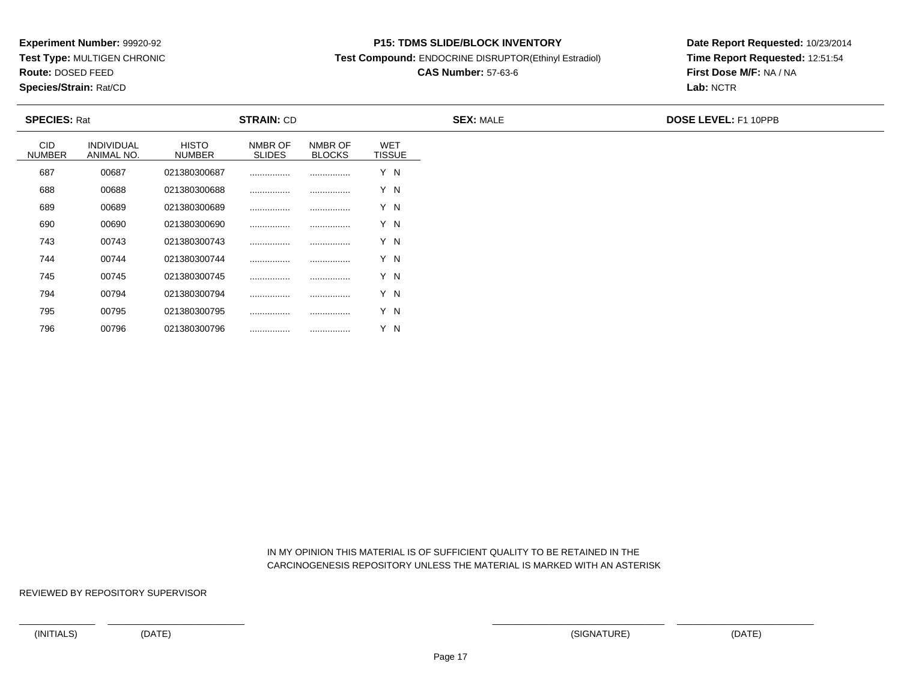**Test Type:** MULTIGEN CHRONIC

**Route:** DOSED FEED

796

**Species/Strain:** Rat/CD

#### **P15: TDMS SLIDE/BLOCK INVENTORY**

**Test Compound:** ENDOCRINE DISRUPTOR(Ethinyl Estradiol)

# **CAS Number:** 57-63-6

**Date Report Requested:** 10/23/2014**Time Report Requested:** 12:51:54**First Dose M/F:** NA / NA**Lab:** NCTR

| <b>SPECIES: Rat</b>  |                                 |                        | <b>STRAIN: CD</b>        |                          |                             | <b>SEX: MALE</b> | <b>DOSE LEVEL: F1 10PPB</b> |
|----------------------|---------------------------------|------------------------|--------------------------|--------------------------|-----------------------------|------------------|-----------------------------|
| CID<br><b>NUMBER</b> | <b>INDIVIDUAL</b><br>ANIMAL NO. | <b>HISTO</b><br>NUMBER | NMBR OF<br><b>SLIDES</b> | NMBR OF<br><b>BLOCKS</b> | <b>WET</b><br><b>TISSUE</b> |                  |                             |
| 687                  | 00687                           | 021380300687           |                          |                          | Y N                         |                  |                             |
| 688                  | 00688                           | 021380300688           |                          |                          | Y N                         |                  |                             |
| 689                  | 00689                           | 021380300689           |                          |                          | Y N                         |                  |                             |
| 690                  | 00690                           | 021380300690           |                          |                          | Y N                         |                  |                             |
| 743                  | 00743                           | 021380300743           |                          |                          | Y N                         |                  |                             |
| 744                  | 00744                           | 021380300744           |                          |                          | Y N                         |                  |                             |
| 745                  | 00745                           | 021380300745           |                          |                          | Y N                         |                  |                             |
| 794                  | 00794                           | 021380300794           |                          |                          | Y N                         |                  |                             |
| 795                  | 00795                           | 021380300795           |                          |                          | Y N                         |                  |                             |

 IN MY OPINION THIS MATERIAL IS OF SUFFICIENT QUALITY TO BE RETAINED IN THECARCINOGENESIS REPOSITORY UNLESS THE MATERIAL IS MARKED WITH AN ASTERISK

REVIEWED BY REPOSITORY SUPERVISOR

<sup>00796</sup> <sup>021380300796</sup> ................ ................ Y N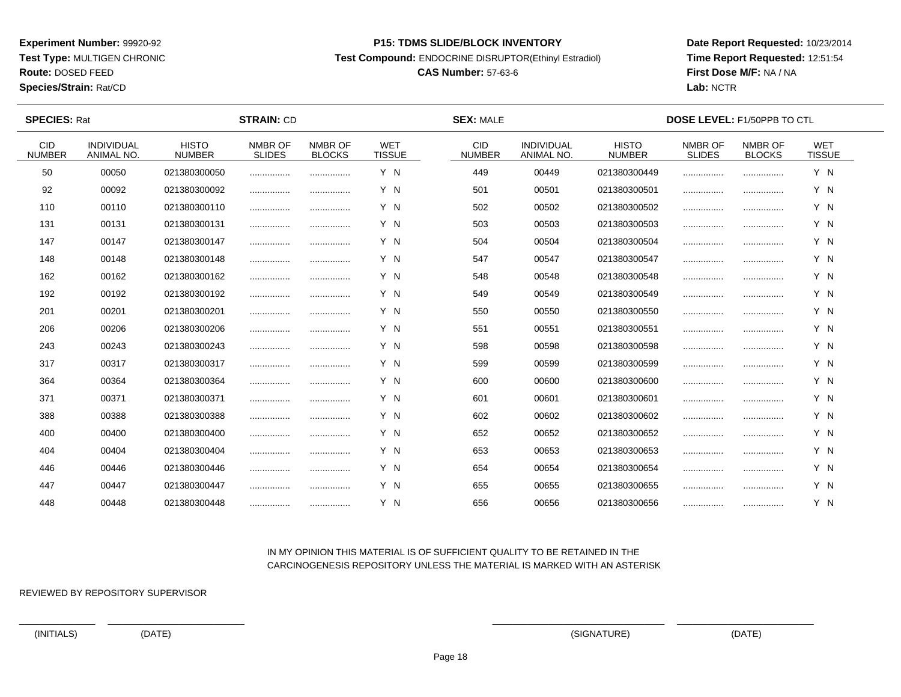**Test Type:** MULTIGEN CHRONIC

**Route:** DOSED FEED

**Species/Strain:** Rat/CD

#### **P15: TDMS SLIDE/BLOCK INVENTORY**

**Test Compound:** ENDOCRINE DISRUPTOR(Ethinyl Estradiol)

# **CAS Number:** 57-63-6

**Date Report Requested:** 10/23/2014**Time Report Requested:** 12:51:54**First Dose M/F:** NA / NA**Lab:** NCTR

| <b>SPECIES: Rat</b>         |                          |                               | <b>STRAIN: CD</b>        |                          | <b>SEX: MALE</b>            |                             |                                        | <b>DOSE LEVEL: F1/50PPB TO CTL</b> |                          |                          |                             |  |
|-----------------------------|--------------------------|-------------------------------|--------------------------|--------------------------|-----------------------------|-----------------------------|----------------------------------------|------------------------------------|--------------------------|--------------------------|-----------------------------|--|
| <b>CID</b><br><b>NUMBER</b> | INDIVIDUAL<br>ANIMAL NO. | <b>HISTO</b><br><b>NUMBER</b> | NMBR OF<br><b>SLIDES</b> | NMBR OF<br><b>BLOCKS</b> | <b>WET</b><br><b>TISSUE</b> | <b>CID</b><br><b>NUMBER</b> | <b>INDIVIDUAL</b><br><b>ANIMAL NO.</b> | <b>HISTO</b><br><b>NUMBER</b>      | NMBR OF<br><b>SLIDES</b> | NMBR OF<br><b>BLOCKS</b> | <b>WET</b><br><b>TISSUE</b> |  |
| 50                          | 00050                    | 021380300050                  |                          |                          | Y N                         | 449                         | 00449                                  | 021380300449                       |                          |                          | Y N                         |  |
| 92                          | 00092                    | 021380300092                  |                          |                          | Y N                         | 501                         | 00501                                  | 021380300501                       |                          |                          | Y N                         |  |
| 110                         | 00110                    | 021380300110                  |                          |                          | Y N                         | 502                         | 00502                                  | 021380300502                       |                          |                          | Y N                         |  |
| 131                         | 00131                    | 021380300131                  |                          |                          | Y N                         | 503                         | 00503                                  | 021380300503                       |                          |                          | Y N                         |  |
| 147                         | 00147                    | 021380300147                  |                          |                          | Y N                         | 504                         | 00504                                  | 021380300504                       |                          |                          | Y N                         |  |
| 148                         | 00148                    | 021380300148                  |                          | .                        | Y N                         | 547                         | 00547                                  | 021380300547                       |                          | .                        | Y N                         |  |
| 162                         | 00162                    | 021380300162                  |                          |                          | Y N                         | 548                         | 00548                                  | 021380300548                       |                          |                          | Y N                         |  |
| 192                         | 00192                    | 021380300192                  |                          |                          | Y N                         | 549                         | 00549                                  | 021380300549                       |                          |                          | Y N                         |  |
| 201                         | 00201                    | 021380300201                  |                          |                          | Y N                         | 550                         | 00550                                  | 021380300550                       |                          |                          | Y N                         |  |
| 206                         | 00206                    | 021380300206                  |                          |                          | Y N                         | 551                         | 00551                                  | 021380300551                       |                          |                          | Y N                         |  |
| 243                         | 00243                    | 021380300243                  |                          |                          | Y N                         | 598                         | 00598                                  | 021380300598                       |                          |                          | Y N                         |  |
| 317                         | 00317                    | 021380300317                  |                          |                          | Y N                         | 599                         | 00599                                  | 021380300599                       |                          |                          | Y N                         |  |
| 364                         | 00364                    | 021380300364                  |                          |                          | Y N                         | 600                         | 00600                                  | 021380300600                       |                          |                          | Y N                         |  |
| 371                         | 00371                    | 021380300371                  |                          |                          | Y N                         | 601                         | 00601                                  | 021380300601                       |                          |                          | Y N                         |  |
| 388                         | 00388                    | 021380300388                  |                          |                          | Y N                         | 602                         | 00602                                  | 021380300602                       |                          |                          | Y N                         |  |
| 400                         | 00400                    | 021380300400                  |                          |                          | Y N                         | 652                         | 00652                                  | 021380300652                       |                          |                          | Y N                         |  |
| 404                         | 00404                    | 021380300404                  |                          |                          | Y N                         | 653                         | 00653                                  | 021380300653                       |                          |                          | Y N                         |  |
| 446                         | 00446                    | 021380300446                  |                          |                          | Y N                         | 654                         | 00654                                  | 021380300654                       |                          |                          | Y N                         |  |
| 447                         | 00447                    | 021380300447                  |                          |                          | Y N                         | 655                         | 00655                                  | 021380300655                       |                          |                          | Y N                         |  |
| 448                         | 00448                    | 021380300448                  |                          |                          | Y N                         | 656                         | 00656                                  | 021380300656                       |                          |                          | Y N                         |  |

## IN MY OPINION THIS MATERIAL IS OF SUFFICIENT QUALITY TO BE RETAINED IN THECARCINOGENESIS REPOSITORY UNLESS THE MATERIAL IS MARKED WITH AN ASTERISK

REVIEWED BY REPOSITORY SUPERVISOR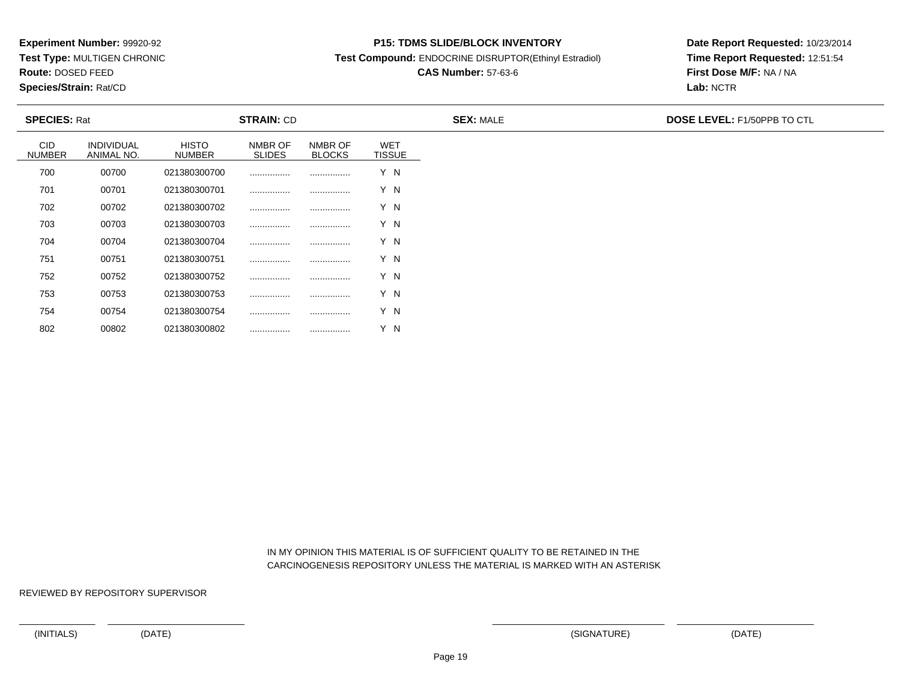**Test Type:** MULTIGEN CHRONIC

**Route:** DOSED FEED

802

**Species/Strain:** Rat/CD

#### **P15: TDMS SLIDE/BLOCK INVENTORY**

**Test Compound:** ENDOCRINE DISRUPTOR(Ethinyl Estradiol)

## **CAS Number:** 57-63-6

**Date Report Requested:** 10/23/2014**Time Report Requested:** 12:51:54**First Dose M/F:** NA / NA**Lab:** NCTR

| <b>SPECIES: Rat</b>         |                                 |                               | <b>STRAIN: CD</b>        |                          |                             | <b>SEX: MALE</b> | <b>DOSE LEVEL: F1/50PPB TO CTL</b> |
|-----------------------------|---------------------------------|-------------------------------|--------------------------|--------------------------|-----------------------------|------------------|------------------------------------|
| <b>CID</b><br><b>NUMBER</b> | <b>INDIVIDUAL</b><br>ANIMAL NO. | <b>HISTO</b><br><b>NUMBER</b> | NMBR OF<br><b>SLIDES</b> | NMBR OF<br><b>BLOCKS</b> | <b>WET</b><br><b>TISSUE</b> |                  |                                    |
| 700                         | 00700                           | 021380300700                  |                          |                          | Y N                         |                  |                                    |
| 701                         | 00701                           | 021380300701                  |                          |                          | Y N                         |                  |                                    |
| 702                         | 00702                           | 021380300702                  |                          |                          | Y N                         |                  |                                    |
| 703                         | 00703                           | 021380300703                  |                          |                          | Y N                         |                  |                                    |
| 704                         | 00704                           | 021380300704                  |                          |                          | Y N                         |                  |                                    |
| 751                         | 00751                           | 021380300751                  |                          |                          | Y N                         |                  |                                    |
| 752                         | 00752                           | 021380300752                  |                          |                          | Y N                         |                  |                                    |
| 753                         | 00753                           | 021380300753                  |                          |                          | Y N                         |                  |                                    |
| 754                         | 00754                           | 021380300754                  |                          |                          | Y N                         |                  |                                    |

 IN MY OPINION THIS MATERIAL IS OF SUFFICIENT QUALITY TO BE RETAINED IN THECARCINOGENESIS REPOSITORY UNLESS THE MATERIAL IS MARKED WITH AN ASTERISK

REVIEWED BY REPOSITORY SUPERVISOR

<sup>00802</sup> <sup>021380300802</sup> ................ ................ Y N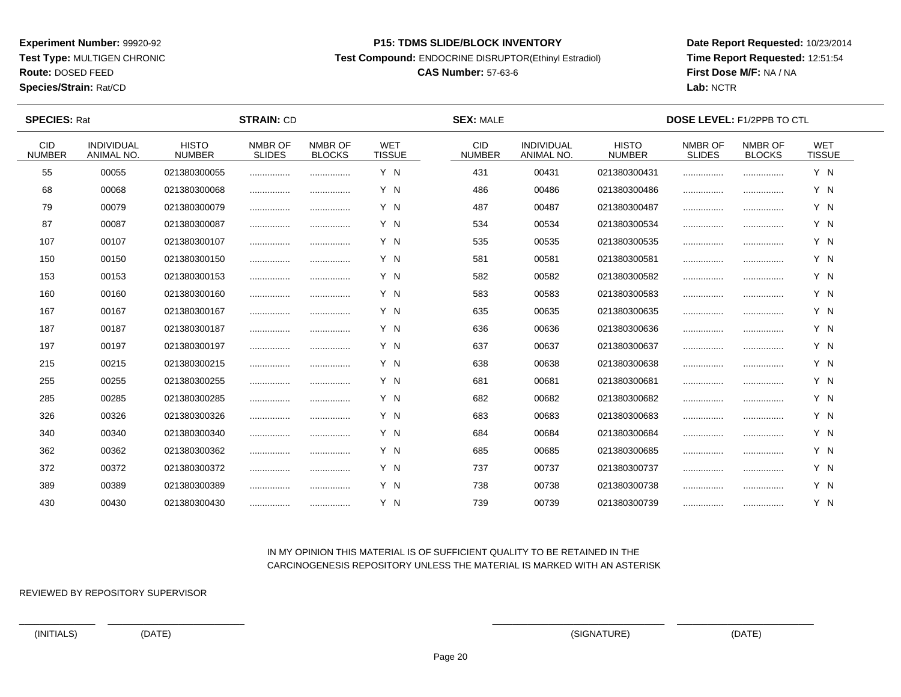**Test Type:** MULTIGEN CHRONIC

**Route:** DOSED FEED

**Species/Strain:** Rat/CD

#### **P15: TDMS SLIDE/BLOCK INVENTORY**

**Test Compound:** ENDOCRINE DISRUPTOR(Ethinyl Estradiol)

# **CAS Number:** 57-63-6

**Date Report Requested:** 10/23/2014**Time Report Requested:** 12:51:54**First Dose M/F:** NA / NA**Lab:** NCTR

| <b>SPECIES: Rat</b>         |                                 |                               | <b>STRAIN: CD</b>        |                          |                             | <b>SEX: MALE</b>            |                                 |                               | <b>DOSE LEVEL: F1/2PPB TO CTL</b> |                          |                             |  |
|-----------------------------|---------------------------------|-------------------------------|--------------------------|--------------------------|-----------------------------|-----------------------------|---------------------------------|-------------------------------|-----------------------------------|--------------------------|-----------------------------|--|
| <b>CID</b><br><b>NUMBER</b> | <b>INDIVIDUAL</b><br>ANIMAL NO. | <b>HISTO</b><br><b>NUMBER</b> | NMBR OF<br><b>SLIDES</b> | NMBR OF<br><b>BLOCKS</b> | <b>WET</b><br><b>TISSUE</b> | <b>CID</b><br><b>NUMBER</b> | <b>INDIVIDUAL</b><br>ANIMAL NO. | <b>HISTO</b><br><b>NUMBER</b> | NMBR OF<br><b>SLIDES</b>          | NMBR OF<br><b>BLOCKS</b> | <b>WET</b><br><b>TISSUE</b> |  |
| 55                          | 00055                           | 021380300055                  |                          |                          | Y N                         | 431                         | 00431                           | 021380300431                  |                                   |                          | Y N                         |  |
| 68                          | 00068                           | 021380300068                  |                          |                          | Y N                         | 486                         | 00486                           | 021380300486                  |                                   |                          | Y N                         |  |
| 79                          | 00079                           | 021380300079                  |                          |                          | Y N                         | 487                         | 00487                           | 021380300487                  |                                   |                          | Y N                         |  |
| 87                          | 00087                           | 021380300087                  |                          |                          | Y N                         | 534                         | 00534                           | 021380300534                  |                                   |                          | Y N                         |  |
| 107                         | 00107                           | 021380300107                  |                          |                          | Y N                         | 535                         | 00535                           | 021380300535                  |                                   |                          | Y N                         |  |
| 150                         | 00150                           | 021380300150                  |                          |                          | Y N                         | 581                         | 00581                           | 021380300581                  |                                   |                          | Y N                         |  |
| 153                         | 00153                           | 021380300153                  |                          |                          | Y N                         | 582                         | 00582                           | 021380300582                  |                                   |                          | Y N                         |  |
| 160                         | 00160                           | 021380300160                  |                          |                          | Y N                         | 583                         | 00583                           | 021380300583                  |                                   |                          | Y N                         |  |
| 167                         | 00167                           | 021380300167                  |                          |                          | Y N                         | 635                         | 00635                           | 021380300635                  |                                   |                          | Y N                         |  |
| 187                         | 00187                           | 021380300187                  |                          |                          | Y N                         | 636                         | 00636                           | 021380300636                  |                                   |                          | Y N                         |  |
| 197                         | 00197                           | 021380300197                  |                          |                          | Y N                         | 637                         | 00637                           | 021380300637                  |                                   |                          | Y N                         |  |
| 215                         | 00215                           | 021380300215                  |                          |                          | Y N                         | 638                         | 00638                           | 021380300638                  |                                   |                          | Y N                         |  |
| 255                         | 00255                           | 021380300255                  |                          |                          | Y N                         | 681                         | 00681                           | 021380300681                  |                                   |                          | Y N                         |  |
| 285                         | 00285                           | 021380300285                  |                          |                          | Y N                         | 682                         | 00682                           | 021380300682                  |                                   |                          | Y N                         |  |
| 326                         | 00326                           | 021380300326                  |                          |                          | Y N                         | 683                         | 00683                           | 021380300683                  |                                   |                          | Y N                         |  |
| 340                         | 00340                           | 021380300340                  |                          |                          | Y N                         | 684                         | 00684                           | 021380300684                  |                                   |                          | Y N                         |  |
| 362                         | 00362                           | 021380300362                  |                          |                          | Y N                         | 685                         | 00685                           | 021380300685                  |                                   |                          | Y N                         |  |
| 372                         | 00372                           | 021380300372                  |                          |                          | Y N                         | 737                         | 00737                           | 021380300737                  |                                   |                          | Y N                         |  |
| 389                         | 00389                           | 021380300389                  |                          |                          | Y N                         | 738                         | 00738                           | 021380300738                  |                                   |                          | Y N                         |  |
| 430                         | 00430                           | 021380300430                  |                          |                          | Y N                         | 739                         | 00739                           | 021380300739                  |                                   |                          | Y N                         |  |

## IN MY OPINION THIS MATERIAL IS OF SUFFICIENT QUALITY TO BE RETAINED IN THECARCINOGENESIS REPOSITORY UNLESS THE MATERIAL IS MARKED WITH AN ASTERISK

REVIEWED BY REPOSITORY SUPERVISOR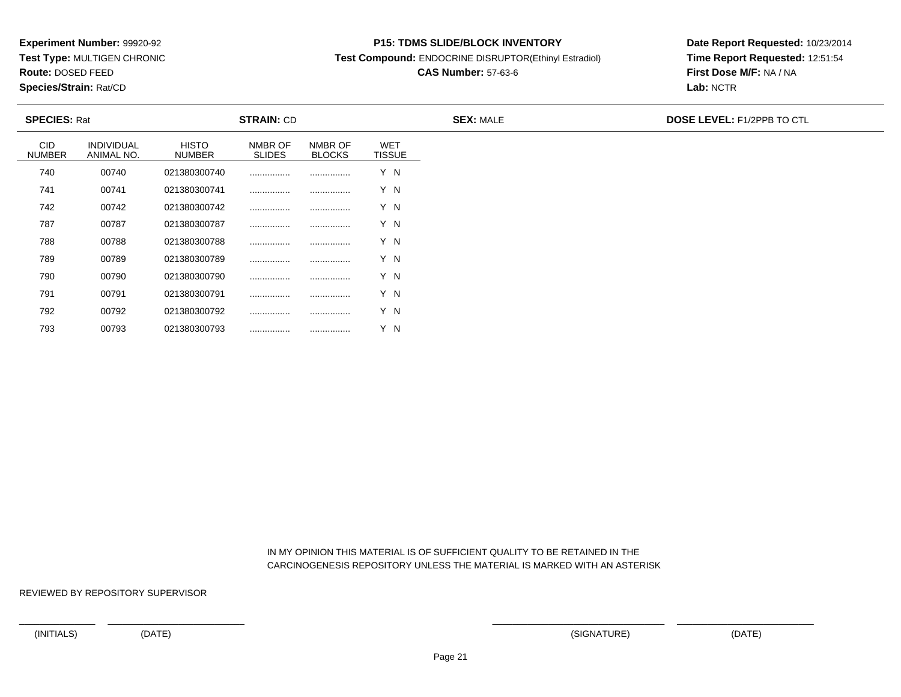**Test Type:** MULTIGEN CHRONIC

**Route:** DOSED FEED

793

**Species/Strain:** Rat/CD

#### **P15: TDMS SLIDE/BLOCK INVENTORY**

**Test Compound:** ENDOCRINE DISRUPTOR(Ethinyl Estradiol)

# **CAS Number:** 57-63-6

**Date Report Requested:** 10/23/2014**Time Report Requested:** 12:51:54**First Dose M/F:** NA / NA**Lab:** NCTR

| <b>SPECIES: Rat</b>         |                                 |                        | <b>STRAIN: CD</b>        |                          |                             | <b>SEX: MALE</b> | <b>DOSE LEVEL: F1/2PPB TO CTL</b> |
|-----------------------------|---------------------------------|------------------------|--------------------------|--------------------------|-----------------------------|------------------|-----------------------------------|
| <b>CID</b><br><b>NUMBER</b> | <b>INDIVIDUAL</b><br>ANIMAL NO. | <b>HISTO</b><br>NUMBER | NMBR OF<br><b>SLIDES</b> | NMBR OF<br><b>BLOCKS</b> | <b>WET</b><br><b>TISSUE</b> |                  |                                   |
| 740                         | 00740                           | 021380300740           |                          |                          | Y N                         |                  |                                   |
| 741                         | 00741                           | 021380300741           |                          |                          | Y N                         |                  |                                   |
| 742                         | 00742                           | 021380300742           |                          |                          | Y N                         |                  |                                   |
| 787                         | 00787                           | 021380300787           |                          |                          | Y N                         |                  |                                   |
| 788                         | 00788                           | 021380300788           |                          |                          | Y N                         |                  |                                   |
| 789                         | 00789                           | 021380300789           |                          |                          | Y N                         |                  |                                   |
| 790                         | 00790                           | 021380300790           |                          |                          | Y N                         |                  |                                   |
| 791                         | 00791                           | 021380300791           |                          |                          | Y N                         |                  |                                   |
| 792                         | 00792                           | 021380300792           |                          |                          | Y N                         |                  |                                   |

 IN MY OPINION THIS MATERIAL IS OF SUFFICIENT QUALITY TO BE RETAINED IN THECARCINOGENESIS REPOSITORY UNLESS THE MATERIAL IS MARKED WITH AN ASTERISK

REVIEWED BY REPOSITORY SUPERVISOR

<sup>00793</sup> <sup>021380300793</sup> ................ ................ Y N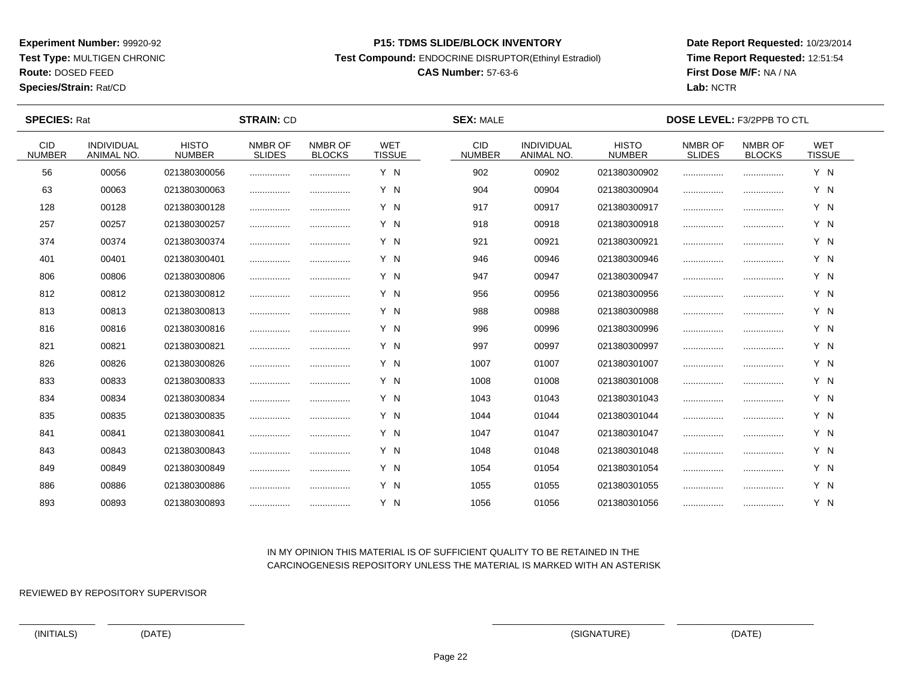**Test Type:** MULTIGEN CHRONIC

**Route:** DOSED FEED

**Species/Strain:** Rat/CD

#### **P15: TDMS SLIDE/BLOCK INVENTORY**

**Test Compound:** ENDOCRINE DISRUPTOR(Ethinyl Estradiol)

# **CAS Number:** 57-63-6

**Date Report Requested:** 10/23/2014**Time Report Requested:** 12:51:54**First Dose M/F:** NA / NA**Lab:** NCTR

| <b>SPECIES: Rat</b>         |                                 |                               | <b>STRAIN: CD</b>        |                          |                             | <b>SEX: MALE</b>            |                                 |                               | <b>DOSE LEVEL: F3/2PPB TO CTL</b> |                          |                             |  |
|-----------------------------|---------------------------------|-------------------------------|--------------------------|--------------------------|-----------------------------|-----------------------------|---------------------------------|-------------------------------|-----------------------------------|--------------------------|-----------------------------|--|
| <b>CID</b><br><b>NUMBER</b> | <b>INDIVIDUAL</b><br>ANIMAL NO. | <b>HISTO</b><br><b>NUMBER</b> | NMBR OF<br><b>SLIDES</b> | NMBR OF<br><b>BLOCKS</b> | <b>WET</b><br><b>TISSUE</b> | <b>CID</b><br><b>NUMBER</b> | <b>INDIVIDUAL</b><br>ANIMAL NO. | <b>HISTO</b><br><b>NUMBER</b> | NMBR OF<br><b>SLIDES</b>          | NMBR OF<br><b>BLOCKS</b> | <b>WET</b><br><b>TISSUE</b> |  |
| 56                          | 00056                           | 021380300056                  |                          |                          | Y N                         | 902                         | 00902                           | 021380300902                  |                                   |                          | Y N                         |  |
| 63                          | 00063                           | 021380300063                  |                          |                          | Y N                         | 904                         | 00904                           | 021380300904                  |                                   |                          | Y N                         |  |
| 128                         | 00128                           | 021380300128                  |                          |                          | Y N                         | 917                         | 00917                           | 021380300917                  |                                   |                          | Y N                         |  |
| 257                         | 00257                           | 021380300257                  |                          |                          | Y N                         | 918                         | 00918                           | 021380300918                  |                                   |                          | Y N                         |  |
| 374                         | 00374                           | 021380300374                  |                          | .                        | Y N                         | 921                         | 00921                           | 021380300921                  |                                   |                          | Y N                         |  |
| 401                         | 00401                           | 021380300401                  |                          |                          | Y N                         | 946                         | 00946                           | 021380300946                  |                                   |                          | Y N                         |  |
| 806                         | 00806                           | 021380300806                  |                          |                          | Y N                         | 947                         | 00947                           | 021380300947                  |                                   |                          | Y N                         |  |
| 812                         | 00812                           | 021380300812                  |                          |                          | Y N                         | 956                         | 00956                           | 021380300956                  |                                   |                          | Y N                         |  |
| 813                         | 00813                           | 021380300813                  |                          |                          | Y N                         | 988                         | 00988                           | 021380300988                  |                                   |                          | Y N                         |  |
| 816                         | 00816                           | 021380300816                  |                          |                          | Y N                         | 996                         | 00996                           | 021380300996                  |                                   |                          | Y N                         |  |
| 821                         | 00821                           | 021380300821                  |                          |                          | Y N                         | 997                         | 00997                           | 021380300997                  |                                   |                          | Y N                         |  |
| 826                         | 00826                           | 021380300826                  |                          |                          | Y N                         | 1007                        | 01007                           | 021380301007                  |                                   |                          | Y N                         |  |
| 833                         | 00833                           | 021380300833                  |                          |                          | Y N                         | 1008                        | 01008                           | 021380301008                  |                                   |                          | Y N                         |  |
| 834                         | 00834                           | 021380300834                  |                          |                          | Y N                         | 1043                        | 01043                           | 021380301043                  |                                   |                          | Y N                         |  |
| 835                         | 00835                           | 021380300835                  |                          |                          | Y N                         | 1044                        | 01044                           | 021380301044                  |                                   |                          | Y N                         |  |
| 841                         | 00841                           | 021380300841                  |                          |                          | Y N                         | 1047                        | 01047                           | 021380301047                  |                                   |                          | Y N                         |  |
| 843                         | 00843                           | 021380300843                  | .                        | .                        | Y N                         | 1048                        | 01048                           | 021380301048                  |                                   |                          | Y N                         |  |
| 849                         | 00849                           | 021380300849                  |                          |                          | Y N                         | 1054                        | 01054                           | 021380301054                  |                                   |                          | Y N                         |  |
| 886                         | 00886                           | 021380300886                  |                          |                          | Y N                         | 1055                        | 01055                           | 021380301055                  |                                   |                          | Y N                         |  |
| 893                         | 00893                           | 021380300893                  |                          |                          | Y N                         | 1056                        | 01056                           | 021380301056                  |                                   |                          | Y N                         |  |

## IN MY OPINION THIS MATERIAL IS OF SUFFICIENT QUALITY TO BE RETAINED IN THECARCINOGENESIS REPOSITORY UNLESS THE MATERIAL IS MARKED WITH AN ASTERISK

REVIEWED BY REPOSITORY SUPERVISOR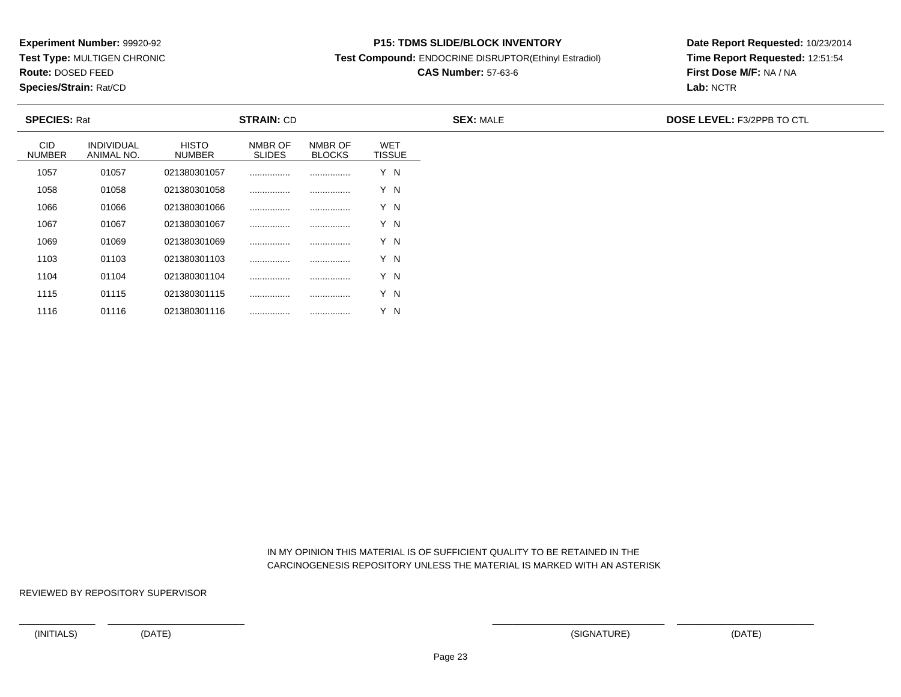**Test Type:** MULTIGEN CHRONIC

**Route:** DOSED FEED

1116

**Species/Strain:** Rat/CD

#### **P15: TDMS SLIDE/BLOCK INVENTORY**

**Test Compound:** ENDOCRINE DISRUPTOR(Ethinyl Estradiol)

# **CAS Number:** 57-63-6

**Date Report Requested:** 10/23/2014**Time Report Requested:** 12:51:54**First Dose M/F:** NA / NA**Lab:** NCTR

| <b>SPECIES: Rat</b>         |                                 | <b>STRAIN: CD</b>             |                          |                          |                             | <b>SEX: MALE</b> | <b>DOSE LEVEL: F3/2PPB TO CTL</b> |
|-----------------------------|---------------------------------|-------------------------------|--------------------------|--------------------------|-----------------------------|------------------|-----------------------------------|
| <b>CID</b><br><b>NUMBER</b> | <b>INDIVIDUAL</b><br>ANIMAL NO. | <b>HISTO</b><br><b>NUMBER</b> | NMBR OF<br><b>SLIDES</b> | NMBR OF<br><b>BLOCKS</b> | <b>WET</b><br><b>TISSUE</b> |                  |                                   |
| 1057                        | 01057                           | 021380301057                  |                          |                          | Y N                         |                  |                                   |
| 1058                        | 01058                           | 021380301058                  |                          |                          | Y N                         |                  |                                   |
| 1066                        | 01066                           | 021380301066                  |                          |                          | Y N                         |                  |                                   |
| 1067                        | 01067                           | 021380301067                  | .                        |                          | Y N                         |                  |                                   |
| 1069                        | 01069                           | 021380301069                  | .                        |                          | Y N                         |                  |                                   |
| 1103                        | 01103                           | 021380301103                  | .                        |                          | Y N                         |                  |                                   |
| 1104                        | 01104                           | 021380301104                  |                          |                          | Y N                         |                  |                                   |
| 1115                        | 01115                           | 021380301115                  |                          |                          | Y N                         |                  |                                   |

 IN MY OPINION THIS MATERIAL IS OF SUFFICIENT QUALITY TO BE RETAINED IN THECARCINOGENESIS REPOSITORY UNLESS THE MATERIAL IS MARKED WITH AN ASTERISK

REVIEWED BY REPOSITORY SUPERVISOR

<sup>01116</sup> <sup>021380301116</sup> ................ ................ Y N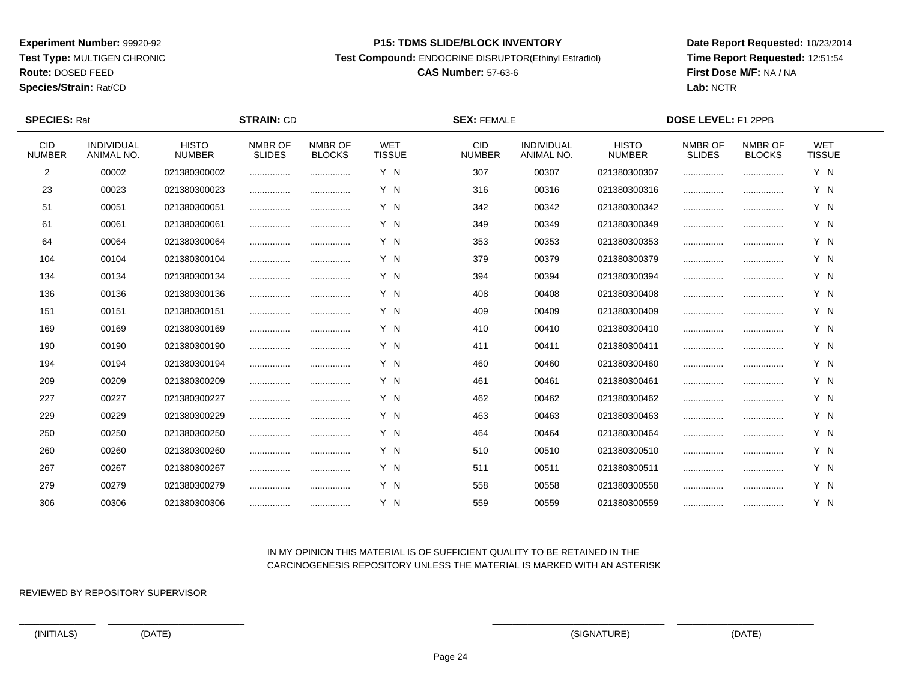**Test Type:** MULTIGEN CHRONIC

**Route:** DOSED FEED

**Species/Strain:** Rat/CD

#### **P15: TDMS SLIDE/BLOCK INVENTORY**

**Test Compound:** ENDOCRINE DISRUPTOR(Ethinyl Estradiol)

# **CAS Number:** 57-63-6

**Date Report Requested:** 10/23/2014**Time Report Requested:** 12:51:54**First Dose M/F:** NA / NA**Lab:** NCTR

| <b>SPECIES: Rat</b>         |                                 |                               | <b>STRAIN: CD</b>        |                          |                             | <b>SEX: FEMALE</b>    |                                 |                               | <b>DOSE LEVEL: F1 2PPB</b> |                          |                             |  |
|-----------------------------|---------------------------------|-------------------------------|--------------------------|--------------------------|-----------------------------|-----------------------|---------------------------------|-------------------------------|----------------------------|--------------------------|-----------------------------|--|
| <b>CID</b><br><b>NUMBER</b> | <b>INDIVIDUAL</b><br>ANIMAL NO. | <b>HISTO</b><br><b>NUMBER</b> | NMBR OF<br><b>SLIDES</b> | NMBR OF<br><b>BLOCKS</b> | <b>WET</b><br><b>TISSUE</b> | CID.<br><b>NUMBER</b> | <b>INDIVIDUAL</b><br>ANIMAL NO. | <b>HISTO</b><br><b>NUMBER</b> | NMBR OF<br><b>SLIDES</b>   | NMBR OF<br><b>BLOCKS</b> | <b>WET</b><br><b>TISSUE</b> |  |
| 2                           | 00002                           | 021380300002                  |                          |                          | Y N                         | 307                   | 00307                           | 021380300307                  |                            |                          | Y N                         |  |
| 23                          | 00023                           | 021380300023                  |                          |                          | Y N                         | 316                   | 00316                           | 021380300316                  |                            |                          | Y N                         |  |
| 51                          | 00051                           | 021380300051                  |                          |                          | Y N                         | 342                   | 00342                           | 021380300342                  |                            |                          | Y N                         |  |
| 61                          | 00061                           | 021380300061                  |                          |                          | Y N                         | 349                   | 00349                           | 021380300349                  |                            |                          | Y N                         |  |
| 64                          | 00064                           | 021380300064                  |                          |                          | Y N                         | 353                   | 00353                           | 021380300353                  |                            |                          | Y N                         |  |
| 104                         | 00104                           | 021380300104                  |                          |                          | Y N                         | 379                   | 00379                           | 021380300379                  |                            |                          | Y N                         |  |
| 134                         | 00134                           | 021380300134                  |                          |                          | Y N                         | 394                   | 00394                           | 021380300394                  |                            |                          | Y N                         |  |
| 136                         | 00136                           | 021380300136                  |                          |                          | Y N                         | 408                   | 00408                           | 021380300408                  |                            |                          | Y N                         |  |
| 151                         | 00151                           | 021380300151                  |                          |                          | Y N                         | 409                   | 00409                           | 021380300409                  |                            |                          | Y N                         |  |
| 169                         | 00169                           | 021380300169                  |                          |                          | Y N                         | 410                   | 00410                           | 021380300410                  |                            |                          | Y N                         |  |
| 190                         | 00190                           | 021380300190                  |                          |                          | Y N                         | 411                   | 00411                           | 021380300411                  |                            |                          | Y N                         |  |
| 194                         | 00194                           | 021380300194                  |                          |                          | Y N                         | 460                   | 00460                           | 021380300460                  |                            |                          | Y N                         |  |
| 209                         | 00209                           | 021380300209                  |                          |                          | Y N                         | 461                   | 00461                           | 021380300461                  |                            |                          | Y N                         |  |
| 227                         | 00227                           | 021380300227                  |                          |                          | Y N                         | 462                   | 00462                           | 021380300462                  |                            |                          | Y N                         |  |
| 229                         | 00229                           | 021380300229                  |                          |                          | Y N                         | 463                   | 00463                           | 021380300463                  |                            |                          | Y N                         |  |
| 250                         | 00250                           | 021380300250                  |                          |                          | Y N                         | 464                   | 00464                           | 021380300464                  |                            |                          | Y N                         |  |
| 260                         | 00260                           | 021380300260                  |                          |                          | Y N                         | 510                   | 00510                           | 021380300510                  |                            |                          | Y N                         |  |
| 267                         | 00267                           | 021380300267                  |                          |                          | Y N                         | 511                   | 00511                           | 021380300511                  |                            |                          | Y N                         |  |
| 279                         | 00279                           | 021380300279                  |                          |                          | Y N                         | 558                   | 00558                           | 021380300558                  |                            |                          | Y N                         |  |
| 306                         | 00306                           | 021380300306                  |                          |                          | Y N                         | 559                   | 00559                           | 021380300559                  |                            |                          | Y N                         |  |

## IN MY OPINION THIS MATERIAL IS OF SUFFICIENT QUALITY TO BE RETAINED IN THECARCINOGENESIS REPOSITORY UNLESS THE MATERIAL IS MARKED WITH AN ASTERISK

REVIEWED BY REPOSITORY SUPERVISOR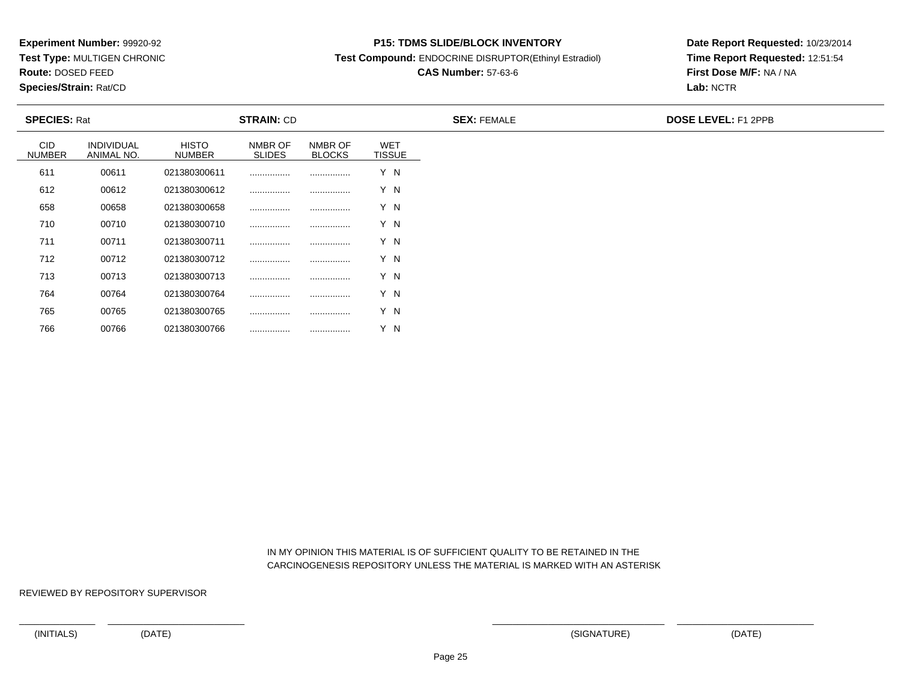**Test Type:** MULTIGEN CHRONIC

**Route:** DOSED FEED

766

**Species/Strain:** Rat/CD

#### **P15: TDMS SLIDE/BLOCK INVENTORY**

**Test Compound:** ENDOCRINE DISRUPTOR(Ethinyl Estradiol)

# **CAS Number:** 57-63-6

**Date Report Requested:** 10/23/2014**Time Report Requested:** 12:51:54**First Dose M/F:** NA / NA**Lab:** NCTR

| <b>SPECIES: Rat</b>         |                          |                               | <b>STRAIN: CD</b>        |                          |                             | <b>SEX: FEMALE</b> | <b>DOSE LEVEL: F1 2PPB</b> |
|-----------------------------|--------------------------|-------------------------------|--------------------------|--------------------------|-----------------------------|--------------------|----------------------------|
| <b>CID</b><br><b>NUMBER</b> | INDIVIDUAL<br>ANIMAL NO. | <b>HISTO</b><br><b>NUMBER</b> | NMBR OF<br><b>SLIDES</b> | NMBR OF<br><b>BLOCKS</b> | <b>WET</b><br><b>TISSUE</b> |                    |                            |
| 611                         | 00611                    | 021380300611                  |                          |                          | Y N                         |                    |                            |
| 612                         | 00612                    | 021380300612                  |                          |                          | Y N                         |                    |                            |
| 658                         | 00658                    | 021380300658                  |                          |                          | Y N                         |                    |                            |
| 710                         | 00710                    | 021380300710                  |                          |                          | Y N                         |                    |                            |
| 711                         | 00711                    | 021380300711                  |                          |                          | Y N                         |                    |                            |
| 712                         | 00712                    | 021380300712                  |                          |                          | Y N                         |                    |                            |
| 713                         | 00713                    | 021380300713                  |                          |                          | Y N                         |                    |                            |
| 764                         | 00764                    | 021380300764                  |                          |                          | Y N                         |                    |                            |
| 765                         | 00765                    | 021380300765                  |                          |                          | Y N                         |                    |                            |

 IN MY OPINION THIS MATERIAL IS OF SUFFICIENT QUALITY TO BE RETAINED IN THECARCINOGENESIS REPOSITORY UNLESS THE MATERIAL IS MARKED WITH AN ASTERISK

REVIEWED BY REPOSITORY SUPERVISOR

<sup>00766</sup> <sup>021380300766</sup> ................ ................ Y N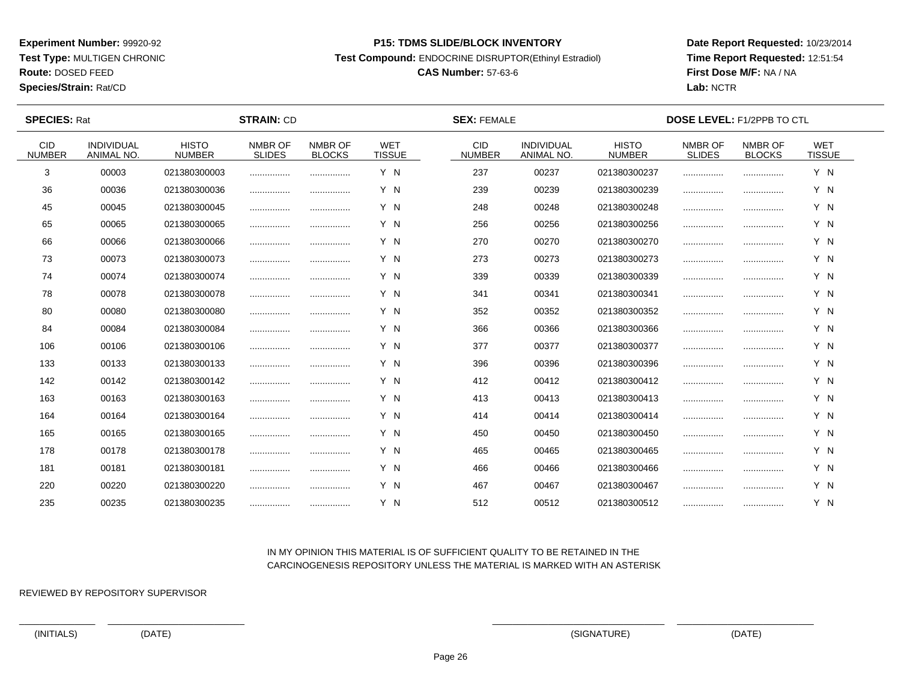**Test Type:** MULTIGEN CHRONIC

# **Route:** DOSED FEED

**Species/Strain:** Rat/CD

#### **P15: TDMS SLIDE/BLOCK INVENTORY**

**Test Compound:** ENDOCRINE DISRUPTOR(Ethinyl Estradiol)

# **CAS Number:** 57-63-6

**Date Report Requested:** 10/23/2014**Time Report Requested:** 12:51:54**First Dose M/F:** NA / NA**Lab:** NCTR

| <b>SPECIES: Rat</b>         |                                 |                               | <b>STRAIN: CD</b>        |                          | <b>SEX: FEMALE</b>          |                             |                                 | <b>DOSE LEVEL: F1/2PPB TO CTL</b> |                          |                          |                             |  |
|-----------------------------|---------------------------------|-------------------------------|--------------------------|--------------------------|-----------------------------|-----------------------------|---------------------------------|-----------------------------------|--------------------------|--------------------------|-----------------------------|--|
| <b>CID</b><br><b>NUMBER</b> | <b>INDIVIDUAL</b><br>ANIMAL NO. | <b>HISTO</b><br><b>NUMBER</b> | NMBR OF<br><b>SLIDES</b> | NMBR OF<br><b>BLOCKS</b> | <b>WET</b><br><b>TISSUE</b> | <b>CID</b><br><b>NUMBER</b> | <b>INDIVIDUAL</b><br>ANIMAL NO. | <b>HISTO</b><br><b>NUMBER</b>     | NMBR OF<br><b>SLIDES</b> | NMBR OF<br><b>BLOCKS</b> | <b>WET</b><br><b>TISSUE</b> |  |
| 3                           | 00003                           | 021380300003                  |                          |                          | Y N                         | 237                         | 00237                           | 021380300237                      |                          |                          | Y N                         |  |
| 36                          | 00036                           | 021380300036                  |                          |                          | Y N                         | 239                         | 00239                           | 021380300239                      |                          |                          | Y N                         |  |
| 45                          | 00045                           | 021380300045                  |                          |                          | Y N                         | 248                         | 00248                           | 021380300248                      |                          |                          | Y N                         |  |
| 65                          | 00065                           | 021380300065                  |                          |                          | Y N                         | 256                         | 00256                           | 021380300256                      |                          |                          | Y N                         |  |
| 66                          | 00066                           | 021380300066                  |                          |                          | Y N                         | 270                         | 00270                           | 021380300270                      |                          |                          | Y N                         |  |
| 73                          | 00073                           | 021380300073                  |                          |                          | Y N                         | 273                         | 00273                           | 021380300273                      |                          |                          | Y N                         |  |
| 74                          | 00074                           | 021380300074                  |                          |                          | Y N                         | 339                         | 00339                           | 021380300339                      |                          |                          | Y N                         |  |
| 78                          | 00078                           | 021380300078                  |                          |                          | Y N                         | 341                         | 00341                           | 021380300341                      |                          |                          | Y N                         |  |
| 80                          | 00080                           | 021380300080                  |                          |                          | Y N                         | 352                         | 00352                           | 021380300352                      |                          |                          | Y N                         |  |
| 84                          | 00084                           | 021380300084                  |                          |                          | Y N                         | 366                         | 00366                           | 021380300366                      |                          |                          | Y N                         |  |
| 106                         | 00106                           | 021380300106                  |                          |                          | Y N                         | 377                         | 00377                           | 021380300377                      |                          |                          | Y N                         |  |
| 133                         | 00133                           | 021380300133                  |                          |                          | Y N                         | 396                         | 00396                           | 021380300396                      |                          |                          | Y N                         |  |
| 142                         | 00142                           | 021380300142                  |                          |                          | Y N                         | 412                         | 00412                           | 021380300412                      |                          |                          | Y N                         |  |
| 163                         | 00163                           | 021380300163                  |                          |                          | Y N                         | 413                         | 00413                           | 021380300413                      |                          |                          | Y N                         |  |
| 164                         | 00164                           | 021380300164                  |                          |                          | Y N                         | 414                         | 00414                           | 021380300414                      |                          |                          | Y N                         |  |
| 165                         | 00165                           | 021380300165                  |                          |                          | Y N                         | 450                         | 00450                           | 021380300450                      |                          |                          | Y N                         |  |
| 178                         | 00178                           | 021380300178                  |                          |                          | Y N                         | 465                         | 00465                           | 021380300465                      |                          |                          | Y N                         |  |
| 181                         | 00181                           | 021380300181                  |                          |                          | Y N                         | 466                         | 00466                           | 021380300466                      |                          |                          | Y N                         |  |
| 220                         | 00220                           | 021380300220                  |                          |                          | Y N                         | 467                         | 00467                           | 021380300467                      |                          |                          | Y N                         |  |
| 235                         | 00235                           | 021380300235                  |                          |                          | Y N                         | 512                         | 00512                           | 021380300512                      |                          |                          | Y N                         |  |

## IN MY OPINION THIS MATERIAL IS OF SUFFICIENT QUALITY TO BE RETAINED IN THECARCINOGENESIS REPOSITORY UNLESS THE MATERIAL IS MARKED WITH AN ASTERISK

REVIEWED BY REPOSITORY SUPERVISOR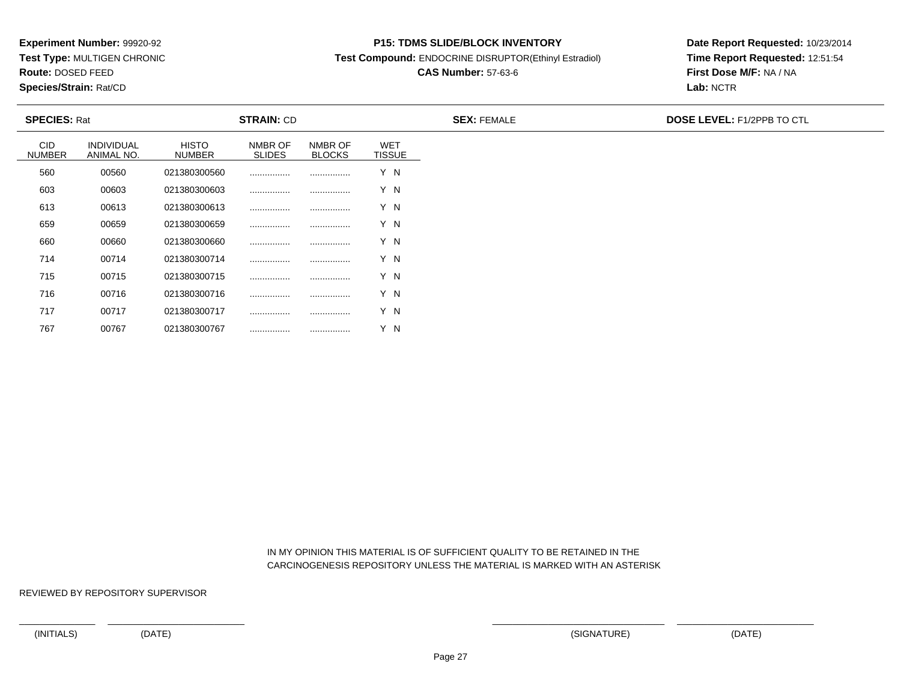**Test Type:** MULTIGEN CHRONIC

**Route:** DOSED FEED

767

**Species/Strain:** Rat/CD

#### **P15: TDMS SLIDE/BLOCK INVENTORY**

**Test Compound:** ENDOCRINE DISRUPTOR(Ethinyl Estradiol)

# **CAS Number:** 57-63-6

**Date Report Requested:** 10/23/2014**Time Report Requested:** 12:51:54**First Dose M/F:** NA / NA**Lab:** NCTR

| <b>SPECIES: Rat</b>         |                                 |                               | <b>STRAIN: CD</b>        |                          |                             | <b>SEX: FEMALE</b> | <b>DOSE LEVEL: F1/2PPB TO CTL</b> |
|-----------------------------|---------------------------------|-------------------------------|--------------------------|--------------------------|-----------------------------|--------------------|-----------------------------------|
| <b>CID</b><br><b>NUMBER</b> | <b>INDIVIDUAL</b><br>ANIMAL NO. | <b>HISTO</b><br><b>NUMBER</b> | NMBR OF<br><b>SLIDES</b> | NMBR OF<br><b>BLOCKS</b> | <b>WET</b><br><b>TISSUE</b> |                    |                                   |
| 560                         | 00560                           | 021380300560                  |                          |                          | Y N                         |                    |                                   |
| 603                         | 00603                           | 021380300603                  |                          |                          | Y N                         |                    |                                   |
| 613                         | 00613                           | 021380300613                  |                          |                          | Y N                         |                    |                                   |
| 659                         | 00659                           | 021380300659                  |                          |                          | Y N                         |                    |                                   |
| 660                         | 00660                           | 021380300660                  |                          |                          | Y N                         |                    |                                   |
| 714                         | 00714                           | 021380300714                  |                          |                          | Y N                         |                    |                                   |
| 715                         | 00715                           | 021380300715                  |                          |                          | Y N                         |                    |                                   |
| 716                         | 00716                           | 021380300716                  |                          |                          | Y N                         |                    |                                   |
| 717                         | 00717                           | 021380300717                  |                          |                          | Y N                         |                    |                                   |

 IN MY OPINION THIS MATERIAL IS OF SUFFICIENT QUALITY TO BE RETAINED IN THECARCINOGENESIS REPOSITORY UNLESS THE MATERIAL IS MARKED WITH AN ASTERISK

REVIEWED BY REPOSITORY SUPERVISOR

<sup>00767</sup> <sup>021380300767</sup> ................ ................ Y N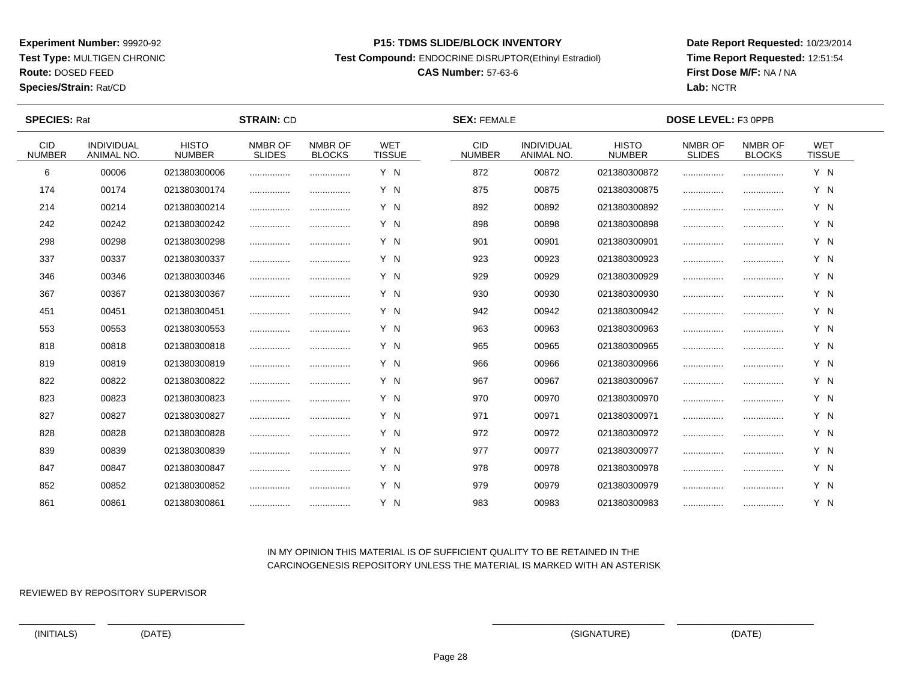**Test Type:** MULTIGEN CHRONIC

# **Route:** DOSED FEED

**Species/Strain:** Rat/CD

#### **P15: TDMS SLIDE/BLOCK INVENTORY**

**Test Compound:** ENDOCRINE DISRUPTOR(Ethinyl Estradiol)

## **CAS Number:** 57-63-6

**Date Report Requested:** 10/23/2014**Time Report Requested:** 12:51:54**First Dose M/F:** NA / NA**Lab:** NCTR

 $\overline{\phantom{a}}$ 

| <b>SPECIES: Rat</b>         |                                 |                               | <b>STRAIN: CD</b>        |                          |                             | <b>SEX: FEMALE</b>          |                                 |                               | DOSE LEVEL: F3 0PPB      |                          |                             |  |
|-----------------------------|---------------------------------|-------------------------------|--------------------------|--------------------------|-----------------------------|-----------------------------|---------------------------------|-------------------------------|--------------------------|--------------------------|-----------------------------|--|
| <b>CID</b><br><b>NUMBER</b> | <b>INDIVIDUAL</b><br>ANIMAL NO. | <b>HISTO</b><br><b>NUMBER</b> | NMBR OF<br><b>SLIDES</b> | NMBR OF<br><b>BLOCKS</b> | <b>WET</b><br><b>TISSUE</b> | <b>CID</b><br><b>NUMBER</b> | <b>INDIVIDUAL</b><br>ANIMAL NO. | <b>HISTO</b><br><b>NUMBER</b> | NMBR OF<br><b>SLIDES</b> | NMBR OF<br><b>BLOCKS</b> | <b>WET</b><br><b>TISSUE</b> |  |
| 6                           | 00006                           | 021380300006                  |                          |                          | Y N                         | 872                         | 00872                           | 021380300872                  |                          |                          | Y N                         |  |
| 174                         | 00174                           | 021380300174                  |                          |                          | Y N                         | 875                         | 00875                           | 021380300875                  |                          |                          | Y N                         |  |
| 214                         | 00214                           | 021380300214                  |                          |                          | Y N                         | 892                         | 00892                           | 021380300892                  |                          |                          | Y N                         |  |
| 242                         | 00242                           | 021380300242                  |                          |                          | Y N                         | 898                         | 00898                           | 021380300898                  |                          |                          | Y N                         |  |
| 298                         | 00298                           | 021380300298                  |                          |                          | Y N                         | 901                         | 00901                           | 021380300901                  |                          |                          | Y N                         |  |
| 337                         | 00337                           | 021380300337                  |                          |                          | Y N                         | 923                         | 00923                           | 021380300923                  |                          |                          | Y N                         |  |
| 346                         | 00346                           | 021380300346                  |                          |                          | Y N                         | 929                         | 00929                           | 021380300929                  |                          |                          | Y N                         |  |
| 367                         | 00367                           | 021380300367                  |                          |                          | Y N                         | 930                         | 00930                           | 021380300930                  |                          |                          | Y N                         |  |
| 451                         | 00451                           | 021380300451                  |                          |                          | Y N                         | 942                         | 00942                           | 021380300942                  |                          |                          | Y N                         |  |
| 553                         | 00553                           | 021380300553                  |                          |                          | Y N                         | 963                         | 00963                           | 021380300963                  |                          |                          | Y N                         |  |
| 818                         | 00818                           | 021380300818                  |                          |                          | Y N                         | 965                         | 00965                           | 021380300965                  |                          |                          | Y N                         |  |
| 819                         | 00819                           | 021380300819                  |                          |                          | Y N                         | 966                         | 00966                           | 021380300966                  |                          |                          | Y N                         |  |
| 822                         | 00822                           | 021380300822                  |                          |                          | Y N                         | 967                         | 00967                           | 021380300967                  |                          |                          | Y N                         |  |
| 823                         | 00823                           | 021380300823                  |                          | .                        | Y N                         | 970                         | 00970                           | 021380300970                  |                          |                          | Y N                         |  |
| 827                         | 00827                           | 021380300827                  |                          |                          | Y N                         | 971                         | 00971                           | 021380300971                  |                          |                          | Y N                         |  |
| 828                         | 00828                           | 021380300828                  |                          |                          | Y N                         | 972                         | 00972                           | 021380300972                  |                          |                          | Y N                         |  |
| 839                         | 00839                           | 021380300839                  | .                        |                          | Y N                         | 977                         | 00977                           | 021380300977                  |                          |                          | Y N                         |  |
| 847                         | 00847                           | 021380300847                  |                          |                          | Y N                         | 978                         | 00978                           | 021380300978                  |                          |                          | Y N                         |  |
| 852                         | 00852                           | 021380300852                  |                          |                          | Y N                         | 979                         | 00979                           | 021380300979                  |                          |                          | Y N                         |  |
| 861                         | 00861                           | 021380300861                  |                          |                          | Y N                         | 983                         | 00983                           | 021380300983                  |                          |                          | Y N                         |  |

### IN MY OPINION THIS MATERIAL IS OF SUFFICIENT QUALITY TO BE RETAINED IN THECARCINOGENESIS REPOSITORY UNLESS THE MATERIAL IS MARKED WITH AN ASTERISK

REVIEWED BY REPOSITORY SUPERVISOR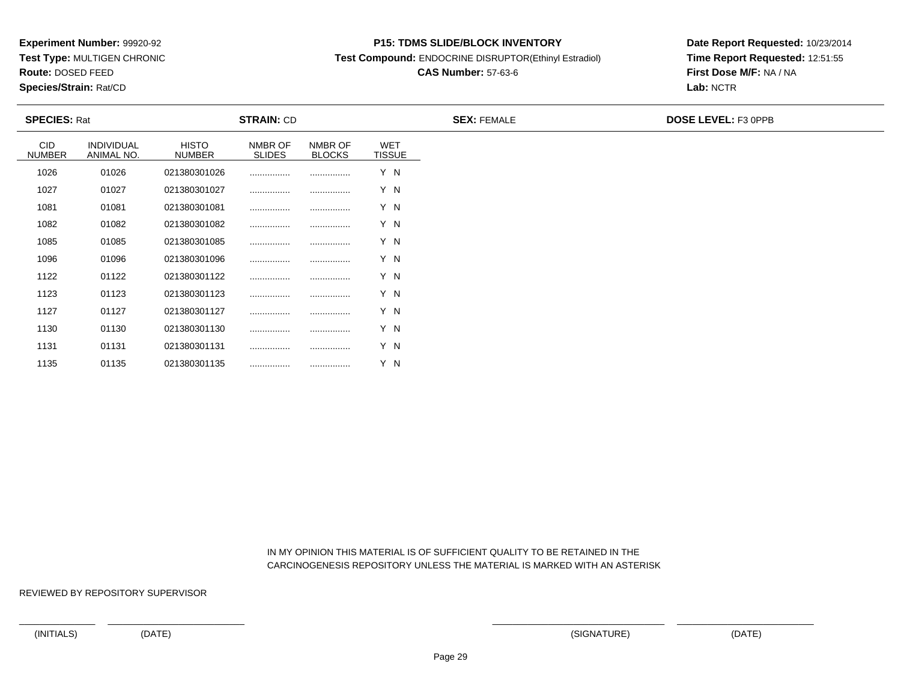**Test Type:** MULTIGEN CHRONIC

**Route:** DOSED FEED

**Species/Strain:** Rat/CD

#### **P15: TDMS SLIDE/BLOCK INVENTORY**

**Test Compound:** ENDOCRINE DISRUPTOR(Ethinyl Estradiol)

# **CAS Number:** 57-63-6

**Date Report Requested:** 10/23/2014**Time Report Requested:** 12:51:55**First Dose M/F:** NA / NA**Lab:** NCTR

| <b>SPECIES: Rat</b>         |                          | <b>STRAIN: CD</b>             |                          |                          | <b>SEX: FEMALE</b>          | <b>DOSE LEVEL: F3 OPPB</b> |  |
|-----------------------------|--------------------------|-------------------------------|--------------------------|--------------------------|-----------------------------|----------------------------|--|
| <b>CID</b><br><b>NUMBER</b> | INDIVIDUAL<br>ANIMAL NO. | <b>HISTO</b><br><b>NUMBER</b> | NMBR OF<br><b>SLIDES</b> | NMBR OF<br><b>BLOCKS</b> | <b>WET</b><br><b>TISSUE</b> |                            |  |
| 1026                        | 01026                    | 021380301026                  |                          |                          | Y N                         |                            |  |
| 1027                        | 01027                    | 021380301027                  |                          |                          | Y N                         |                            |  |
| 1081                        | 01081                    | 021380301081                  |                          |                          | Y N                         |                            |  |
| 1082                        | 01082                    | 021380301082                  |                          |                          | Y N                         |                            |  |
| 1085                        | 01085                    | 021380301085                  |                          |                          | Y N                         |                            |  |
| 1096                        | 01096                    | 021380301096                  |                          |                          | Y N                         |                            |  |
| 1122                        | 01122                    | 021380301122                  |                          |                          | Y N                         |                            |  |
| 1123                        | 01123                    | 021380301123                  |                          |                          | Y N                         |                            |  |
| 1127                        | 01127                    | 021380301127                  |                          |                          | Y N                         |                            |  |
| 1130                        | 01130                    | 021380301130                  |                          |                          | Y N                         |                            |  |
| 1131                        | 01131                    | 021380301131                  |                          |                          | Y N                         |                            |  |

 IN MY OPINION THIS MATERIAL IS OF SUFFICIENT QUALITY TO BE RETAINED IN THECARCINOGENESIS REPOSITORY UNLESS THE MATERIAL IS MARKED WITH AN ASTERISK

REVIEWED BY REPOSITORY SUPERVISOR

<sup>01135</sup> <sup>021380301135</sup> ................ ................ Y N

1135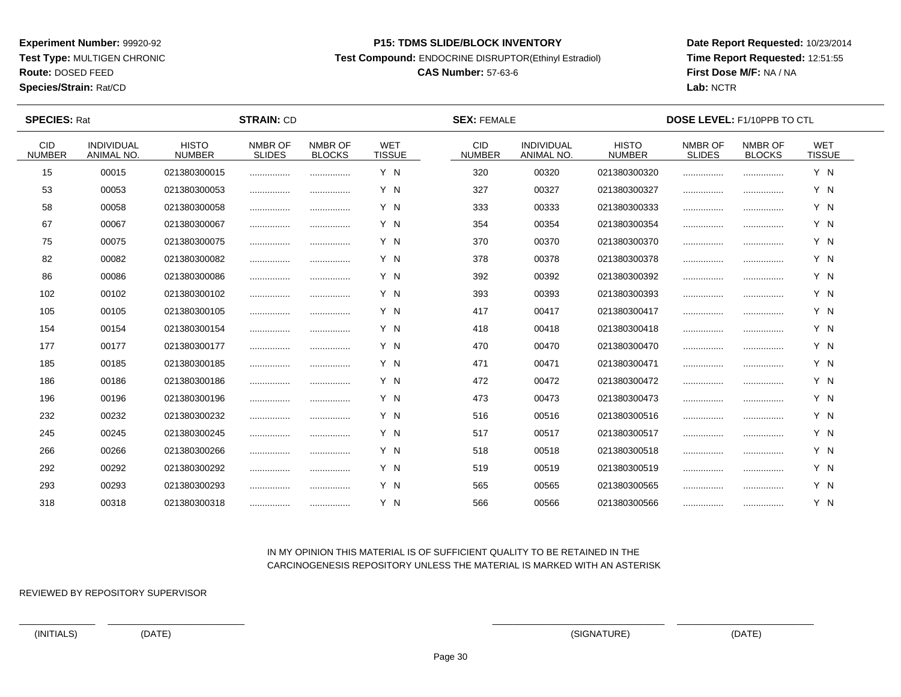**Test Type:** MULTIGEN CHRONIC

**Route:** DOSED FEED

**Species/Strain:** Rat/CD

#### **P15: TDMS SLIDE/BLOCK INVENTORY**

**Test Compound:** ENDOCRINE DISRUPTOR(Ethinyl Estradiol)

# **CAS Number:** 57-63-6

**Date Report Requested:** 10/23/2014**Time Report Requested:** 12:51:55**First Dose M/F:** NA / NA**Lab:** NCTR

| <b>SPECIES: Rat</b>         |                                 |                               | <b>STRAIN: CD</b>        |                          |                             | <b>SEX: FEMALE</b>          |                                 |                               | <b>DOSE LEVEL: F1/10PPB TO CTL</b> |                          |                             |  |
|-----------------------------|---------------------------------|-------------------------------|--------------------------|--------------------------|-----------------------------|-----------------------------|---------------------------------|-------------------------------|------------------------------------|--------------------------|-----------------------------|--|
| <b>CID</b><br><b>NUMBER</b> | <b>INDIVIDUAL</b><br>ANIMAL NO. | <b>HISTO</b><br><b>NUMBER</b> | NMBR OF<br><b>SLIDES</b> | NMBR OF<br><b>BLOCKS</b> | <b>WET</b><br><b>TISSUE</b> | <b>CID</b><br><b>NUMBER</b> | <b>INDIVIDUAL</b><br>ANIMAL NO. | <b>HISTO</b><br><b>NUMBER</b> | NMBR OF<br><b>SLIDES</b>           | NMBR OF<br><b>BLOCKS</b> | <b>WET</b><br><b>TISSUE</b> |  |
| 15                          | 00015                           | 021380300015                  |                          |                          | Y N                         | 320                         | 00320                           | 021380300320                  |                                    |                          | Y N                         |  |
| 53                          | 00053                           | 021380300053                  |                          |                          | Y N                         | 327                         | 00327                           | 021380300327                  |                                    |                          | Y N                         |  |
| 58                          | 00058                           | 021380300058                  |                          |                          | Y N                         | 333                         | 00333                           | 021380300333                  |                                    |                          | Y N                         |  |
| 67                          | 00067                           | 021380300067                  |                          |                          | Y N                         | 354                         | 00354                           | 021380300354                  |                                    |                          | Y N                         |  |
| 75                          | 00075                           | 021380300075                  |                          |                          | Y N                         | 370                         | 00370                           | 021380300370                  |                                    |                          | Y N                         |  |
| 82                          | 00082                           | 021380300082                  |                          |                          | Y N                         | 378                         | 00378                           | 021380300378                  |                                    |                          | Y N                         |  |
| 86                          | 00086                           | 021380300086                  |                          |                          | Y N                         | 392                         | 00392                           | 021380300392                  |                                    |                          | Y N                         |  |
| 102                         | 00102                           | 021380300102                  |                          |                          | Y N                         | 393                         | 00393                           | 021380300393                  |                                    |                          | Y N                         |  |
| 105                         | 00105                           | 021380300105                  |                          |                          | Y N                         | 417                         | 00417                           | 021380300417                  |                                    |                          | Y N                         |  |
| 154                         | 00154                           | 021380300154                  |                          |                          | Y N                         | 418                         | 00418                           | 021380300418                  |                                    |                          | Y N                         |  |
| 177                         | 00177                           | 021380300177                  |                          | .                        | Y N                         | 470                         | 00470                           | 021380300470                  |                                    |                          | Y N                         |  |
| 185                         | 00185                           | 021380300185                  |                          |                          | Y N                         | 471                         | 00471                           | 021380300471                  |                                    |                          | Y N                         |  |
| 186                         | 00186                           | 021380300186                  |                          |                          | Y N                         | 472                         | 00472                           | 021380300472                  |                                    |                          | Y N                         |  |
| 196                         | 00196                           | 021380300196                  |                          |                          | Y N                         | 473                         | 00473                           | 021380300473                  |                                    |                          | Y N                         |  |
| 232                         | 00232                           | 021380300232                  |                          |                          | Y N                         | 516                         | 00516                           | 021380300516                  |                                    |                          | Y N                         |  |
| 245                         | 00245                           | 021380300245                  |                          |                          | Y N                         | 517                         | 00517                           | 021380300517                  |                                    |                          | Y N                         |  |
| 266                         | 00266                           | 021380300266                  |                          | .                        | Y N                         | 518                         | 00518                           | 021380300518                  |                                    |                          | Y N                         |  |
| 292                         | 00292                           | 021380300292                  |                          |                          | Y N                         | 519                         | 00519                           | 021380300519                  |                                    |                          | Y N                         |  |
| 293                         | 00293                           | 021380300293                  |                          |                          | Y N                         | 565                         | 00565                           | 021380300565                  |                                    |                          | Y N                         |  |
| 318                         | 00318                           | 021380300318                  |                          |                          | Y N                         | 566                         | 00566                           | 021380300566                  |                                    |                          | Y N                         |  |

## IN MY OPINION THIS MATERIAL IS OF SUFFICIENT QUALITY TO BE RETAINED IN THECARCINOGENESIS REPOSITORY UNLESS THE MATERIAL IS MARKED WITH AN ASTERISK

REVIEWED BY REPOSITORY SUPERVISOR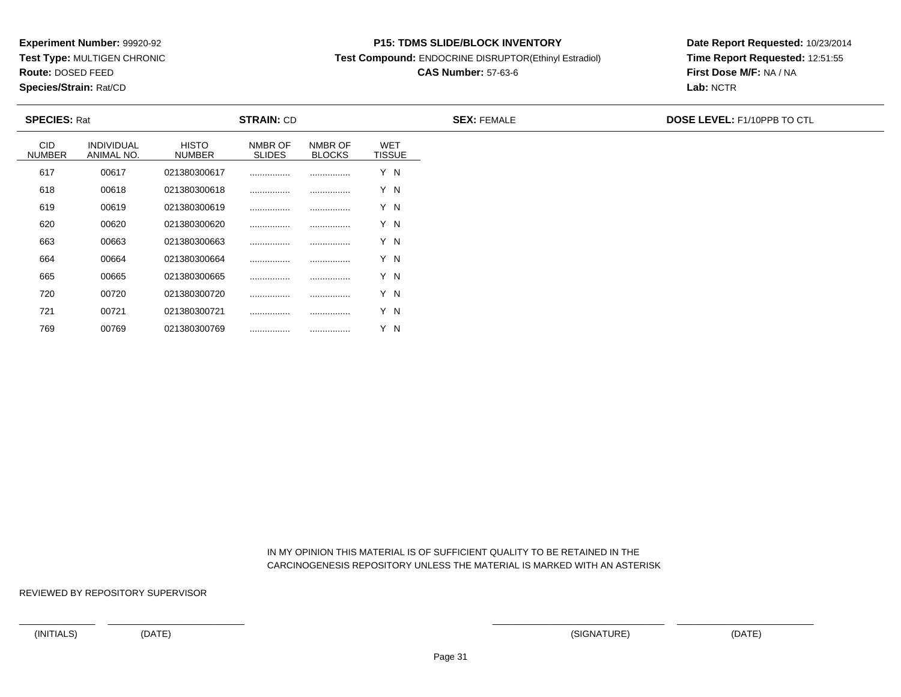**Test Type:** MULTIGEN CHRONIC

**Route:** DOSED FEED

769

**Species/Strain:** Rat/CD

#### **P15: TDMS SLIDE/BLOCK INVENTORY**

**Test Compound:** ENDOCRINE DISRUPTOR(Ethinyl Estradiol)

# **CAS Number:** 57-63-6

**Date Report Requested:** 10/23/2014**Time Report Requested:** 12:51:55**First Dose M/F:** NA / NA**Lab:** NCTR

| <b>SPECIES: Rat</b>         |                                 |                               | <b>STRAIN: CD</b>        |                          |                             | <b>SEX: FEMALE</b> | <b>DOSE LEVEL: F1/10PPB TO CTL</b> |
|-----------------------------|---------------------------------|-------------------------------|--------------------------|--------------------------|-----------------------------|--------------------|------------------------------------|
| <b>CID</b><br><b>NUMBER</b> | <b>INDIVIDUAL</b><br>ANIMAL NO. | <b>HISTO</b><br><b>NUMBER</b> | NMBR OF<br><b>SLIDES</b> | NMBR OF<br><b>BLOCKS</b> | <b>WET</b><br><b>TISSUE</b> |                    |                                    |
| 617                         | 00617                           | 021380300617                  |                          |                          | Y N                         |                    |                                    |
| 618                         | 00618                           | 021380300618                  |                          |                          | Y N                         |                    |                                    |
| 619                         | 00619                           | 021380300619                  |                          |                          | Y N                         |                    |                                    |
| 620                         | 00620                           | 021380300620                  |                          |                          | Y N                         |                    |                                    |
| 663                         | 00663                           | 021380300663                  |                          |                          | Y N                         |                    |                                    |
| 664                         | 00664                           | 021380300664                  |                          |                          | Y N                         |                    |                                    |
| 665                         | 00665                           | 021380300665                  |                          |                          | Y N                         |                    |                                    |
| 720                         | 00720                           | 021380300720                  |                          |                          | Y N                         |                    |                                    |
| 721                         | 00721                           | 021380300721                  |                          |                          | Y N                         |                    |                                    |

 IN MY OPINION THIS MATERIAL IS OF SUFFICIENT QUALITY TO BE RETAINED IN THECARCINOGENESIS REPOSITORY UNLESS THE MATERIAL IS MARKED WITH AN ASTERISK

REVIEWED BY REPOSITORY SUPERVISOR

<sup>00769</sup> <sup>021380300769</sup> ................ ................ Y N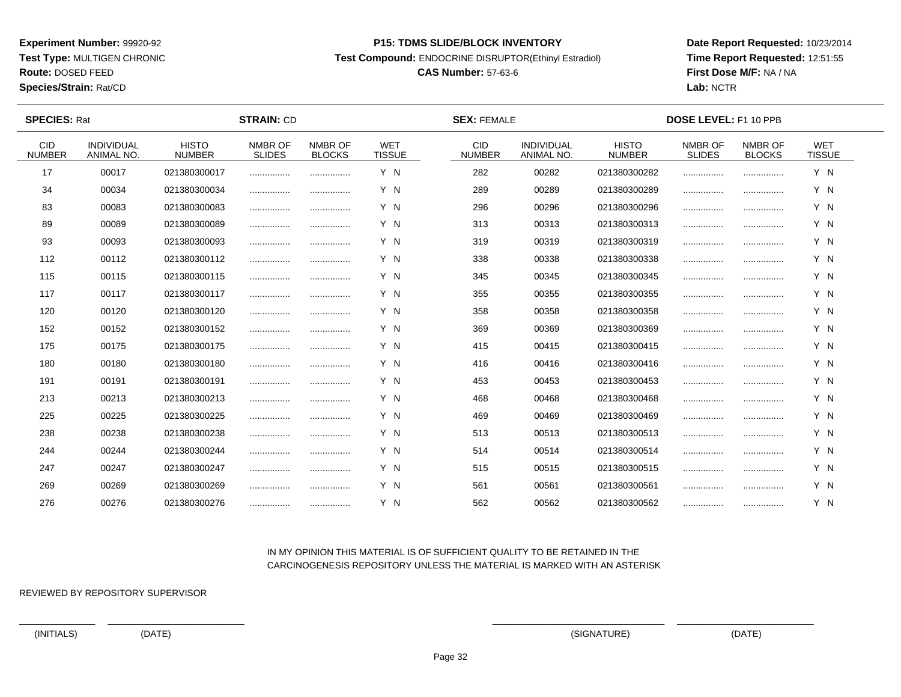**Test Type:** MULTIGEN CHRONIC

# **Route:** DOSED FEED

**Species/Strain:** Rat/CD

#### **P15: TDMS SLIDE/BLOCK INVENTORY**

**Test Compound:** ENDOCRINE DISRUPTOR(Ethinyl Estradiol)

## **CAS Number:** 57-63-6

**Date Report Requested:** 10/23/2014**Time Report Requested:** 12:51:55**First Dose M/F:** NA / NA**Lab:** NCTR

 $\overline{\phantom{a}}$ 

| <b>SPECIES: Rat</b>   |                                 |                               | <b>STRAIN: CD</b>        |                          |                             | <b>SEX: FEMALE</b>          | DOSE LEVEL: F1 10 PPB           |                               |                          |                          |                             |  |
|-----------------------|---------------------------------|-------------------------------|--------------------------|--------------------------|-----------------------------|-----------------------------|---------------------------------|-------------------------------|--------------------------|--------------------------|-----------------------------|--|
| CID.<br><b>NUMBER</b> | <b>INDIVIDUAL</b><br>ANIMAL NO. | <b>HISTO</b><br><b>NUMBER</b> | NMBR OF<br><b>SLIDES</b> | NMBR OF<br><b>BLOCKS</b> | <b>WET</b><br><b>TISSUE</b> | <b>CID</b><br><b>NUMBER</b> | <b>INDIVIDUAL</b><br>ANIMAL NO. | <b>HISTO</b><br><b>NUMBER</b> | NMBR OF<br><b>SLIDES</b> | NMBR OF<br><b>BLOCKS</b> | <b>WET</b><br><b>TISSUE</b> |  |
| 17                    | 00017                           | 021380300017                  |                          |                          | Y N                         | 282                         | 00282                           | 021380300282                  |                          |                          | Y N                         |  |
| 34                    | 00034                           | 021380300034                  |                          | .                        | Y N                         | 289                         | 00289                           | 021380300289                  |                          |                          | Y N                         |  |
| 83                    | 00083                           | 021380300083                  |                          | .                        | Y N                         | 296                         | 00296                           | 021380300296                  |                          |                          | Y N                         |  |
| 89                    | 00089                           | 021380300089                  |                          |                          | Y N                         | 313                         | 00313                           | 021380300313                  |                          |                          | Y N                         |  |
| 93                    | 00093                           | 021380300093                  |                          |                          | Y N                         | 319                         | 00319                           | 021380300319                  |                          |                          | Y N                         |  |
| 112                   | 00112                           | 021380300112                  |                          |                          | Y N                         | 338                         | 00338                           | 021380300338                  |                          |                          | Y N                         |  |
| 115                   | 00115                           | 021380300115                  | .                        |                          | Y N                         | 345                         | 00345                           | 021380300345                  |                          |                          | Y N                         |  |
| 117                   | 00117                           | 021380300117                  |                          | .                        | Y N                         | 355                         | 00355                           | 021380300355                  |                          |                          | Y N                         |  |
| 120                   | 00120                           | 021380300120                  |                          | .                        | Y N                         | 358                         | 00358                           | 021380300358                  |                          |                          | Y N                         |  |
| 152                   | 00152                           | 021380300152                  |                          |                          | Y N                         | 369                         | 00369                           | 021380300369                  |                          |                          | Y N                         |  |
| 175                   | 00175                           | 021380300175                  |                          | .                        | Y N                         | 415                         | 00415                           | 021380300415                  |                          |                          | Y N                         |  |
| 180                   | 00180                           | 021380300180                  |                          |                          | Y N                         | 416                         | 00416                           | 021380300416                  |                          |                          | Y N                         |  |
| 191                   | 00191                           | 021380300191                  |                          |                          | Y N                         | 453                         | 00453                           | 021380300453                  |                          |                          | Y N                         |  |
| 213                   | 00213                           | 021380300213                  |                          | .                        | Y N                         | 468                         | 00468                           | 021380300468                  |                          |                          | Y N                         |  |
| 225                   | 00225                           | 021380300225                  |                          |                          | Y N                         | 469                         | 00469                           | 021380300469                  |                          |                          | Y N                         |  |
| 238                   | 00238                           | 021380300238                  |                          |                          | Y N                         | 513                         | 00513                           | 021380300513                  |                          |                          | Y N                         |  |
| 244                   | 00244                           | 021380300244                  |                          | .                        | Y N                         | 514                         | 00514                           | 021380300514                  |                          |                          | Y N                         |  |
| 247                   | 00247                           | 021380300247                  |                          |                          | Y N                         | 515                         | 00515                           | 021380300515                  |                          |                          | Y N                         |  |
| 269                   | 00269                           | 021380300269                  | .                        |                          | Y N                         | 561                         | 00561                           | 021380300561                  |                          |                          | Y N                         |  |
| 276                   | 00276                           | 021380300276                  |                          |                          | Y N                         | 562                         | 00562                           | 021380300562                  |                          |                          | Y N                         |  |

### IN MY OPINION THIS MATERIAL IS OF SUFFICIENT QUALITY TO BE RETAINED IN THECARCINOGENESIS REPOSITORY UNLESS THE MATERIAL IS MARKED WITH AN ASTERISK

REVIEWED BY REPOSITORY SUPERVISOR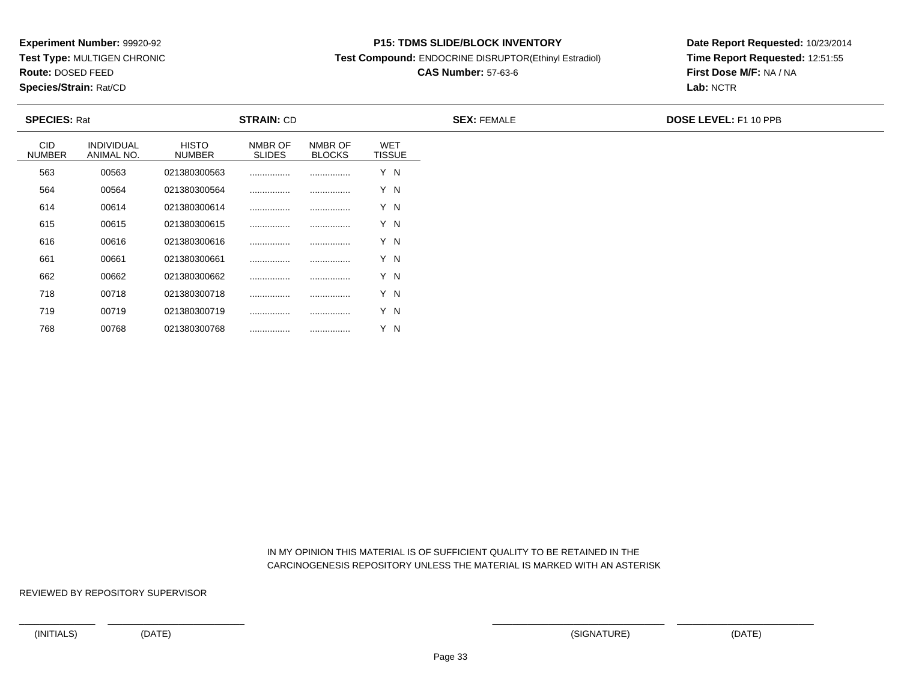**Test Type:** MULTIGEN CHRONIC

**Route:** DOSED FEED

768

**Species/Strain:** Rat/CD

#### **P15: TDMS SLIDE/BLOCK INVENTORY**

**Test Compound:** ENDOCRINE DISRUPTOR(Ethinyl Estradiol)

# **CAS Number:** 57-63-6

**Date Report Requested:** 10/23/2014**Time Report Requested:** 12:51:55**First Dose M/F:** NA / NA**Lab:** NCTR

| <b>SPECIES: Rat</b>         |                                 |                        | <b>STRAIN: CD</b>        |                          |                             | <b>SEX: FEMALE</b> | <b>DOSE LEVEL: F1 10 PPB</b> |
|-----------------------------|---------------------------------|------------------------|--------------------------|--------------------------|-----------------------------|--------------------|------------------------------|
| <b>CID</b><br><b>NUMBER</b> | <b>INDIVIDUAL</b><br>ANIMAL NO. | <b>HISTO</b><br>NUMBER | NMBR OF<br><b>SLIDES</b> | NMBR OF<br><b>BLOCKS</b> | <b>WET</b><br><b>TISSUE</b> |                    |                              |
| 563                         | 00563                           | 021380300563           |                          |                          | Y N                         |                    |                              |
| 564                         | 00564                           | 021380300564           |                          |                          | Y N                         |                    |                              |
| 614                         | 00614                           | 021380300614           |                          |                          | Y N                         |                    |                              |
| 615                         | 00615                           | 021380300615           |                          |                          | Y N                         |                    |                              |
| 616                         | 00616                           | 021380300616           |                          |                          | Y N                         |                    |                              |
| 661                         | 00661                           | 021380300661           |                          |                          | Y N                         |                    |                              |
| 662                         | 00662                           | 021380300662           |                          |                          | Y N                         |                    |                              |
| 718                         | 00718                           | 021380300718           |                          |                          | Y N                         |                    |                              |
| 719                         | 00719                           | 021380300719           |                          |                          | Y N                         |                    |                              |

 IN MY OPINION THIS MATERIAL IS OF SUFFICIENT QUALITY TO BE RETAINED IN THECARCINOGENESIS REPOSITORY UNLESS THE MATERIAL IS MARKED WITH AN ASTERISK

REVIEWED BY REPOSITORY SUPERVISOR

<sup>00768</sup> <sup>021380300768</sup> ................ ................ Y N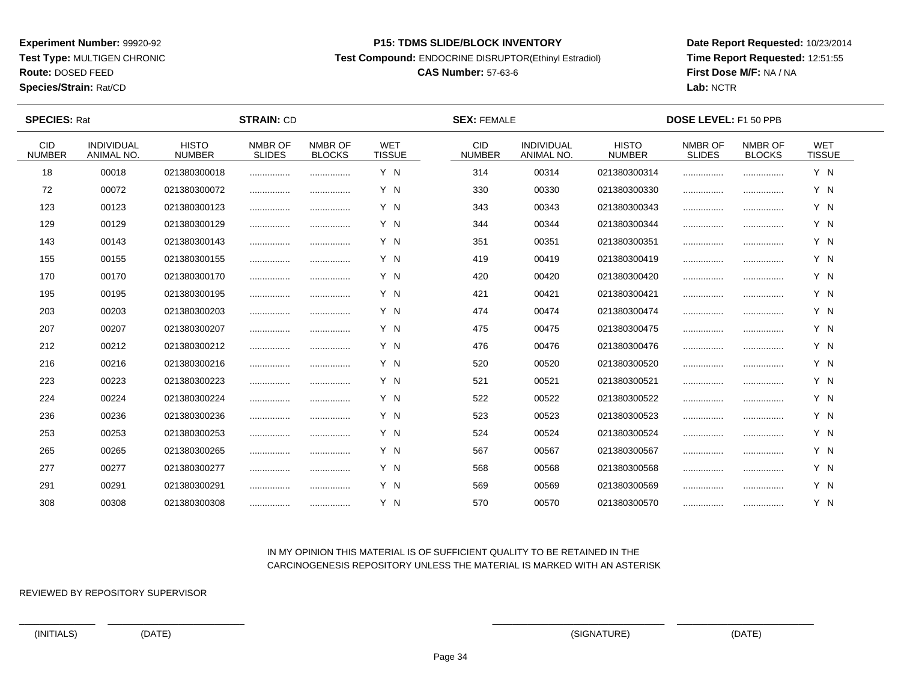**Test Type:** MULTIGEN CHRONIC

# **Route:** DOSED FEED

**Species/Strain:** Rat/CD

#### **P15: TDMS SLIDE/BLOCK INVENTORY**

**Test Compound:** ENDOCRINE DISRUPTOR(Ethinyl Estradiol)

# **CAS Number:** 57-63-6

**Date Report Requested:** 10/23/2014**Time Report Requested:** 12:51:55**First Dose M/F:** NA / NA**Lab:** NCTR

 $\overline{\phantom{a}}$ 

| <b>SPECIES: Rat</b>         |                                 |                               | <b>STRAIN: CD</b>        |                          |                             | <b>SEX: FEMALE</b>          |                                 |                               | <b>DOSE LEVEL: F1 50 PPB</b> |                          |                             |  |
|-----------------------------|---------------------------------|-------------------------------|--------------------------|--------------------------|-----------------------------|-----------------------------|---------------------------------|-------------------------------|------------------------------|--------------------------|-----------------------------|--|
| <b>CID</b><br><b>NUMBER</b> | <b>INDIVIDUAL</b><br>ANIMAL NO. | <b>HISTO</b><br><b>NUMBER</b> | NMBR OF<br><b>SLIDES</b> | NMBR OF<br><b>BLOCKS</b> | <b>WET</b><br><b>TISSUE</b> | <b>CID</b><br><b>NUMBER</b> | <b>INDIVIDUAL</b><br>ANIMAL NO. | <b>HISTO</b><br><b>NUMBER</b> | NMBR OF<br><b>SLIDES</b>     | NMBR OF<br><b>BLOCKS</b> | <b>WET</b><br><b>TISSUE</b> |  |
| 18                          | 00018                           | 021380300018                  |                          |                          | Y N                         | 314                         | 00314                           | 021380300314                  |                              |                          | Y N                         |  |
| 72                          | 00072                           | 021380300072                  |                          |                          | Y N                         | 330                         | 00330                           | 021380300330                  |                              |                          | Y N                         |  |
| 123                         | 00123                           | 021380300123                  |                          |                          | Y N                         | 343                         | 00343                           | 021380300343                  |                              |                          | Y N                         |  |
| 129                         | 00129                           | 021380300129                  |                          |                          | Y N                         | 344                         | 00344                           | 021380300344                  |                              |                          | Y N                         |  |
| 143                         | 00143                           | 021380300143                  |                          |                          | Y N                         | 351                         | 00351                           | 021380300351                  | .                            |                          | Y N                         |  |
| 155                         | 00155                           | 021380300155                  |                          | .                        | Y N                         | 419                         | 00419                           | 021380300419                  |                              |                          | Y N                         |  |
| 170                         | 00170                           | 021380300170                  |                          |                          | Y N                         | 420                         | 00420                           | 021380300420                  |                              |                          | Y N                         |  |
| 195                         | 00195                           | 021380300195                  |                          | .                        | Y N                         | 421                         | 00421                           | 021380300421                  |                              |                          | Y N                         |  |
| 203                         | 00203                           | 021380300203                  |                          |                          | Y N                         | 474                         | 00474                           | 021380300474                  |                              |                          | Y N                         |  |
| 207                         | 00207                           | 021380300207                  |                          |                          | Y N                         | 475                         | 00475                           | 021380300475                  |                              |                          | Y N                         |  |
| 212                         | 00212                           | 021380300212                  |                          |                          | Y N                         | 476                         | 00476                           | 021380300476                  |                              |                          | Y N                         |  |
| 216                         | 00216                           | 021380300216                  |                          |                          | Y N                         | 520                         | 00520                           | 021380300520                  |                              |                          | Y N                         |  |
| 223                         | 00223                           | 021380300223                  |                          |                          | Y N                         | 521                         | 00521                           | 021380300521                  |                              |                          | Y N                         |  |
| 224                         | 00224                           | 021380300224                  |                          |                          | Y N                         | 522                         | 00522                           | 021380300522                  |                              |                          | Y N                         |  |
| 236                         | 00236                           | 021380300236                  |                          |                          | Y N                         | 523                         | 00523                           | 021380300523                  |                              |                          | Y N                         |  |
| 253                         | 00253                           | 021380300253                  |                          |                          | Y N                         | 524                         | 00524                           | 021380300524                  |                              |                          | Y N                         |  |
| 265                         | 00265                           | 021380300265                  | .                        | .                        | Y N                         | 567                         | 00567                           | 021380300567                  |                              |                          | Y N                         |  |
| 277                         | 00277                           | 021380300277                  |                          |                          | Y N                         | 568                         | 00568                           | 021380300568                  |                              |                          | Y N                         |  |
| 291                         | 00291                           | 021380300291                  |                          | .                        | Y N                         | 569                         | 00569                           | 021380300569                  |                              |                          | Y N                         |  |
| 308                         | 00308                           | 021380300308                  |                          |                          | Y N                         | 570                         | 00570                           | 021380300570                  |                              |                          | Y N                         |  |

### IN MY OPINION THIS MATERIAL IS OF SUFFICIENT QUALITY TO BE RETAINED IN THECARCINOGENESIS REPOSITORY UNLESS THE MATERIAL IS MARKED WITH AN ASTERISK

REVIEWED BY REPOSITORY SUPERVISOR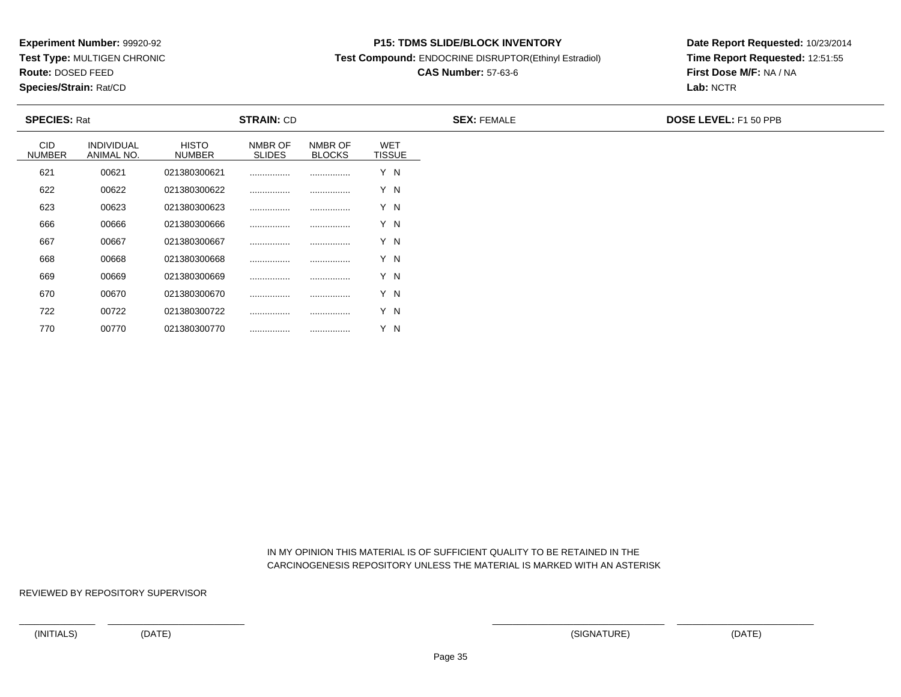**Test Type:** MULTIGEN CHRONIC

**Route:** DOSED FEED

770

**Species/Strain:** Rat/CD

#### **P15: TDMS SLIDE/BLOCK INVENTORY**

**Test Compound:** ENDOCRINE DISRUPTOR(Ethinyl Estradiol)

# **CAS Number:** 57-63-6

**Date Report Requested:** 10/23/2014**Time Report Requested:** 12:51:55**First Dose M/F:** NA / NA**Lab:** NCTR

| <b>SPECIES: Rat</b>         |                                 | <b>STRAIN: CD</b>             |                          |                          | <b>SEX: FEMALE</b>          | <b>DOSE LEVEL: F1 50 PPB</b> |  |
|-----------------------------|---------------------------------|-------------------------------|--------------------------|--------------------------|-----------------------------|------------------------------|--|
| <b>CID</b><br><b>NUMBER</b> | <b>INDIVIDUAL</b><br>ANIMAL NO. | <b>HISTO</b><br><b>NUMBER</b> | NMBR OF<br><b>SLIDES</b> | NMBR OF<br><b>BLOCKS</b> | <b>WET</b><br><b>TISSUE</b> |                              |  |
| 621                         | 00621                           | 021380300621                  |                          |                          | Y N                         |                              |  |
| 622                         | 00622                           | 021380300622                  |                          |                          | Y N                         |                              |  |
| 623                         | 00623                           | 021380300623                  |                          |                          | Y N                         |                              |  |
| 666                         | 00666                           | 021380300666                  |                          |                          | Y N                         |                              |  |
| 667                         | 00667                           | 021380300667                  |                          |                          | Y N                         |                              |  |
| 668                         | 00668                           | 021380300668                  |                          |                          | Y N                         |                              |  |
| 669                         | 00669                           | 021380300669                  |                          |                          | Y N                         |                              |  |
| 670                         | 00670                           | 021380300670                  |                          |                          | Y N                         |                              |  |
| 722                         | 00722                           | 021380300722                  |                          |                          | Y N                         |                              |  |

 IN MY OPINION THIS MATERIAL IS OF SUFFICIENT QUALITY TO BE RETAINED IN THECARCINOGENESIS REPOSITORY UNLESS THE MATERIAL IS MARKED WITH AN ASTERISK

REVIEWED BY REPOSITORY SUPERVISOR

<sup>00770</sup> <sup>021380300770</sup> ................ ................ Y N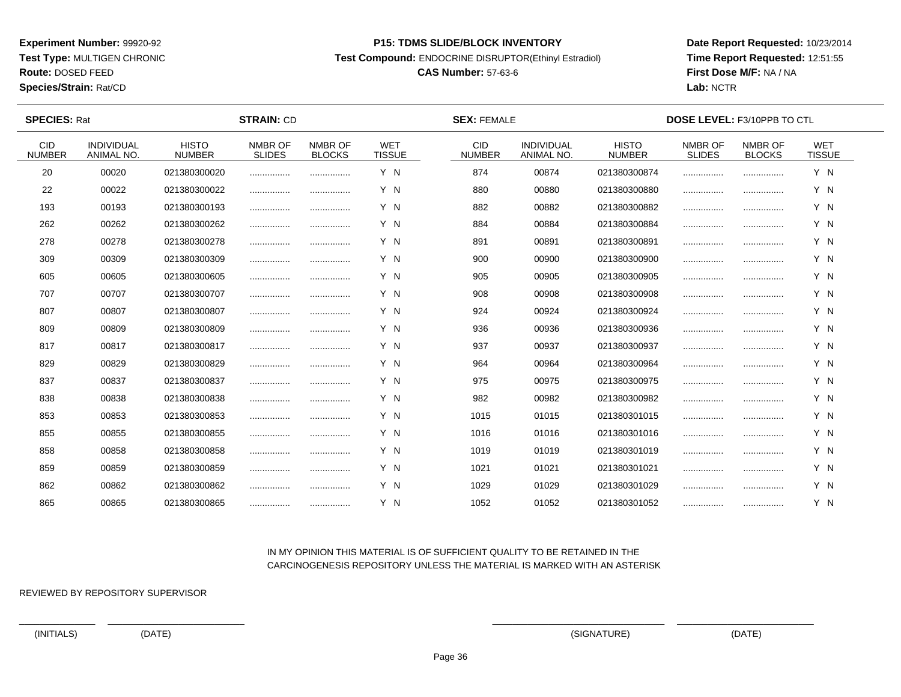**Test Type:** MULTIGEN CHRONIC

**Route:** DOSED FEED

**Species/Strain:** Rat/CD

#### **P15: TDMS SLIDE/BLOCK INVENTORY**

**Test Compound:** ENDOCRINE DISRUPTOR(Ethinyl Estradiol)

# **CAS Number:** 57-63-6

**Date Report Requested:** 10/23/2014**Time Report Requested:** 12:51:55**First Dose M/F:** NA / NA**Lab:** NCTR

| <b>SPECIES: Rat</b>         |                                 |                               | <b>STRAIN: CD</b>        |                          |                             | <b>SEX: FEMALE</b>          |                                        |                               | <b>DOSE LEVEL: F3/10PPB TO CTL</b> |                          |                             |  |
|-----------------------------|---------------------------------|-------------------------------|--------------------------|--------------------------|-----------------------------|-----------------------------|----------------------------------------|-------------------------------|------------------------------------|--------------------------|-----------------------------|--|
| <b>CID</b><br><b>NUMBER</b> | INDIVIDUAL<br><b>ANIMAL NO.</b> | <b>HISTO</b><br><b>NUMBER</b> | NMBR OF<br><b>SLIDES</b> | NMBR OF<br><b>BLOCKS</b> | <b>WET</b><br><b>TISSUE</b> | <b>CID</b><br><b>NUMBER</b> | <b>INDIVIDUAL</b><br><b>ANIMAL NO.</b> | <b>HISTO</b><br><b>NUMBER</b> | NMBR OF<br><b>SLIDES</b>           | NMBR OF<br><b>BLOCKS</b> | <b>WET</b><br><b>TISSUE</b> |  |
| 20                          | 00020                           | 021380300020                  |                          |                          | Y N                         | 874                         | 00874                                  | 021380300874                  |                                    |                          | Y N                         |  |
| 22                          | 00022                           | 021380300022                  |                          |                          | Y N                         | 880                         | 00880                                  | 021380300880                  |                                    |                          | Y N                         |  |
| 193                         | 00193                           | 021380300193                  |                          |                          | Y N                         | 882                         | 00882                                  | 021380300882                  |                                    |                          | Y N                         |  |
| 262                         | 00262                           | 021380300262                  |                          |                          | Y N                         | 884                         | 00884                                  | 021380300884                  |                                    |                          | Y N                         |  |
| 278                         | 00278                           | 021380300278                  | .                        |                          | Y N                         | 891                         | 00891                                  | 021380300891                  |                                    |                          | Y N                         |  |
| 309                         | 00309                           | 021380300309                  |                          |                          | Y N                         | 900                         | 00900                                  | 021380300900                  |                                    |                          | Y N                         |  |
| 605                         | 00605                           | 021380300605                  |                          |                          | Y N                         | 905                         | 00905                                  | 021380300905                  |                                    |                          | Y N                         |  |
| 707                         | 00707                           | 021380300707                  |                          |                          | Y N                         | 908                         | 00908                                  | 021380300908                  |                                    |                          | Y N                         |  |
| 807                         | 00807                           | 021380300807                  |                          |                          | Y N                         | 924                         | 00924                                  | 021380300924                  |                                    |                          | Y N                         |  |
| 809                         | 00809                           | 021380300809                  |                          |                          | Y N                         | 936                         | 00936                                  | 021380300936                  |                                    |                          | Y N                         |  |
| 817                         | 00817                           | 021380300817                  |                          |                          | Y N                         | 937                         | 00937                                  | 021380300937                  |                                    |                          | Y N                         |  |
| 829                         | 00829                           | 021380300829                  |                          |                          | Y N                         | 964                         | 00964                                  | 021380300964                  |                                    |                          | Y N                         |  |
| 837                         | 00837                           | 021380300837                  |                          |                          | Y N                         | 975                         | 00975                                  | 021380300975                  |                                    |                          | Y N                         |  |
| 838                         | 00838                           | 021380300838                  |                          | .                        | Y N                         | 982                         | 00982                                  | 021380300982                  |                                    |                          | Y N                         |  |
| 853                         | 00853                           | 021380300853                  |                          |                          | Y N                         | 1015                        | 01015                                  | 021380301015                  |                                    |                          | Y N                         |  |
| 855                         | 00855                           | 021380300855                  |                          |                          | Y N                         | 1016                        | 01016                                  | 021380301016                  |                                    |                          | Y N                         |  |
| 858                         | 00858                           | 021380300858                  |                          | .                        | Y N                         | 1019                        | 01019                                  | 021380301019                  |                                    |                          | Y N                         |  |
| 859                         | 00859                           | 021380300859                  |                          |                          | Y N                         | 1021                        | 01021                                  | 021380301021                  |                                    |                          | Y N                         |  |
| 862                         | 00862                           | 021380300862                  |                          |                          | Y N                         | 1029                        | 01029                                  | 021380301029                  |                                    |                          | Y N                         |  |
| 865                         | 00865                           | 021380300865                  |                          |                          | Y N                         | 1052                        | 01052                                  | 021380301052                  |                                    |                          | Y N                         |  |

## IN MY OPINION THIS MATERIAL IS OF SUFFICIENT QUALITY TO BE RETAINED IN THECARCINOGENESIS REPOSITORY UNLESS THE MATERIAL IS MARKED WITH AN ASTERISK

REVIEWED BY REPOSITORY SUPERVISOR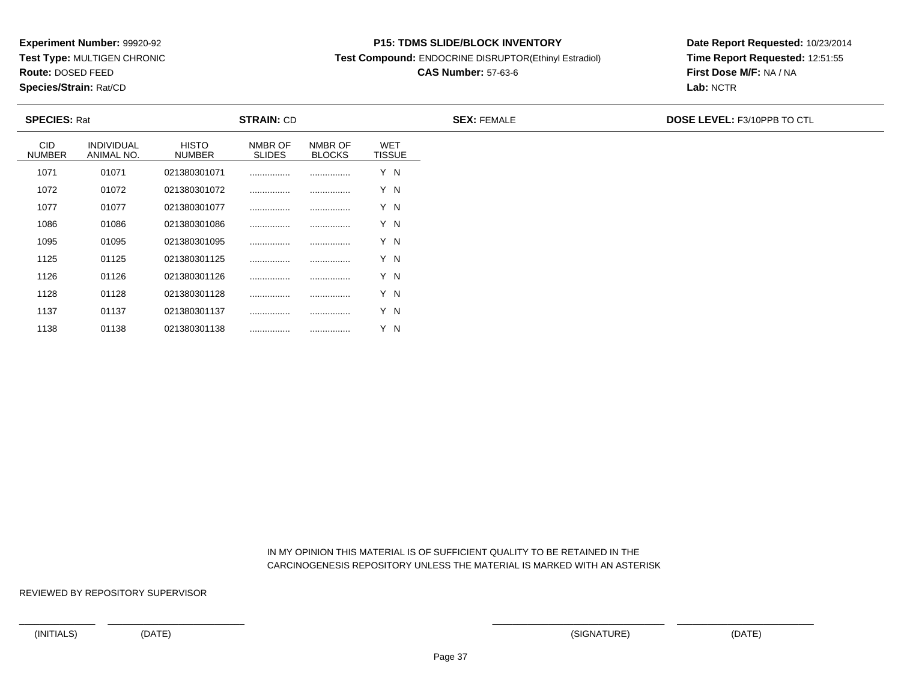**Test Type:** MULTIGEN CHRONIC

**Route:** DOSED FEED

1138

**Species/Strain:** Rat/CD

#### **P15: TDMS SLIDE/BLOCK INVENTORY**

**Test Compound:** ENDOCRINE DISRUPTOR(Ethinyl Estradiol)

# **CAS Number:** 57-63-6

**Date Report Requested:** 10/23/2014**Time Report Requested:** 12:51:55**First Dose M/F:** NA / NA**Lab:** NCTR

| <b>SPECIES: Rat</b>         |                                 | <b>STRAIN: CD</b>             |                          |                          |                             | <b>SEX: FEMALE</b> | <b>DOSE LEVEL: F3/10PPB TO CTL</b> |
|-----------------------------|---------------------------------|-------------------------------|--------------------------|--------------------------|-----------------------------|--------------------|------------------------------------|
| <b>CID</b><br><b>NUMBER</b> | <b>INDIVIDUAL</b><br>ANIMAL NO. | <b>HISTO</b><br><b>NUMBER</b> | NMBR OF<br><b>SLIDES</b> | NMBR OF<br><b>BLOCKS</b> | <b>WET</b><br><b>TISSUE</b> |                    |                                    |
| 1071                        | 01071                           | 021380301071                  |                          |                          | Y N                         |                    |                                    |
| 1072                        | 01072                           | 021380301072                  |                          |                          | Y N                         |                    |                                    |
| 1077                        | 01077                           | 021380301077                  |                          |                          | Y N                         |                    |                                    |
| 1086                        | 01086                           | 021380301086                  |                          |                          | Y N                         |                    |                                    |
| 1095                        | 01095                           | 021380301095                  |                          |                          | Y N                         |                    |                                    |
| 1125                        | 01125                           | 021380301125                  |                          |                          | Y N                         |                    |                                    |
| 1126                        | 01126                           | 021380301126                  |                          |                          | Y N                         |                    |                                    |
| 1128                        | 01128                           | 021380301128                  |                          |                          | Y N                         |                    |                                    |
| 1137                        | 01137                           | 021380301137                  |                          |                          | Y N                         |                    |                                    |

 IN MY OPINION THIS MATERIAL IS OF SUFFICIENT QUALITY TO BE RETAINED IN THECARCINOGENESIS REPOSITORY UNLESS THE MATERIAL IS MARKED WITH AN ASTERISK

REVIEWED BY REPOSITORY SUPERVISOR

<sup>01138</sup> <sup>021380301138</sup> ................ ................ Y N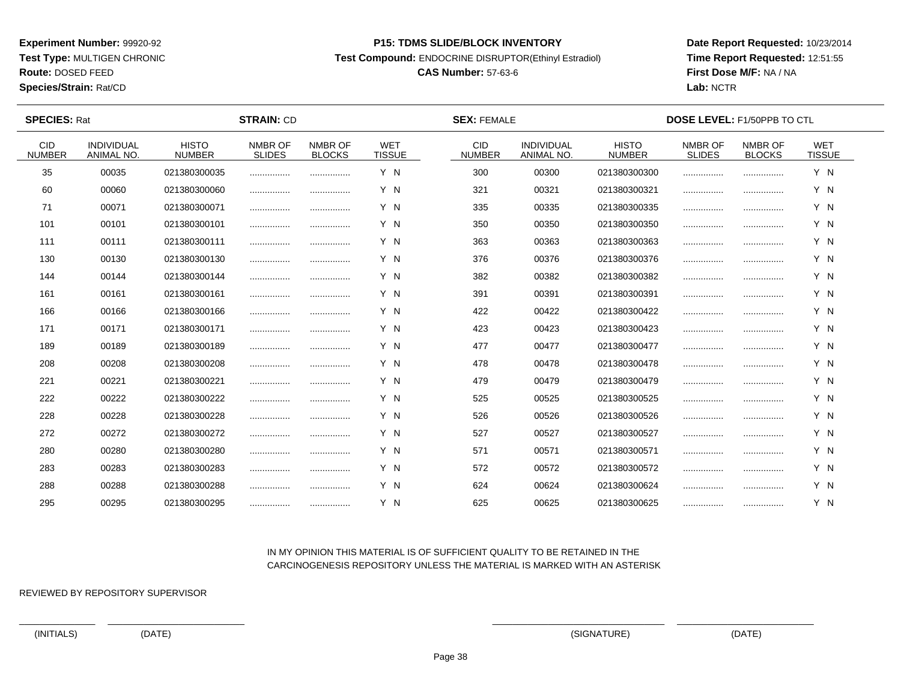**Test Type:** MULTIGEN CHRONIC

**Route:** DOSED FEED

**Species/Strain:** Rat/CD

#### **P15: TDMS SLIDE/BLOCK INVENTORY**

**Test Compound:** ENDOCRINE DISRUPTOR(Ethinyl Estradiol)

# **CAS Number:** 57-63-6

**Date Report Requested:** 10/23/2014**Time Report Requested:** 12:51:55**First Dose M/F:** NA / NA**Lab:** NCTR

| <b>SPECIES: Rat</b>         |                                 |                               | <b>STRAIN: CD</b>        |                          |                             | <b>SEX: FEMALE</b>          |                                 |                               | <b>DOSE LEVEL: F1/50PPB TO CTL</b> |                          |                             |  |
|-----------------------------|---------------------------------|-------------------------------|--------------------------|--------------------------|-----------------------------|-----------------------------|---------------------------------|-------------------------------|------------------------------------|--------------------------|-----------------------------|--|
| <b>CID</b><br><b>NUMBER</b> | <b>INDIVIDUAL</b><br>ANIMAL NO. | <b>HISTO</b><br><b>NUMBER</b> | NMBR OF<br><b>SLIDES</b> | NMBR OF<br><b>BLOCKS</b> | <b>WET</b><br><b>TISSUE</b> | <b>CID</b><br><b>NUMBER</b> | <b>INDIVIDUAL</b><br>ANIMAL NO. | <b>HISTO</b><br><b>NUMBER</b> | NMBR OF<br><b>SLIDES</b>           | NMBR OF<br><b>BLOCKS</b> | <b>WET</b><br><b>TISSUE</b> |  |
| 35                          | 00035                           | 021380300035                  |                          |                          | Y N                         | 300                         | 00300                           | 021380300300                  |                                    |                          | Y N                         |  |
| 60                          | 00060                           | 021380300060                  |                          |                          | Y N                         | 321                         | 00321                           | 021380300321                  |                                    |                          | Y N                         |  |
| 71                          | 00071                           | 021380300071                  |                          |                          | Y N                         | 335                         | 00335                           | 021380300335                  |                                    |                          | Y N                         |  |
| 101                         | 00101                           | 021380300101                  |                          |                          | Y N                         | 350                         | 00350                           | 021380300350                  |                                    |                          | Y N                         |  |
| 111                         | 00111                           | 021380300111                  |                          |                          | Y N                         | 363                         | 00363                           | 021380300363                  |                                    |                          | Y N                         |  |
| 130                         | 00130                           | 021380300130                  |                          |                          | Y N                         | 376                         | 00376                           | 021380300376                  |                                    |                          | Y N                         |  |
| 144                         | 00144                           | 021380300144                  |                          |                          | Y N                         | 382                         | 00382                           | 021380300382                  |                                    |                          | Y N                         |  |
| 161                         | 00161                           | 021380300161                  |                          |                          | Y N                         | 391                         | 00391                           | 021380300391                  |                                    |                          | Y N                         |  |
| 166                         | 00166                           | 021380300166                  |                          |                          | Y N                         | 422                         | 00422                           | 021380300422                  |                                    |                          | Y N                         |  |
| 171                         | 00171                           | 021380300171                  |                          |                          | Y N                         | 423                         | 00423                           | 021380300423                  |                                    |                          | Y N                         |  |
| 189                         | 00189                           | 021380300189                  |                          | .                        | Y N                         | 477                         | 00477                           | 021380300477                  |                                    |                          | Y N                         |  |
| 208                         | 00208                           | 021380300208                  |                          |                          | Y N                         | 478                         | 00478                           | 021380300478                  |                                    |                          | Y N                         |  |
| 221                         | 00221                           | 021380300221                  |                          |                          | Y N                         | 479                         | 00479                           | 021380300479                  |                                    |                          | Y N                         |  |
| 222                         | 00222                           | 021380300222                  |                          |                          | Y N                         | 525                         | 00525                           | 021380300525                  |                                    |                          | Y N                         |  |
| 228                         | 00228                           | 021380300228                  |                          |                          | Y N                         | 526                         | 00526                           | 021380300526                  |                                    |                          | Y N                         |  |
| 272                         | 00272                           | 021380300272                  |                          |                          | Y N                         | 527                         | 00527                           | 021380300527                  |                                    |                          | Y N                         |  |
| 280                         | 00280                           | 021380300280                  |                          | .                        | Y N                         | 571                         | 00571                           | 021380300571                  |                                    |                          | Y N                         |  |
| 283                         | 00283                           | 021380300283                  |                          |                          | Y N                         | 572                         | 00572                           | 021380300572                  |                                    |                          | Y N                         |  |
| 288                         | 00288                           | 021380300288                  |                          |                          | Y N                         | 624                         | 00624                           | 021380300624                  |                                    |                          | Y N                         |  |
| 295                         | 00295                           | 021380300295                  |                          |                          | Y N                         | 625                         | 00625                           | 021380300625                  |                                    |                          | Y N                         |  |

## IN MY OPINION THIS MATERIAL IS OF SUFFICIENT QUALITY TO BE RETAINED IN THECARCINOGENESIS REPOSITORY UNLESS THE MATERIAL IS MARKED WITH AN ASTERISK

REVIEWED BY REPOSITORY SUPERVISOR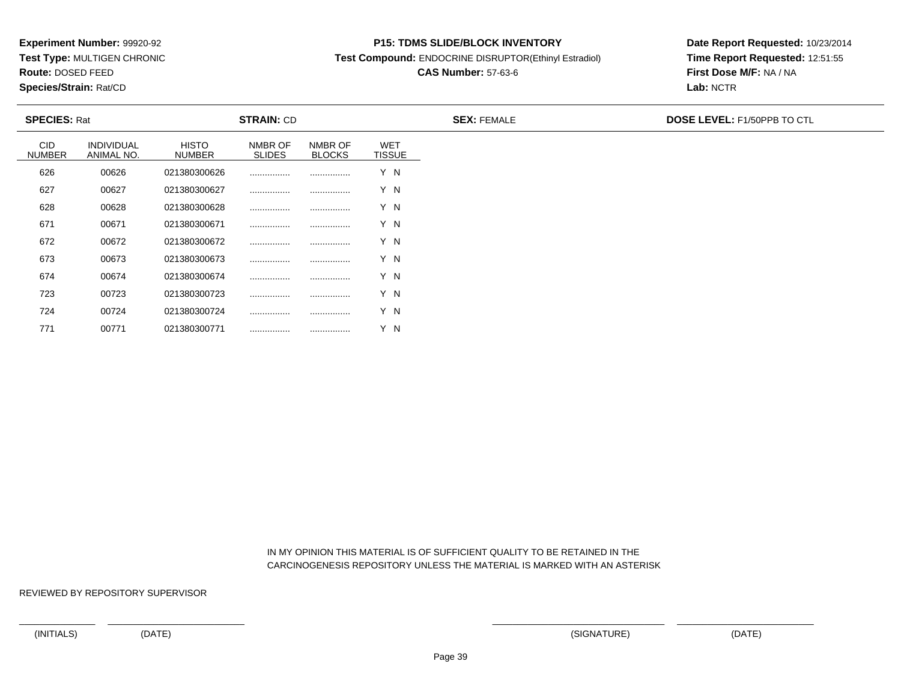**Test Type:** MULTIGEN CHRONIC

**Route:** DOSED FEED

771

**Species/Strain:** Rat/CD

#### **P15: TDMS SLIDE/BLOCK INVENTORY**

**Test Compound:** ENDOCRINE DISRUPTOR(Ethinyl Estradiol)

# **CAS Number:** 57-63-6

**Date Report Requested:** 10/23/2014**Time Report Requested:** 12:51:55**First Dose M/F:** NA / NA**Lab:** NCTR

| <b>SPECIES: Rat</b>         |                                 | <b>STRAIN: CD</b>             |                          |                          |                             | <b>SEX: FEMALE</b> | <b>DOSE LEVEL: F1/50PPB TO CTL</b> |
|-----------------------------|---------------------------------|-------------------------------|--------------------------|--------------------------|-----------------------------|--------------------|------------------------------------|
| <b>CID</b><br><b>NUMBER</b> | <b>INDIVIDUAL</b><br>ANIMAL NO. | <b>HISTO</b><br><b>NUMBER</b> | NMBR OF<br><b>SLIDES</b> | NMBR OF<br><b>BLOCKS</b> | <b>WET</b><br><b>TISSUE</b> |                    |                                    |
| 626                         | 00626                           | 021380300626                  |                          |                          | Y N                         |                    |                                    |
| 627                         | 00627                           | 021380300627                  |                          |                          | Y N                         |                    |                                    |
| 628                         | 00628                           | 021380300628                  |                          |                          | Y N                         |                    |                                    |
| 671                         | 00671                           | 021380300671                  |                          |                          | Y N                         |                    |                                    |
| 672                         | 00672                           | 021380300672                  |                          |                          | Y N                         |                    |                                    |
| 673                         | 00673                           | 021380300673                  |                          |                          | Y N                         |                    |                                    |
| 674                         | 00674                           | 021380300674                  |                          |                          | Y N                         |                    |                                    |
| 723                         | 00723                           | 021380300723                  |                          |                          | Y N                         |                    |                                    |
| 724                         | 00724                           | 021380300724                  |                          |                          | Y N                         |                    |                                    |

 IN MY OPINION THIS MATERIAL IS OF SUFFICIENT QUALITY TO BE RETAINED IN THECARCINOGENESIS REPOSITORY UNLESS THE MATERIAL IS MARKED WITH AN ASTERISK

REVIEWED BY REPOSITORY SUPERVISOR

<sup>00771</sup> <sup>021380300771</sup> ................ ................ Y N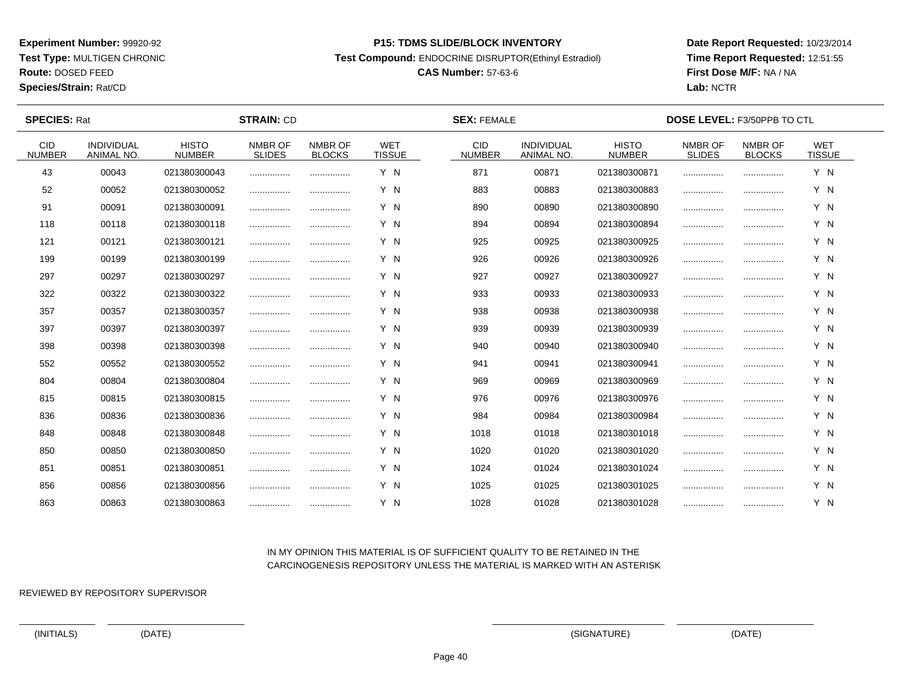**Test Type:** MULTIGEN CHRONIC

**Route:** DOSED FEED

**Species/Strain:** Rat/CD

#### **P15: TDMS SLIDE/BLOCK INVENTORY**

**Test Compound:** ENDOCRINE DISRUPTOR(Ethinyl Estradiol)

# **CAS Number:** 57-63-6

**Date Report Requested:** 10/23/2014**Time Report Requested:** 12:51:55**First Dose M/F:** NA / NA**Lab:** NCTR

| <b>SPECIES: Rat</b>         |                                 |                               | <b>STRAIN: CD</b>        |                          |                             | <b>SEX: FEMALE</b>          |                                 |                               | <b>DOSE LEVEL: F3/50PPB TO CTL</b> |                          |                             |  |
|-----------------------------|---------------------------------|-------------------------------|--------------------------|--------------------------|-----------------------------|-----------------------------|---------------------------------|-------------------------------|------------------------------------|--------------------------|-----------------------------|--|
| <b>CID</b><br><b>NUMBER</b> | <b>INDIVIDUAL</b><br>ANIMAL NO. | <b>HISTO</b><br><b>NUMBER</b> | NMBR OF<br><b>SLIDES</b> | NMBR OF<br><b>BLOCKS</b> | <b>WET</b><br><b>TISSUE</b> | <b>CID</b><br><b>NUMBER</b> | <b>INDIVIDUAL</b><br>ANIMAL NO. | <b>HISTO</b><br><b>NUMBER</b> | NMBR OF<br><b>SLIDES</b>           | NMBR OF<br><b>BLOCKS</b> | <b>WET</b><br><b>TISSUE</b> |  |
| 43                          | 00043                           | 021380300043                  |                          |                          | Y N                         | 871                         | 00871                           | 021380300871                  |                                    |                          | Y N                         |  |
| 52                          | 00052                           | 021380300052                  |                          |                          | Y N                         | 883                         | 00883                           | 021380300883                  |                                    |                          | Y N                         |  |
| 91                          | 00091                           | 021380300091                  |                          |                          | Y N                         | 890                         | 00890                           | 021380300890                  |                                    |                          | Y N                         |  |
| 118                         | 00118                           | 021380300118                  |                          |                          | Y N                         | 894                         | 00894                           | 021380300894                  |                                    |                          | Y N                         |  |
| 121                         | 00121                           | 021380300121                  |                          | .                        | Y N                         | 925                         | 00925                           | 021380300925                  |                                    |                          | Y N                         |  |
| 199                         | 00199                           | 021380300199                  |                          |                          | Y N                         | 926                         | 00926                           | 021380300926                  |                                    |                          | Y N                         |  |
| 297                         | 00297                           | 021380300297                  |                          |                          | Y N                         | 927                         | 00927                           | 021380300927                  |                                    |                          | Y N                         |  |
| 322                         | 00322                           | 021380300322                  |                          |                          | Y N                         | 933                         | 00933                           | 021380300933                  |                                    |                          | Y N                         |  |
| 357                         | 00357                           | 021380300357                  |                          |                          | Y N                         | 938                         | 00938                           | 021380300938                  |                                    |                          | Y N                         |  |
| 397                         | 00397                           | 021380300397                  |                          |                          | Y N                         | 939                         | 00939                           | 021380300939                  |                                    |                          | Y N                         |  |
| 398                         | 00398                           | 021380300398                  |                          |                          | Y N                         | 940                         | 00940                           | 021380300940                  |                                    |                          | Y N                         |  |
| 552                         | 00552                           | 021380300552                  |                          |                          | Y N                         | 941                         | 00941                           | 021380300941                  |                                    |                          | Y N                         |  |
| 804                         | 00804                           | 021380300804                  |                          |                          | Y N                         | 969                         | 00969                           | 021380300969                  |                                    |                          | Y N                         |  |
| 815                         | 00815                           | 021380300815                  |                          |                          | Y N                         | 976                         | 00976                           | 021380300976                  |                                    |                          | Y N                         |  |
| 836                         | 00836                           | 021380300836                  |                          |                          | Y N                         | 984                         | 00984                           | 021380300984                  |                                    |                          | Y N                         |  |
| 848                         | 00848                           | 021380300848                  |                          |                          | Y N                         | 1018                        | 01018                           | 021380301018                  |                                    |                          | Y N                         |  |
| 850                         | 00850                           | 021380300850                  | .                        | .                        | Y N                         | 1020                        | 01020                           | 021380301020                  |                                    |                          | Y N                         |  |
| 851                         | 00851                           | 021380300851                  |                          |                          | Y N                         | 1024                        | 01024                           | 021380301024                  |                                    |                          | Y N                         |  |
| 856                         | 00856                           | 021380300856                  |                          |                          | Y N                         | 1025                        | 01025                           | 021380301025                  |                                    |                          | Y N                         |  |
| 863                         | 00863                           | 021380300863                  |                          |                          | Y N                         | 1028                        | 01028                           | 021380301028                  |                                    |                          | Y N                         |  |

## IN MY OPINION THIS MATERIAL IS OF SUFFICIENT QUALITY TO BE RETAINED IN THECARCINOGENESIS REPOSITORY UNLESS THE MATERIAL IS MARKED WITH AN ASTERISK

REVIEWED BY REPOSITORY SUPERVISOR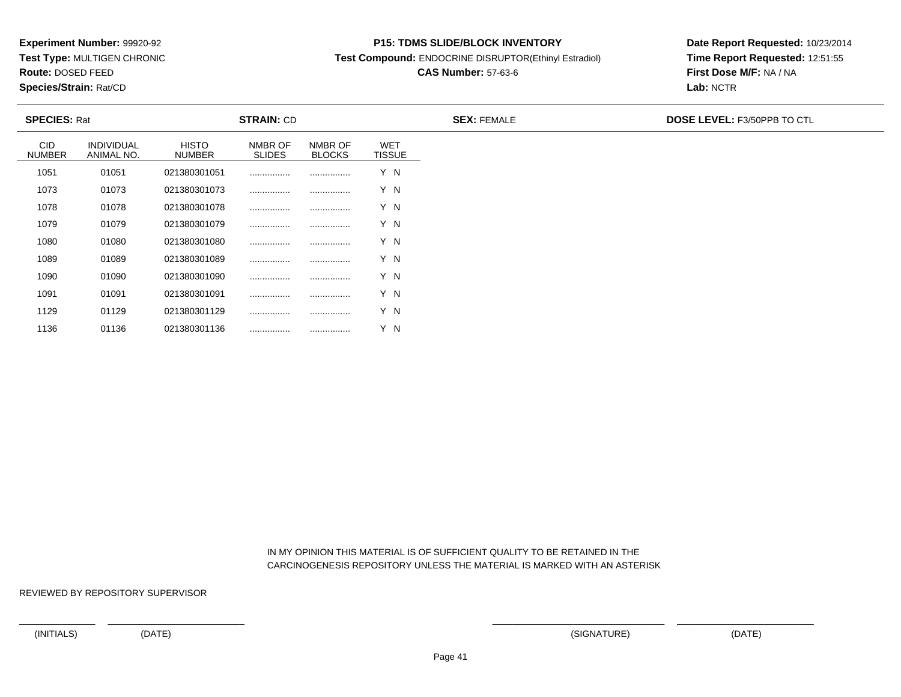**Test Type:** MULTIGEN CHRONIC

**Route:** DOSED FEED

1136

**Species/Strain:** Rat/CD

#### **P15: TDMS SLIDE/BLOCK INVENTORY**

**Test Compound:** ENDOCRINE DISRUPTOR(Ethinyl Estradiol)

# **CAS Number:** 57-63-6

**Date Report Requested:** 10/23/2014**Time Report Requested:** 12:51:55**First Dose M/F:** NA / NA**Lab:** NCTR

| <b>SPECIES: Rat</b>         |                                 |                               | <b>STRAIN: CD</b>        |                          |                             | <b>SEX: FEMALE</b> | <b>DOSE LEVEL: F3/50PPB TO CTL</b> |
|-----------------------------|---------------------------------|-------------------------------|--------------------------|--------------------------|-----------------------------|--------------------|------------------------------------|
| <b>CID</b><br><b>NUMBER</b> | <b>INDIVIDUAL</b><br>ANIMAL NO. | <b>HISTO</b><br><b>NUMBER</b> | NMBR OF<br><b>SLIDES</b> | NMBR OF<br><b>BLOCKS</b> | <b>WET</b><br><b>TISSUE</b> |                    |                                    |
| 1051                        | 01051                           | 021380301051                  |                          |                          | Y N                         |                    |                                    |
| 1073                        | 01073                           | 021380301073                  |                          |                          | Y N                         |                    |                                    |
| 1078                        | 01078                           | 021380301078                  |                          |                          | Y N                         |                    |                                    |
| 1079                        | 01079                           | 021380301079                  |                          |                          | Y N                         |                    |                                    |
| 1080                        | 01080                           | 021380301080                  |                          |                          | Y N                         |                    |                                    |
| 1089                        | 01089                           | 021380301089                  |                          |                          | Y N                         |                    |                                    |
| 1090                        | 01090                           | 021380301090                  |                          |                          | Y N                         |                    |                                    |
| 1091                        | 01091                           | 021380301091                  |                          |                          | Y N                         |                    |                                    |
| 1129                        | 01129                           | 021380301129                  |                          |                          | Y N                         |                    |                                    |

 IN MY OPINION THIS MATERIAL IS OF SUFFICIENT QUALITY TO BE RETAINED IN THECARCINOGENESIS REPOSITORY UNLESS THE MATERIAL IS MARKED WITH AN ASTERISK

REVIEWED BY REPOSITORY SUPERVISOR

<sup>01136</sup> <sup>021380301136</sup> ................ ................ Y N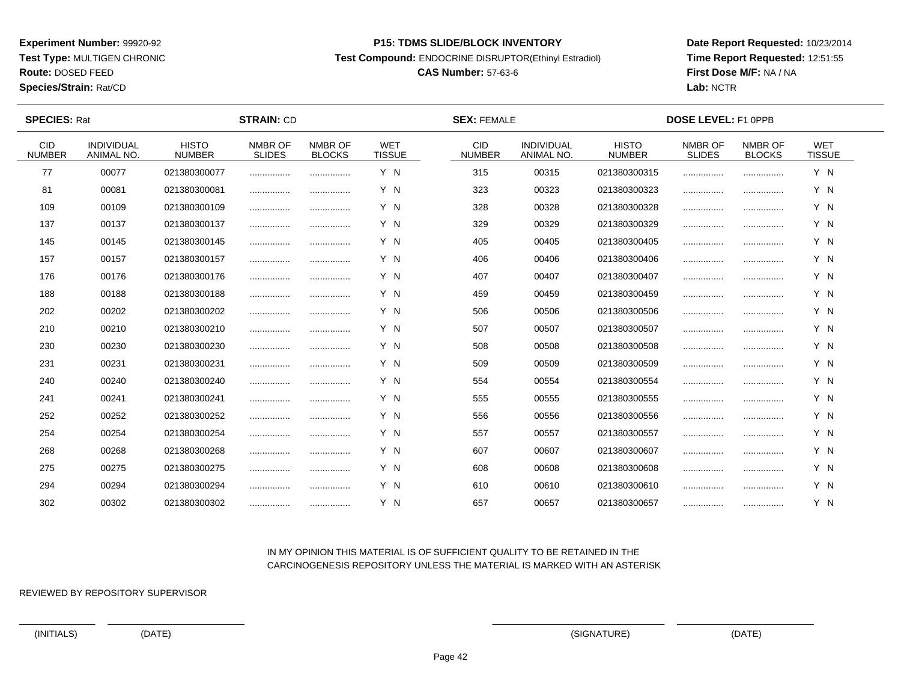**Test Type:** MULTIGEN CHRONIC

# **Route:** DOSED FEED

**Species/Strain:** Rat/CD

#### **P15: TDMS SLIDE/BLOCK INVENTORY**

**Test Compound:** ENDOCRINE DISRUPTOR(Ethinyl Estradiol)

## **CAS Number:** 57-63-6

**Date Report Requested:** 10/23/2014**Time Report Requested:** 12:51:55**First Dose M/F:** NA / NA**Lab:** NCTR

 $\overline{\phantom{a}}$ 

| <b>SPECIES: Rat</b>         |                                 |                               | <b>STRAIN: CD</b>        |                          |                             | <b>SEX: FEMALE</b>          |                                 | <b>DOSE LEVEL: F1 OPPB</b>    |                          |                          |                             |  |
|-----------------------------|---------------------------------|-------------------------------|--------------------------|--------------------------|-----------------------------|-----------------------------|---------------------------------|-------------------------------|--------------------------|--------------------------|-----------------------------|--|
| <b>CID</b><br><b>NUMBER</b> | <b>INDIVIDUAL</b><br>ANIMAL NO. | <b>HISTO</b><br><b>NUMBER</b> | NMBR OF<br><b>SLIDES</b> | NMBR OF<br><b>BLOCKS</b> | <b>WET</b><br><b>TISSUE</b> | <b>CID</b><br><b>NUMBER</b> | <b>INDIVIDUAL</b><br>ANIMAL NO. | <b>HISTO</b><br><b>NUMBER</b> | NMBR OF<br><b>SLIDES</b> | NMBR OF<br><b>BLOCKS</b> | <b>WET</b><br><b>TISSUE</b> |  |
| 77                          | 00077                           | 021380300077                  |                          |                          | Y N                         | 315                         | 00315                           | 021380300315                  |                          |                          | Y N                         |  |
| 81                          | 00081                           | 021380300081                  |                          |                          | Y N                         | 323                         | 00323                           | 021380300323                  |                          |                          | Y N                         |  |
| 109                         | 00109                           | 021380300109                  |                          |                          | Y N                         | 328                         | 00328                           | 021380300328                  |                          |                          | Y N                         |  |
| 137                         | 00137                           | 021380300137                  |                          |                          | Y N                         | 329                         | 00329                           | 021380300329                  |                          |                          | Y N                         |  |
| 145                         | 00145                           | 021380300145                  |                          |                          | Y N                         | 405                         | 00405                           | 021380300405                  | .                        |                          | Y N                         |  |
| 157                         | 00157                           | 021380300157                  |                          | .                        | Y N                         | 406                         | 00406                           | 021380300406                  |                          |                          | Y N                         |  |
| 176                         | 00176                           | 021380300176                  |                          |                          | Y N                         | 407                         | 00407                           | 021380300407                  |                          |                          | Y N                         |  |
| 188                         | 00188                           | 021380300188                  |                          | .                        | Y N                         | 459                         | 00459                           | 021380300459                  |                          |                          | Y N                         |  |
| 202                         | 00202                           | 021380300202                  |                          |                          | Y N                         | 506                         | 00506                           | 021380300506                  |                          |                          | Y N                         |  |
| 210                         | 00210                           | 021380300210                  |                          |                          | Y N                         | 507                         | 00507                           | 021380300507                  |                          |                          | Y N                         |  |
| 230                         | 00230                           | 021380300230                  | .                        |                          | Y N                         | 508                         | 00508                           | 021380300508                  |                          |                          | Y N                         |  |
| 231                         | 00231                           | 021380300231                  |                          |                          | Y N                         | 509                         | 00509                           | 021380300509                  |                          |                          | Y N                         |  |
| 240                         | 00240                           | 021380300240                  |                          |                          | Y N                         | 554                         | 00554                           | 021380300554                  |                          |                          | Y N                         |  |
| 241                         | 00241                           | 021380300241                  |                          |                          | Y N                         | 555                         | 00555                           | 021380300555                  |                          |                          | Y N                         |  |
| 252                         | 00252                           | 021380300252                  |                          |                          | Y N                         | 556                         | 00556                           | 021380300556                  |                          |                          | Y N                         |  |
| 254                         | 00254                           | 021380300254                  |                          |                          | Y N                         | 557                         | 00557                           | 021380300557                  |                          |                          | Y N                         |  |
| 268                         | 00268                           | 021380300268                  |                          | .                        | Y N                         | 607                         | 00607                           | 021380300607                  |                          |                          | Y N                         |  |
| 275                         | 00275                           | 021380300275                  |                          |                          | Y N                         | 608                         | 00608                           | 021380300608                  |                          |                          | Y N                         |  |
| 294                         | 00294                           | 021380300294                  |                          |                          | Y N                         | 610                         | 00610                           | 021380300610                  |                          |                          | Y N                         |  |
| 302                         | 00302                           | 021380300302                  |                          |                          | Y N                         | 657                         | 00657                           | 021380300657                  |                          |                          | Y N                         |  |

### IN MY OPINION THIS MATERIAL IS OF SUFFICIENT QUALITY TO BE RETAINED IN THECARCINOGENESIS REPOSITORY UNLESS THE MATERIAL IS MARKED WITH AN ASTERISK

REVIEWED BY REPOSITORY SUPERVISOR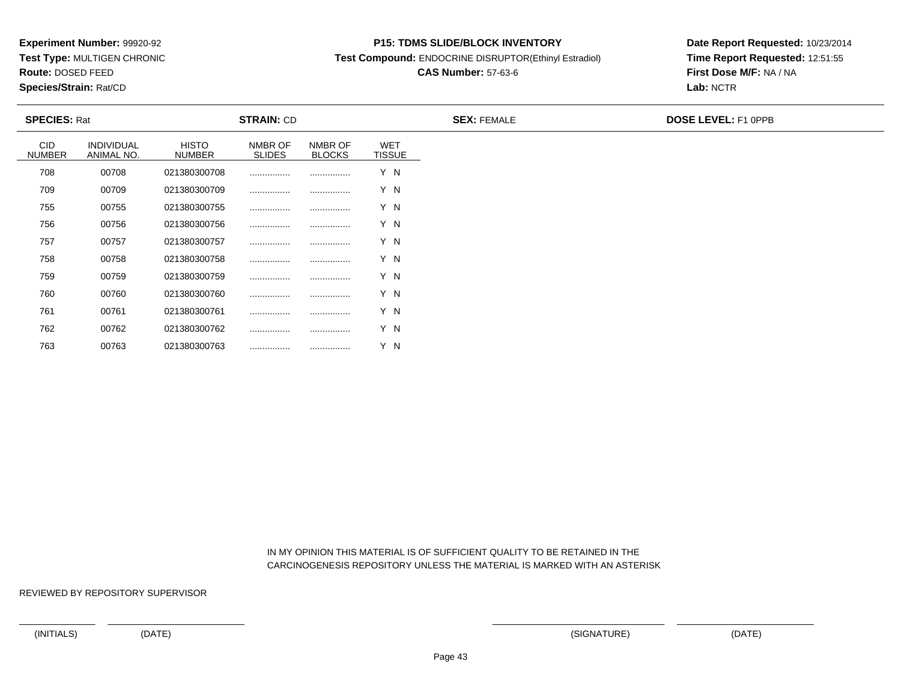**Test Type:** MULTIGEN CHRONIC

**Route:** DOSED FEED

**Species/Strain:** Rat/CD

#### **P15: TDMS SLIDE/BLOCK INVENTORY**

**Test Compound:** ENDOCRINE DISRUPTOR(Ethinyl Estradiol)

# **CAS Number:** 57-63-6

**Date Report Requested:** 10/23/2014**Time Report Requested:** 12:51:55**First Dose M/F:** NA / NA**Lab:** NCTR

| <b>SPECIES: Rat</b>         |                                 |                               | <b>STRAIN: CD</b>        |                          |                             | <b>SEX: FEMALE</b> | <b>DOSE LEVEL: F1 OPPB</b> |
|-----------------------------|---------------------------------|-------------------------------|--------------------------|--------------------------|-----------------------------|--------------------|----------------------------|
| <b>CID</b><br><b>NUMBER</b> | <b>INDIVIDUAL</b><br>ANIMAL NO. | <b>HISTO</b><br><b>NUMBER</b> | NMBR OF<br><b>SLIDES</b> | NMBR OF<br><b>BLOCKS</b> | <b>WET</b><br><b>TISSUE</b> |                    |                            |
| 708                         | 00708                           | 021380300708                  |                          |                          | Y N                         |                    |                            |
| 709                         | 00709                           | 021380300709                  |                          |                          | Y N                         |                    |                            |
| 755                         | 00755                           | 021380300755                  |                          |                          | Y N                         |                    |                            |
| 756                         | 00756                           | 021380300756                  |                          |                          | Y N                         |                    |                            |
| 757                         | 00757                           | 021380300757                  |                          |                          | Y N                         |                    |                            |
| 758                         | 00758                           | 021380300758                  |                          |                          | Y N                         |                    |                            |
| 759                         | 00759                           | 021380300759                  |                          |                          | Y N                         |                    |                            |
| 760                         | 00760                           | 021380300760                  |                          |                          | Y N                         |                    |                            |
| 761                         | 00761                           | 021380300761                  |                          |                          | Y N                         |                    |                            |
| 762                         | 00762                           | 021380300762                  |                          |                          | Y N                         |                    |                            |
| 763                         | 00763                           | 021380300763                  |                          |                          | Y N                         |                    |                            |

 IN MY OPINION THIS MATERIAL IS OF SUFFICIENT QUALITY TO BE RETAINED IN THECARCINOGENESIS REPOSITORY UNLESS THE MATERIAL IS MARKED WITH AN ASTERISK

REVIEWED BY REPOSITORY SUPERVISOR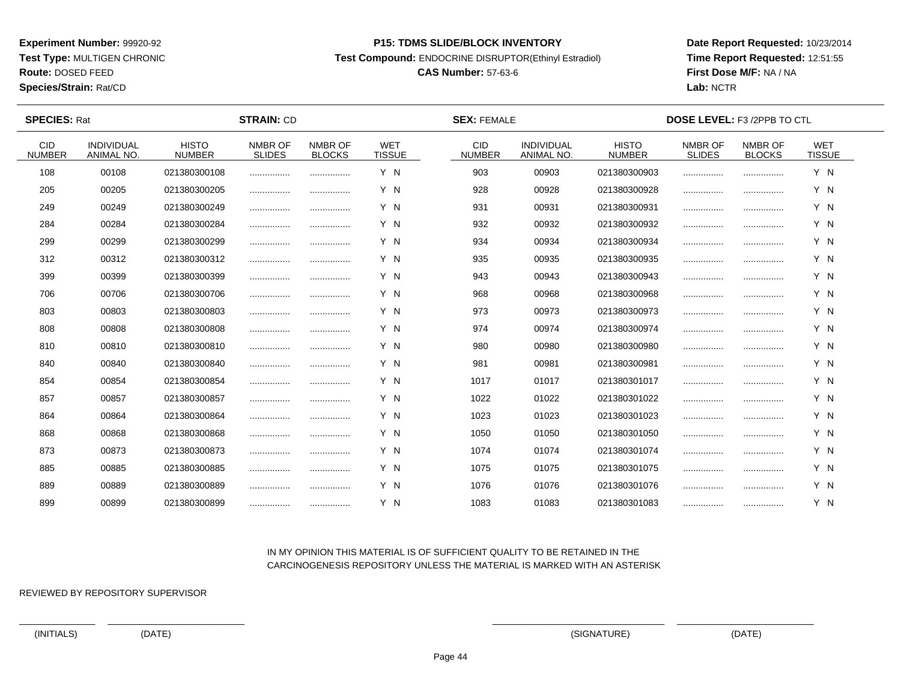**Test Type:** MULTIGEN CHRONIC

**Route:** DOSED FEED

**Species/Strain:** Rat/CD

#### **P15: TDMS SLIDE/BLOCK INVENTORY**

**Test Compound:** ENDOCRINE DISRUPTOR(Ethinyl Estradiol)

# **CAS Number:** 57-63-6

**Date Report Requested:** 10/23/2014**Time Report Requested:** 12:51:55**First Dose M/F:** NA / NA**Lab:** NCTR

| <b>SPECIES: Rat</b>   |                                 |                               | <b>STRAIN: CD</b>        |                          |                             | <b>SEX: FEMALE</b>          |                                        |                               | <b>DOSE LEVEL: F3 /2PPB TO CTL</b> |                          |                             |  |
|-----------------------|---------------------------------|-------------------------------|--------------------------|--------------------------|-----------------------------|-----------------------------|----------------------------------------|-------------------------------|------------------------------------|--------------------------|-----------------------------|--|
| CID.<br><b>NUMBER</b> | <b>INDIVIDUAL</b><br>ANIMAL NO. | <b>HISTO</b><br><b>NUMBER</b> | NMBR OF<br><b>SLIDES</b> | NMBR OF<br><b>BLOCKS</b> | <b>WET</b><br><b>TISSUE</b> | <b>CID</b><br><b>NUMBER</b> | <b>INDIVIDUAL</b><br><b>ANIMAL NO.</b> | <b>HISTO</b><br><b>NUMBER</b> | NMBR OF<br><b>SLIDES</b>           | NMBR OF<br><b>BLOCKS</b> | <b>WET</b><br><b>TISSUE</b> |  |
| 108                   | 00108                           | 021380300108                  |                          |                          | Y N                         | 903                         | 00903                                  | 021380300903                  |                                    |                          | Y N                         |  |
| 205                   | 00205                           | 021380300205                  |                          |                          | Y N                         | 928                         | 00928                                  | 021380300928                  |                                    |                          | Y N                         |  |
| 249                   | 00249                           | 021380300249                  |                          |                          | Y N                         | 931                         | 00931                                  | 021380300931                  |                                    |                          | Y N                         |  |
| 284                   | 00284                           | 021380300284                  |                          |                          | Y N                         | 932                         | 00932                                  | 021380300932                  |                                    |                          | Y N                         |  |
| 299                   | 00299                           | 021380300299                  |                          |                          | Y N                         | 934                         | 00934                                  | 021380300934                  |                                    |                          | Y N                         |  |
| 312                   | 00312                           | 021380300312                  |                          |                          | Y N                         | 935                         | 00935                                  | 021380300935                  |                                    |                          | Y N                         |  |
| 399                   | 00399                           | 021380300399                  |                          |                          | Y N                         | 943                         | 00943                                  | 021380300943                  |                                    |                          | Y N                         |  |
| 706                   | 00706                           | 021380300706                  |                          |                          | Y N                         | 968                         | 00968                                  | 021380300968                  |                                    |                          | Y N                         |  |
| 803                   | 00803                           | 021380300803                  |                          |                          | Y N                         | 973                         | 00973                                  | 021380300973                  |                                    |                          | Y N                         |  |
| 808                   | 00808                           | 021380300808                  |                          |                          | Y N                         | 974                         | 00974                                  | 021380300974                  |                                    |                          | Y N                         |  |
| 810                   | 00810                           | 021380300810                  |                          |                          | Y N                         | 980                         | 00980                                  | 021380300980                  |                                    |                          | Y N                         |  |
| 840                   | 00840                           | 021380300840                  |                          |                          | Y N                         | 981                         | 00981                                  | 021380300981                  |                                    |                          | Y N                         |  |
| 854                   | 00854                           | 021380300854                  |                          |                          | Y N                         | 1017                        | 01017                                  | 021380301017                  |                                    |                          | Y N                         |  |
| 857                   | 00857                           | 021380300857                  |                          | .                        | Y N                         | 1022                        | 01022                                  | 021380301022                  |                                    |                          | Y N                         |  |
| 864                   | 00864                           | 021380300864                  |                          |                          | Y N                         | 1023                        | 01023                                  | 021380301023                  |                                    |                          | Y N                         |  |
| 868                   | 00868                           | 021380300868                  |                          |                          | Y N                         | 1050                        | 01050                                  | 021380301050                  |                                    |                          | Y N                         |  |
| 873                   | 00873                           | 021380300873                  |                          |                          | Y N                         | 1074                        | 01074                                  | 021380301074                  |                                    |                          | Y N                         |  |
| 885                   | 00885                           | 021380300885                  |                          |                          | Y N                         | 1075                        | 01075                                  | 021380301075                  |                                    |                          | Y N                         |  |
| 889                   | 00889                           | 021380300889                  |                          |                          | Y N                         | 1076                        | 01076                                  | 021380301076                  |                                    |                          | Y N                         |  |
| 899                   | 00899                           | 021380300899                  |                          |                          | Y N                         | 1083                        | 01083                                  | 021380301083                  |                                    |                          | Y N                         |  |

## IN MY OPINION THIS MATERIAL IS OF SUFFICIENT QUALITY TO BE RETAINED IN THECARCINOGENESIS REPOSITORY UNLESS THE MATERIAL IS MARKED WITH AN ASTERISK

REVIEWED BY REPOSITORY SUPERVISOR